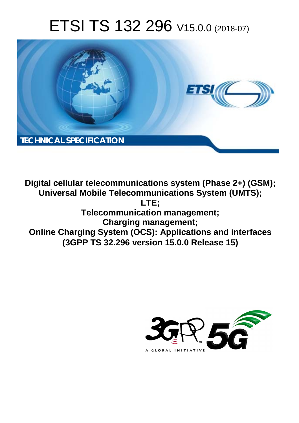# ETSI TS 132 296 V15.0.0 (2018-07)



**Digital cellular telecommunications system (Phase 2+) (GSM); Universal Mobile Telecommunications System (UMTS); LTE; Telecommunication management; Charging management; Online Charging System (OCS): Applications and interfaces (3GPP TS 32.296 version 15.0.0 Release 15)** 

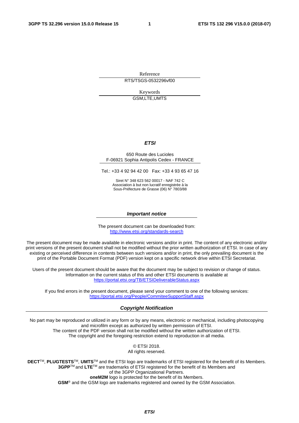Reference RTS/TSGS-0532296vf00

> Keywords GSM,LTE,UMTS

#### *ETSI*

#### 650 Route des Lucioles F-06921 Sophia Antipolis Cedex - FRANCE

Tel.: +33 4 92 94 42 00 Fax: +33 4 93 65 47 16

Siret N° 348 623 562 00017 - NAF 742 C Association à but non lucratif enregistrée à la Sous-Préfecture de Grasse (06) N° 7803/88

#### *Important notice*

The present document can be downloaded from: <http://www.etsi.org/standards-search>

The present document may be made available in electronic versions and/or in print. The content of any electronic and/or print versions of the present document shall not be modified without the prior written authorization of ETSI. In case of any existing or perceived difference in contents between such versions and/or in print, the only prevailing document is the print of the Portable Document Format (PDF) version kept on a specific network drive within ETSI Secretariat.

Users of the present document should be aware that the document may be subject to revision or change of status. Information on the current status of this and other ETSI documents is available at <https://portal.etsi.org/TB/ETSIDeliverableStatus.aspx>

If you find errors in the present document, please send your comment to one of the following services: <https://portal.etsi.org/People/CommiteeSupportStaff.aspx>

#### *Copyright Notification*

No part may be reproduced or utilized in any form or by any means, electronic or mechanical, including photocopying and microfilm except as authorized by written permission of ETSI. The content of the PDF version shall not be modified without the written authorization of ETSI. The copyright and the foregoing restriction extend to reproduction in all media.

> © ETSI 2018. All rights reserved.

**DECT**TM, **PLUGTESTS**TM, **UMTS**TM and the ETSI logo are trademarks of ETSI registered for the benefit of its Members. **3GPP**TM and **LTE**TM are trademarks of ETSI registered for the benefit of its Members and of the 3GPP Organizational Partners. **oneM2M** logo is protected for the benefit of its Members.

**GSM**® and the GSM logo are trademarks registered and owned by the GSM Association.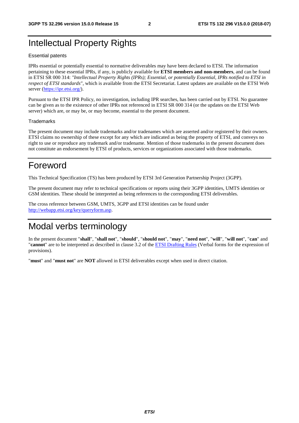# Intellectual Property Rights

#### Essential patents

IPRs essential or potentially essential to normative deliverables may have been declared to ETSI. The information pertaining to these essential IPRs, if any, is publicly available for **ETSI members and non-members**, and can be found in ETSI SR 000 314: *"Intellectual Property Rights (IPRs); Essential, or potentially Essential, IPRs notified to ETSI in respect of ETSI standards"*, which is available from the ETSI Secretariat. Latest updates are available on the ETSI Web server ([https://ipr.etsi.org/\)](https://ipr.etsi.org/).

Pursuant to the ETSI IPR Policy, no investigation, including IPR searches, has been carried out by ETSI. No guarantee can be given as to the existence of other IPRs not referenced in ETSI SR 000 314 (or the updates on the ETSI Web server) which are, or may be, or may become, essential to the present document.

#### **Trademarks**

The present document may include trademarks and/or tradenames which are asserted and/or registered by their owners. ETSI claims no ownership of these except for any which are indicated as being the property of ETSI, and conveys no right to use or reproduce any trademark and/or tradename. Mention of those trademarks in the present document does not constitute an endorsement by ETSI of products, services or organizations associated with those trademarks.

# Foreword

This Technical Specification (TS) has been produced by ETSI 3rd Generation Partnership Project (3GPP).

The present document may refer to technical specifications or reports using their 3GPP identities, UMTS identities or GSM identities. These should be interpreted as being references to the corresponding ETSI deliverables.

The cross reference between GSM, UMTS, 3GPP and ETSI identities can be found under [http://webapp.etsi.org/key/queryform.asp.](http://webapp.etsi.org/key/queryform.asp)

# Modal verbs terminology

In the present document "**shall**", "**shall not**", "**should**", "**should not**", "**may**", "**need not**", "**will**", "**will not**", "**can**" and "**cannot**" are to be interpreted as described in clause 3.2 of the [ETSI Drafting Rules](https://portal.etsi.org/Services/editHelp!/Howtostart/ETSIDraftingRules.aspx) (Verbal forms for the expression of provisions).

"**must**" and "**must not**" are **NOT** allowed in ETSI deliverables except when used in direct citation.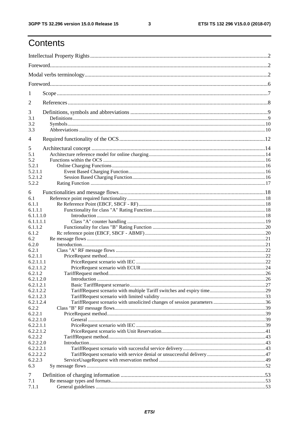$\mathbf{3}$ 

# Contents

| 1                      |  |  |  |
|------------------------|--|--|--|
| 2                      |  |  |  |
| 3                      |  |  |  |
| 3.1                    |  |  |  |
| 3.2                    |  |  |  |
| 3.3                    |  |  |  |
| 4                      |  |  |  |
| 5                      |  |  |  |
| 5.1                    |  |  |  |
| 5.2                    |  |  |  |
| 5.2.1                  |  |  |  |
| 5.2.1.1                |  |  |  |
| 5.2.1.2                |  |  |  |
| 5.2.2                  |  |  |  |
| 6                      |  |  |  |
| 6.1                    |  |  |  |
| 6.1.1                  |  |  |  |
| 6.1.1.1                |  |  |  |
| 6.1.1.1.0              |  |  |  |
| 6.1.1.1.1              |  |  |  |
| 6.1.1.2                |  |  |  |
| 6.1.2                  |  |  |  |
| 6.2                    |  |  |  |
| 6.2.0                  |  |  |  |
| 6.2.1                  |  |  |  |
| 6.2.1.1                |  |  |  |
| 6.2.1.1.1              |  |  |  |
| 6.2.1.1.2              |  |  |  |
| 6.2.1.2                |  |  |  |
| 6.2.1.2.0              |  |  |  |
| 6.2.1.2.1              |  |  |  |
| 6.2.1.2.2              |  |  |  |
| 6.2.1.2.3<br>6.2.1.2.4 |  |  |  |
| 6.2.2                  |  |  |  |
| 6.2.2.1                |  |  |  |
| 6.2.2.1.0              |  |  |  |
| 6.2.2.1.1              |  |  |  |
| 6.2.2.1.2              |  |  |  |
| 6.2.2.2                |  |  |  |
| 6.2.2.2.0              |  |  |  |
| 6.2.2.2.1              |  |  |  |
| 6.2.2.2.2              |  |  |  |
| 6.2.2.3                |  |  |  |
| 6.3                    |  |  |  |
| 7                      |  |  |  |
| 7.1                    |  |  |  |
| 7.1.1                  |  |  |  |
|                        |  |  |  |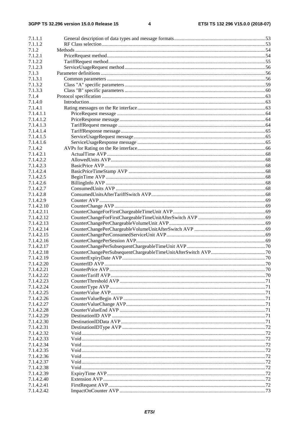#### $\overline{\mathbf{4}}$

| 7.1.1.1                  |  |
|--------------------------|--|
| 7.1.1.2                  |  |
| 7.1.2                    |  |
| 7.1.2.1                  |  |
| 7.1.2.2                  |  |
| 7.1.2.3                  |  |
| 7.1.3                    |  |
| 7.1.3.1                  |  |
| 7.1.3.2<br>7.1.3.3       |  |
| 7.1.4                    |  |
| 7.1.4.0                  |  |
| 7.1.4.1                  |  |
| 7.1.4.1.1                |  |
| 7.1.4.1.2                |  |
| 7.1.4.1.3                |  |
| 7.1.4.1.4                |  |
| 7.1.4.1.5                |  |
| 7.1.4.1.6                |  |
| 7.1.4.2                  |  |
| 7.1.4.2.1                |  |
| 7.1.4.2.2                |  |
| 7.1.4.2.3                |  |
| 7.1.4.2.4                |  |
| 7.1.4.2.5                |  |
| 7.1.4.2.6                |  |
| 7.1.4.2.7                |  |
| 7.1.4.2.8                |  |
| 7.1.4.2.9                |  |
| 7.1.4.2.10               |  |
| 7.1.4.2.11               |  |
| 7.1.4.2.12               |  |
| 7.1.4.2.13<br>7.1.4.2.14 |  |
| 7.1.4.2.15               |  |
| 7.1.4.2.16               |  |
| 7.1.4.2.17               |  |
| 7.1.4.2.18               |  |
| 7.1.4.2.19               |  |
| 7.1.4.2.20               |  |
| 7.1.4.2.21               |  |
| 7.1.4.2.22               |  |
| 7.1.4.2.23               |  |
| 7.1.4.2.24               |  |
| 7.1.4.2.25               |  |
| 7.1.4.2.26               |  |
| 7.1.4.2.27               |  |
| 7.1.4.2.28               |  |
| 7.1.4.2.29               |  |
| 7.1.4.2.30               |  |
| 7.1.4.2.31               |  |
| 7.1.4.2.32               |  |
| 7.1.4.2.33               |  |
| 7.1.4.2.34               |  |
| 7.1.4.2.35               |  |
| 7.1.4.2.36<br>7.1.4.2.37 |  |
| 7.1.4.2.38               |  |
| 7.1.4.2.39               |  |
| 7.1.4.2.40               |  |
| 7.1.4.2.41               |  |
| 7.1.4.2.42               |  |
|                          |  |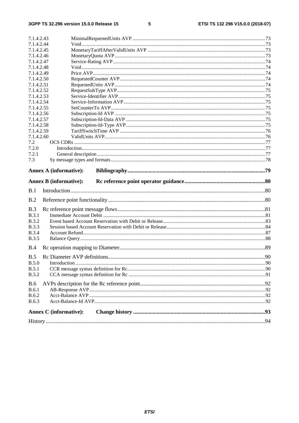$5\phantom{a}$ 

|              | 7.1.4.2.43                    |  |
|--------------|-------------------------------|--|
| 7.1.4.2.44   |                               |  |
| 7.1.4.2.45   |                               |  |
| 7.1.4.2.46   |                               |  |
| 7.1.4.2.47   |                               |  |
| 7.1.4.2.48   |                               |  |
| 7.1.4.2.49   |                               |  |
| 7.1.4.2.50   |                               |  |
| 7.1.4.2.51   |                               |  |
| 7.1.4.2.52   |                               |  |
| 7.1.4.2.53   |                               |  |
| 7.1.4.2.54   |                               |  |
| 7.1.4.2.55   |                               |  |
| 7.1.4.2.56   |                               |  |
| 7.1.4.2.57   |                               |  |
| 7.1.4.2.58   |                               |  |
| 7.1.4.2.59   |                               |  |
| 7.1.4.2.60   |                               |  |
| 7.2          |                               |  |
| 7.2.0        |                               |  |
| 7.2.1<br>7.3 |                               |  |
|              |                               |  |
|              | <b>Annex A (informative):</b> |  |
|              |                               |  |
|              |                               |  |
|              | <b>Annex B</b> (informative): |  |
| B.1          |                               |  |
|              |                               |  |
| B.2          |                               |  |
| B.3          |                               |  |
| <b>B.3.1</b> |                               |  |
| <b>B.3.2</b> |                               |  |
| <b>B.3.3</b> |                               |  |
| <b>B.3.4</b> |                               |  |
| <b>B.3.5</b> |                               |  |
|              |                               |  |
| B.4          |                               |  |
| B.5          |                               |  |
| B.5.0        |                               |  |
| B.5.1        |                               |  |
| <b>B.5.2</b> |                               |  |
| <b>B.6</b>   |                               |  |
| <b>B.6.1</b> |                               |  |
| <b>B.6.2</b> |                               |  |
| <b>B.6.3</b> |                               |  |
|              |                               |  |
|              | <b>Annex C</b> (informative): |  |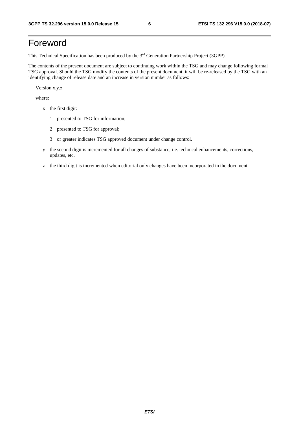# Foreword

This Technical Specification has been produced by the 3rd Generation Partnership Project (3GPP).

The contents of the present document are subject to continuing work within the TSG and may change following formal TSG approval. Should the TSG modify the contents of the present document, it will be re-released by the TSG with an identifying change of release date and an increase in version number as follows:

Version x.y.z

where:

- x the first digit:
	- 1 presented to TSG for information;
	- 2 presented to TSG for approval;
	- 3 or greater indicates TSG approved document under change control.
- y the second digit is incremented for all changes of substance, i.e. technical enhancements, corrections, updates, etc.
- z the third digit is incremented when editorial only changes have been incorporated in the document.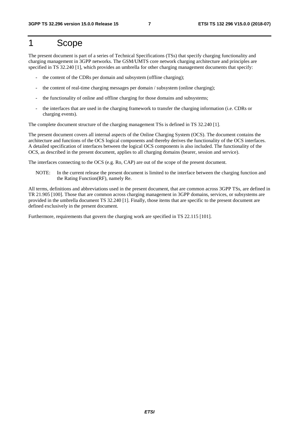# 1 Scope

The present document is part of a series of Technical Specifications (TSs) that specify charging functionality and charging management in 3GPP networks. The GSM/UMTS core network charging architecture and principles are specified in TS 32.240 [1], which provides an umbrella for other charging management documents that specify:

- the content of the CDRs per domain and subsystem (offline charging);
- the content of real-time charging messages per domain / subsystem (online charging);
- the functionality of online and offline charging for those domains and subsystems;
- the interfaces that are used in the charging framework to transfer the charging information (i.e. CDRs or charging events).

The complete document structure of the charging management TSs is defined in TS 32.240 [1].

The present document covers all internal aspects of the Online Charging System (OCS). The document contains the architecture and functions of the OCS logical components and thereby derives the functionality of the OCS interfaces. A detailed specification of interfaces between the logical OCS components is also included. The functionality of the OCS, as described in the present document, applies to all charging domains (bearer, session and service).

The interfaces connecting to the OCS (e.g. Ro, CAP) are out of the scope of the present document.

NOTE: In the current release the present document is limited to the interface between the charging function and the Rating Function(RF), namely Re.

All terms, definitions and abbreviations used in the present document, that are common across 3GPP TSs, are defined in TR 21.905 [100]. Those that are common across charging management in 3GPP domains, services, or subsystems are provided in the umbrella document TS 32.240 [1]. Finally, those items that are specific to the present document are defined exclusively in the present document.

Furthermore, requirements that govern the charging work are specified in TS 22.115 [101].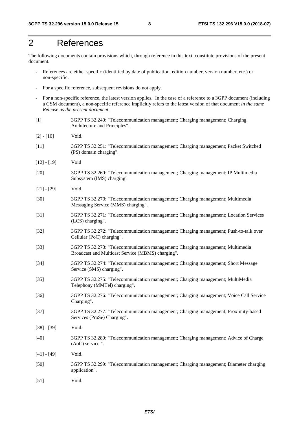# 2 References

The following documents contain provisions which, through reference in this text, constitute provisions of the present document.

- References are either specific (identified by date of publication, edition number, version number, etc.) or non-specific.
- For a specific reference, subsequent revisions do not apply.
- For a non-specific reference, the latest version applies. In the case of a reference to a 3GPP document (including a GSM document), a non-specific reference implicitly refers to the latest version of that document *in the same Release as the present document*.
- [1] 3GPP TS 32.240: "Telecommunication management; Charging management; Charging Architecture and Principles".
- [2] [10] Void.
- [11] 3GPP TS 32.251: "Telecommunication management; Charging management; Packet Switched (PS) domain charging".
- [12] [19] Void
- [20] 3GPP TS 32.260: "Telecommunication management; Charging management; IP Multimedia Subsystem (IMS) charging".
- [21] [29] Void.
- [30] 3GPP TS 32.270: "Telecommunication management; Charging management; Multimedia Messaging Service (MMS) charging".
- [31] 3GPP TS 32.271: "Telecommunication management; Charging management; Location Services (LCS) charging".
- [32] 3GPP TS 32.272: "Telecommunication management; Charging management; Push-to-talk over Cellular (PoC) charging".
- [33] 3GPP TS 32.273: "Telecommunication management; Charging management; Multimedia Broadcast and Multicast Service (MBMS) charging".
- [34] 3GPP TS 32.274: "Telecommunication management; Charging management; Short Message Service (SMS) charging".
- [35] 3GPP TS 32.275: "Telecommunication management; Charging management; MultiMedia Telephony (MMTel) charging".
- [36] 3GPP TS 32.276: "Telecommunication management; Charging management; Voice Call Service Charging".
- [37] 3GPP TS 32.277: "Telecommunication management; Charging management; Proximity-based Services (ProSe) Charging".
- [38] [39] Void.
- [40] 3GPP TS 32.280: "Telecommunication management; Charging management; Advice of Charge (AoC) service ".
- $[41] [49]$  Void.
- [50] 3GPP TS 32.299: "Telecommunication management; Charging management; Diameter charging application".
- [51] Void.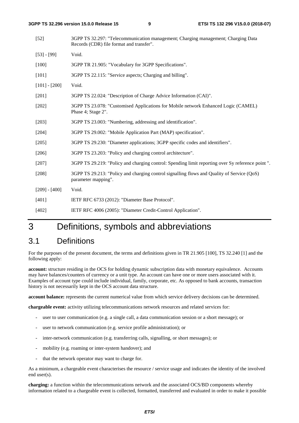| $[52]$          | 3GPP TS 32.297: "Telecommunication management; Charging management; Charging Data<br>Records (CDR) file format and transfer". |
|-----------------|-------------------------------------------------------------------------------------------------------------------------------|
| $[53] - [99]$   | Void.                                                                                                                         |
| [100]           | 3GPP TR 21.905: "Vocabulary for 3GPP Specifications".                                                                         |
| [101]           | 3GPP TS 22.115: "Service aspects; Charging and billing".                                                                      |
| $[101] - [200]$ | Void.                                                                                                                         |
| $[201]$         | 3GPP TS 22.024: "Description of Charge Advice Information (CAI)".                                                             |
| $[202]$         | 3GPP TS 23.078: "Customised Applications for Mobile network Enhanced Logic (CAMEL)<br>Phase 4; Stage 2".                      |
| $[203]$         | 3GPP TS 23.003: "Numbering, addressing and identification".                                                                   |
| [204]           | 3GPP TS 29.002: "Mobile Application Part (MAP) specification".                                                                |
| $[205]$         | 3GPP TS 29.230: "Diameter applications; 3GPP specific codes and identifiers".                                                 |
| [206]           | 3GPP TS 23.203: "Policy and charging control architecture".                                                                   |
| [207]           | 3GPP TS 29.219: "Policy and charging control: Spending limit reporting over Sy reference point".                              |
| [208]           | 3GPP TS 29.213: "Policy and charging control signalling flows and Quality of Service (QoS)<br>parameter mapping".             |
| $[209] - [400]$ | Void.                                                                                                                         |
| [401]           | IETF RFC 6733 (2012): "Diameter Base Protocol".                                                                               |
| [402]           | IETF RFC 4006 (2005): "Diameter Credit-Control Application".                                                                  |

# 3 Definitions, symbols and abbreviations

### 3.1 Definitions

For the purposes of the present document, the terms and definitions given in TR 21.905 [100], TS 32.240 [1] and the following apply:

**account:** structure residing in the OCS for holding dynamic subscription data with monetary equivalence. Accounts may have balances/counters of currency or a unit type. An account can have one or more users associated with it. Examples of account type could include individual, family, corporate, etc. As opposed to bank accounts, transaction history is not necessarily kept in the OCS account data structure.

**account balance:** represents the current numerical value from which service delivery decisions can be determined.

**chargeable event:** activity utilizing telecommunications network resources and related services for:

- user to user communication (e.g. a single call, a data communication session or a short message); or
- user to network communication (e.g. service profile administration); or
- inter-network communication (e.g. transferring calls, signalling, or short messages); or
- mobility (e.g. roaming or inter-system handover); and
- that the network operator may want to charge for.

As a minimum, a chargeable event characterises the resource / service usage and indicates the identity of the involved end user(s).

**charging:** a function within the telecommunications network and the associated OCS/BD components whereby information related to a chargeable event is collected, formatted, transferred and evaluated in order to make it possible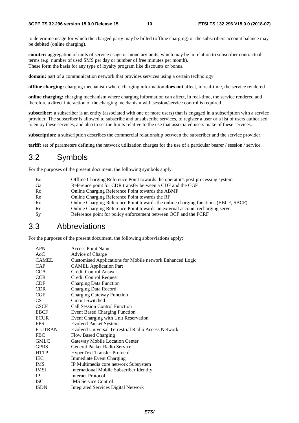to determine usage for which the charged party may be billed (offline charging) or the subscribers account balance may be debited (online charging).

**counter:** aggregation of units of service usage or monetary units, which may be in relation to subscriber contractual terms (e.g. number of used SMS per day or number of free minutes per month). These form the basis for any type of loyalty program like discounts or bonus.

**domain:** part of a communication network that provides services using a certain technology

**offline charging:** charging mechanism where charging information **does not** affect, in real-time, the service rendered

**online charging:** charging mechanism where charging information can affect, in real-time, the service rendered and therefore a direct interaction of the charging mechanism with session/service control is required

**subscriber:** a subscriber is an entity (associated with one or more users) that is engaged in a subscription with a service provider. The subscriber is allowed to subscribe and unsubscribe services, to register a user or a list of users authorised to enjoy these services, and also to set the limits relative to the use that associated users make of these services.

**subscription:** a subscription describes the commercial relationship between the subscriber and the service provider.

**tariff:** set of parameters defining the network utilization charges for the use of a particular bearer / session / service.

### 3.2 Symbols

For the purposes of the present document, the following symbols apply:

| <b>B</b> <sub>o</sub> | Offline Charging Reference Point towards the operator's post-processing system     |
|-----------------------|------------------------------------------------------------------------------------|
| Ga                    | Reference point for CDR transfer between a CDF and the CGF                         |
| Rc                    | Online Charging Reference Point towards the ABMF                                   |
| Re                    | Online Charging Reference Point towards the RF                                     |
| Ro                    | Online Charging Reference Point towards the online charging functions (EBCF, SBCF) |
| Rr                    | Online Charging Reference Point towards an external account recharging server      |
| <b>Sy</b>             | Reference point for policy enforcement between OCF and the PCRF                    |

### 3.3 Abbreviations

For the purposes of the present document, the following abbreviations apply:

| <b>APN</b>     | <b>Access Point Name</b>                                  |
|----------------|-----------------------------------------------------------|
| $A_0C$         | Advice of Charge                                          |
| <b>CAMEL</b>   | Customised Applications for Mobile network Enhanced Logic |
| <b>CAP</b>     | <b>CAMEL Application Part</b>                             |
| <b>CCA</b>     | Credit Control Answer                                     |
| <b>CCR</b>     | Credit Control Request                                    |
| <b>CDF</b>     | <b>Charging Data Function</b>                             |
| <b>CDR</b>     | Charging Data Record                                      |
| CGF            | <b>Charging Gateway Function</b>                          |
| <b>CS</b>      | Circuit Switched                                          |
| <b>CSCF</b>    | <b>Call Session Control Function</b>                      |
| <b>EBCF</b>    | <b>Event Based Charging Function</b>                      |
| <b>ECUR</b>    | Event Charging with Unit Reservation                      |
| <b>EPS</b>     | <b>Evolved Packet System</b>                              |
| <b>E-UTRAN</b> | Evolved Universal Terrestrial Radio Access Network        |
| <b>FBC</b>     | Flow Based Charging                                       |
| <b>GMLC</b>    | Gateway Mobile Location Center                            |
| <b>GPRS</b>    | General Packet Radio Service                              |
| <b>HTTP</b>    | HyperText Transfer Protocol                               |
| <b>IEC</b>     | <b>Immediate Event Charging</b>                           |
| <b>IMS</b>     | IP Multimedia core network Subsystem                      |
| <b>IMSI</b>    | <b>International Mobile Subscriber Identity</b>           |
| $_{\rm IP}$    | Internet Protocol                                         |
| <b>ISC</b>     | <b>IMS</b> Service Control                                |
| <b>ISDN</b>    | <b>Integrated Services Digital Network</b>                |
|                |                                                           |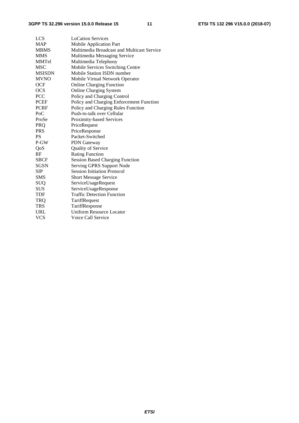| <b>LCS</b>    | <b>LoCation Services</b>                   |
|---------------|--------------------------------------------|
| <b>MAP</b>    | <b>Mobile Application Part</b>             |
| <b>MBMS</b>   | Multimedia Broadcast and Multicast Service |
| <b>MMS</b>    | Multimedia Messaging Service               |
| <b>MMTel</b>  | Multimedia Telephony                       |
| <b>MSC</b>    | Mobile Services Switching Centre           |
| <b>MSISDN</b> | Mobile Station ISDN number                 |
| <b>MVNO</b>   | Mobile Virtual Network Operator            |
| <b>OCF</b>    | <b>Online Charging Function</b>            |
| <b>OCS</b>    | <b>Online Charging System</b>              |
| <b>PCC</b>    | Policy and Charging Control                |
| PCEF          | Policy and Charging Enforcement Function   |
| <b>PCRF</b>   | Policy and Charging Rules Function         |
| PoC           | Push-to-talk over Cellular                 |
| ProSe         | Proximity-based Services                   |
| PRQ           | PriceRequest                               |
| <b>PRS</b>    | PriceResponse                              |
| <b>PS</b>     | Packet-Switched                            |
| P-GW          | <b>PDN</b> Gateway                         |
| QoS           | Quality of Service                         |
| RF            | <b>Rating Function</b>                     |
| <b>SBCF</b>   | <b>Session Based Charging Function</b>     |
| <b>SGSN</b>   | Serving GPRS Support Node                  |
| SIP           | <b>Session Initiation Protocol</b>         |
| <b>SMS</b>    | Short Message Service                      |
| <b>SUQ</b>    | ServiceUsageRequest                        |
| <b>SUS</b>    | ServiceUsageResponse                       |
| <b>TDF</b>    | <b>Traffic Detection Function</b>          |
| <b>TRQ</b>    | TariffRequest                              |
| <b>TRS</b>    | TariffResponse                             |
| URL           | <b>Uniform Resource Locator</b>            |
| <b>VCS</b>    | Voice Call Service                         |
|               |                                            |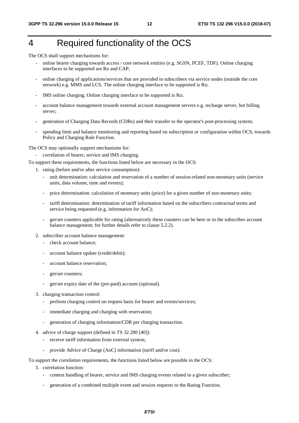# 4 Required functionality of the OCS

The OCS shall support mechanisms for:

- online bearer charging towards access / core network entities (e.g. SGSN, PCEF, TDF). Online charging interfaces to be supported are Ro and CAP;
- online charging of applications/services that are provided to subscribers via service nodes (outside the core network) e.g. MMS and LCS. The online charging interface to be supported is Ro;
- IMS online charging. Online charging interface to be supported is Ro;
- account balance management towards external account management servers e.g. recharge server, hot billing server;
- generation of Charging Data Records (CDRs) and their transfer to the operator's post-processing system;
- spending limit and balance monitoring and reporting based on subscription or configuration within OCS, towards Policy and Charging Rule Function.

The OCS may optionally support mechanisms for:

- correlation of bearer, service and IMS charging.

To support these requirements, the functions listed below are necessary in the OCS:

- 1. rating (before and/or after service consumption):
	- unit determination: calculation and reservation of a number of session-related non-monetary units (service units, data volume, time and events);
	- price determination: calculation of monetary units (price) for a given number of non-monetary units;
	- tariff determination: determination of tariff information based on the subscribers contractual terms and service being requested (e.g. information for AoC);
	- get/set counters applicable for rating (alternatively these counters can be here or in the subscriber account balance management; for further details refer to clause 5.2.2).
- 2. subscriber account balance management:
	- check account balance;
	- account balance update (credit/debit);
	- account balance reservation;
	- get/set counters;
	- get/set expiry date of the (pre-paid) account (optional).
- 3. charging transaction control:
	- perform charging control on request basis for bearer and events/services;
	- immediate charging and charging with reservation;
	- generation of charging information/CDR per charging transaction.
- 4. advice of charge support (defined in TS 32.280 [40]):
	- receive tariff information from external system;
	- provide Advice of Charge (AoC) information (tariff and/or cost).

To support the correlation requirements, the functions listed below are possible in the OCS:

- 5. correlation function:
	- context handling of bearer, service and IMS charging events related to a given subscriber;
	- generation of a combined multiple event and session requests to the Rating Function.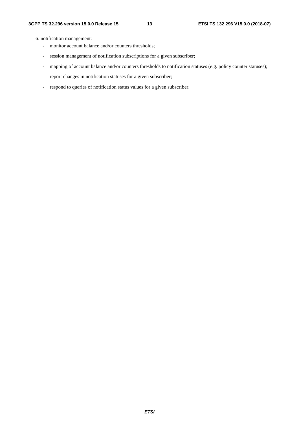6. notification management:

- monitor account balance and/or counters thresholds;
- session management of notification subscriptions for a given subscriber;
- mapping of account balance and/or counters thresholds to notification statuses (e.g. policy counter statuses);
- report changes in notification statuses for a given subscriber;
- respond to queries of notification status values for a given subscriber.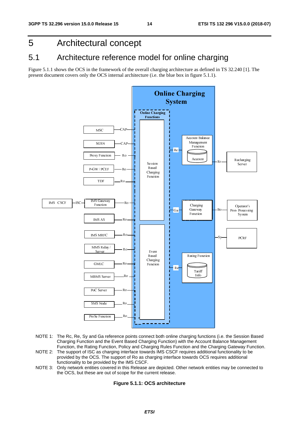# 5 Architectural concept

### 5.1 Architecture reference model for online charging

Figure 5.1.1 shows the OCS in the framework of the overall charging architecture as defined in TS 32.240 [1]. The present document covers only the OCS internal architecture (i.e. the blue box in figure 5.1.1).



- NOTE 1: The Rc, Re, Sy and Ga reference points connect both online charging functions (i.e. the Session Based Charging Function and the Event Based Charging Function) with the Account Balance Management Function, the Rating Function, Policy and Charging Rules Function and the Charging Gateway Function.
- NOTE 2: The support of ISC as charging interface towards IMS CSCF requires additional functionality to be provided by the OCS. The support of Ro as charging interface towards OCS requires additional functionality to be provided by the IMS CSCF.
- NOTE 3: Only network entities covered in this Release are depicted. Other network entities may be connected to the OCS, but these are out of scope for the current release.

#### **Figure 5.1.1: OCS architecture**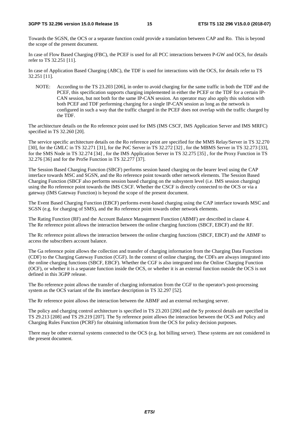Towards the SGSN, the OCS or a separate function could provide a translation between CAP and Ro. This is beyond the scope of the present document.

In case of Flow Based Charging (FBC), the PCEF is used for all PCC interactions between P-GW and OCS, for details refer to TS 32.251 [11].

In case of Application Based Charging (ABC), the TDF is used for interactions with the OCS, for details refer to TS 32.251 [11].

NOTE: According to the TS 23.203 [206], in order to avoid charging for the same traffic in both the TDF and the PCEF, this specification supports charging implemented in either the PCEF or the TDF for a certain IP-CAN session, but not both for the same IP-CAN session. An operator may also apply this solution with both PCEF and TDF performing charging for a single IP-CAN session as long as the network is configured in such a way that the traffic charged in the PCEF does not overlap with the traffic charged by the TDF.

The architecture details on the Ro reference point used for IMS (IMS CSCF, IMS Application Server and IMS MRFC) specified in TS 32.260 [20].

The service specific architecture details on the Ro reference point are specified for the MMS Relay/Server in TS 32.270 [30], for the GMLC in TS 32.271 [31], for the PoC Server in TS 32.272 [32] , for the MBMS Server in TS 32.273 [33], for the SMS Node in TS 32.274 [34] , for the IMS Application Server in TS 32.275 [35] , for the Proxy Function in TS 32.276 [36] and for the ProSe Function in TS 32.277 [37].

The Session Based Charging Function (SBCF) performs session based charging on the bearer level using the CAP interface towards MSC and SGSN, and the Ro reference point towards other network elements. The Session Based Charging Function (SBCF also performs session based charging on the subsystem level (i.e. IMS session charging) using the Ro reference point towards the IMS CSCF. Whether the CSCF is directly connected to the OCS or via a gateway (IMS Gateway Function) is beyond the scope of the present document.

The Event Based Charging Function (EBCF) performs event-based charging using the CAP interface towards MSC and SGSN (e.g. for charging of SMS), and the Ro reference point towards other network elements.

The Rating Function (RF) and the Account Balance Management Function (ABMF) are described in clause 4. The Re reference point allows the interaction between the online charging functions (SBCF, EBCF) and the RF.

The Rc reference point allows the interaction between the online charging functions (SBCF, EBCF) and the ABMF to access the subscribers account balance.

The Ga reference point allows the collection and transfer of charging information from the Charging Data Functions (CDF) to the Charging Gateway Function (CGF). In the context of online charging, the CDFs are always integrated into the online charging functions (SBCF, EBCF). Whether the CGF is also integrated into the Online Charging Function (OCF), or whether it is a separate function inside the OCS, or whether it is an external function outside the OCS is not defined in this 3GPP release.

The Bo reference point allows the transfer of charging information from the CGF to the operator's post-processing system as the OCS variant of the Bx interface description in TS 32.297 [52].

The Rr reference point allows the interaction between the ABMF and an external recharging server.

The policy and charging control architecture is specified in TS 23.203 [206] and the Sy protocol details are specified in TS 29.213 [208] and TS 29.219 [207]. The Sy reference point allows the interaction between the OCS and Policy and Charging Rules Function (PCRF) for obtaining information from the OCS for policy decision purposes.

There may be other external systems connected to the OCS (e.g. hot billing server). These systems are not considered in the present document.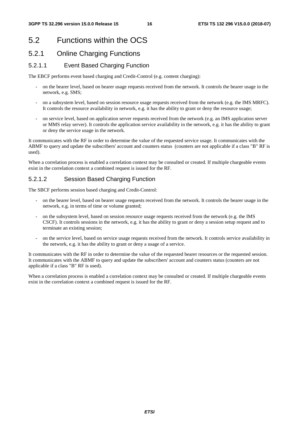# 5.2 Functions within the OCS

### 5.2.1 Online Charging Functions

### 5.2.1.1 Event Based Charging Function

The EBCF performs event based charging and Credit-Control (e.g. content charging):

- on the bearer level, based on bearer usage requests received from the network. It controls the bearer usage in the network, e.g. SMS;
- on a subsystem level, based on session resource usage requests received from the network (e.g. the IMS MRFC). It controls the resource availability in network, e.g. it has the ability to grant or deny the resource usage;
- on service level, based on application server requests received from the network (e.g. an IMS application server or MMS relay server). It controls the application service availability in the network, e.g. it has the ability to grant or deny the service usage in the network.

It communicates with the RF in order to determine the value of the requested service usage. It communicates with the ABMF to query and update the subscribers' account and counters status (counters are not applicable if a class "B" RF is used).

When a correlation process is enabled a correlation context may be consulted or created. If multiple chargeable events exist in the correlation context a combined request is issued for the RF.

### 5.2.1.2 Session Based Charging Function

The SBCF performs session based charging and Credit-Control:

- on the bearer level, based on bearer usage requests received from the network. It controls the bearer usage in the network, e.g. in terms of time or volume granted;
- on the subsystem level, based on session resource usage requests received from the network (e.g. the IMS CSCF). It controls sessions in the network, e.g. it has the ability to grant or deny a session setup request and to terminate an existing session;
- on the service level, based on service usage requests received from the network. It controls service availability in the network, e.g. it has the ability to grant or deny a usage of a service.

It communicates with the RF in order to determine the value of the requested bearer resources or the requested session. It communicates with the ABMF to query and update the subscribers' account and counters status (counters are not applicable if a class "B" RF is used).

When a correlation process is enabled a correlation context may be consulted or created. If multiple chargeable events exist in the correlation context a combined request is issued for the RF.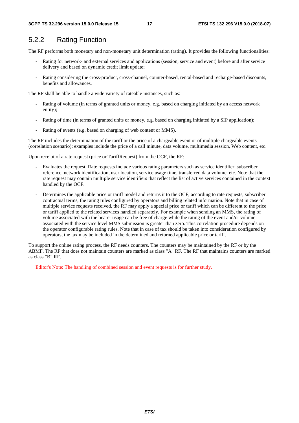### 5.2.2 Rating Function

The RF performs both monetary and non-monetary unit determination (rating). It provides the following functionalities:

- Rating for network- and external services and applications (session, service and event) before and after service delivery and based on dynamic credit limit update;
- Rating considering the cross-product, cross-channel, counter-based, rental-based and recharge-based discounts, benefits and allowances.

The RF shall be able to handle a wide variety of rateable instances, such as:

- Rating of volume (in terms of granted units or money, e.g. based on charging initiated by an access network entity);
- Rating of time (in terms of granted units or money, e.g. based on charging initiated by a SIP application);
- Rating of events (e.g. based on charging of web content or MMS).

The RF includes the determination of the tariff or the price of a chargeable event or of multiple chargeable events (correlation scenario); examples include the price of a call minute, data volume, multimedia session, Web content, etc.

Upon receipt of a rate request (price or TariffRequest) from the OCF, the RF:

- Evaluates the request. Rate requests include various rating parameters such as service identifier, subscriber reference, network identification, user location, service usage time, transferred data volume, etc. Note that the rate request may contain multiple service identifiers that reflect the list of active services contained in the context handled by the OCF.
- Determines the applicable price or tariff model and returns it to the OCF, according to rate requests, subscriber contractual terms, the rating rules configured by operators and billing related information. Note that in case of multiple service requests received, the RF may apply a special price or tariff which can be different to the price or tariff applied to the related services handled separately. For example when sending an MMS, the rating of volume associated with the bearer usage can be free of charge while the rating of the event and/or volume associated with the service level MMS submission is greater than zero. This correlation procedure depends on the operator configurable rating rules. Note that in case of tax should be taken into consideration configured by operators, the tax may be included in the determined and returned applicable price or tariff.

To support the online rating process, the RF needs counters. The counters may be maintained by the RF or by the ABMF. The RF that does not maintain counters are marked as class "A" RF. The RF that maintains counters are marked as class "B" RF.

Editor's Note: The handling of combined session and event requests is for further study.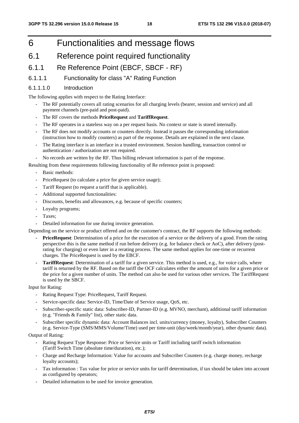# 6 Functionalities and message flows

### 6.1 Reference point required functionality

### 6.1.1 Re Reference Point (EBCF, SBCF - RF)

### 6.1.1.1 Functionality for class "A" Rating Function

#### 6.1.1.1.0 Introduction

The following applies with respect to the Rating Interface:

- The RF potentially covers all rating scenarios for all charging levels (bearer, session and service) and all payment channels (pre-paid and post-paid).
- The RF covers the methods **PriceRequest** and **TariffRequest**.
- The RF operates in a stateless way on a per request basis. No context or state is stored internally.
- The RF does not modify accounts or counters directly. Instead it passes the corresponding information (instruction how to modify counters) as part of the response. Details are explained in the next clause.
- The Rating interface is an interface in a trusted environment. Session handling, transaction control or authentication / authorization are not required.

- No records are written by the RF. Thus billing relevant information is part of the response.

Resulting from these requirements following functionality of Re reference point is proposed:

- Basic methods:
- PriceRequest (to calculate a price for given service usage);
- Tariff Request (to request a tariff that is applicable).
- Additional supported functionalities:
- Discounts, benefits and allowances, e.g. because of specific counters;
- Loyalty programs;
- Taxes:
- Detailed information for use during invoice generation.

Depending on the service or product offered and on the customer's contract, the RF supports the following methods:

- **PriceRequest**: Determination of a price for the execution of a service or the delivery of a good. From the rating perspective this is the same method if run before delivery (e.g. for balance check or AoC), after delivery (postrating for charging) or even later in a rerating process. The same method applies for one-time or recurrent charges. The PriceRequest is used by the EBCF.
- **TariffRequest**: Determination of a tariff for a given service. This method is used, e.g., for voice calls, where tariff is returned by the RF. Based on the tariff the OCF calculates either the amount of units for a given price or the price for a given number of units. The method can also be used for various other services. The TariffRequest is used by the SBCF.

Input for Rating:

- Rating Request Type: PriceRequest, Tariff Request.
- Service-specific data: Service-ID, Time/Date of Service usage, QoS, etc.
- Subscriber-specific static data: Subscriber-ID, Partner-ID (e.g. MVNO, merchant), additional tariff information (e.g. "Friends & Family" list), other static data.
- Subscriber specific dynamic data: Account Balances incl. units/currency (money, loyalty), Subscriber Counters (e.g. Service-Type (SMS/MMS/Volume/Time) used per time-unit (day/week/month/year), other dynamic data).

Output of Rating:

- Rating Request Type Response: Price or Service units or Tariff including tariff switch information (Tariff Switch Time (absolute time/duration), etc.);
- Charge and Recharge Information: Value for accounts and Subscriber Counters (e.g. charge money, recharge loyalty accounts);
- Tax information : Tax value for price or service units for tariff determination, if tax should be taken into account as configured by operators;
- Detailed information to be used for invoice generation.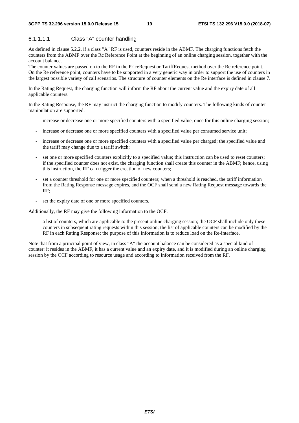### 6.1.1.1.1 Class "A" counter handling

As defined in clause 5.2.2, if a class "A" RF is used, counters reside in the ABMF. The charging functions fetch the counters from the ABMF over the Rc Reference Point at the beginning of an online charging session, together with the account balance.

The counter values are passed on to the RF in the PriceRequest or TariffRequest method over the Re reference point. On the Re reference point, counters have to be supported in a very generic way in order to support the use of counters in the largest possible variety of call scenarios. The structure of counter elements on the Re interface is defined in clause 7.

In the Rating Request, the charging function will inform the RF about the current value and the expiry date of all applicable counters.

In the Rating Response, the RF may instruct the charging function to modify counters. The following kinds of counter manipulation are supported:

- increase or decrease one or more specified counters with a specified value, once for this online charging session;
- increase or decrease one or more specified counters with a specified value per consumed service unit;
- increase or decrease one or more specified counters with a specified value per charged; the specified value and the tariff may change due to a tariff switch;
- set one or more specified counters explicitly to a specified value; this instruction can be used to reset counters; if the specified counter does not exist, the charging function shall create this counter in the ABMF; hence, using this instruction, the RF can trigger the creation of new counters;
- set a counter threshold for one or more specified counters; when a threshold is reached, the tariff information from the Rating Response message expires, and the OCF shall send a new Rating Request message towards the RF;
- set the expiry date of one or more specified counters.

Additionally, the RF may give the following information to the OCF:

a list of counters, which are applicable to the present online charging session; the OCF shall include only these counters in subsequent rating requests within this session; the list of applicable counters can be modified by the RF in each Rating Response; the purpose of this information is to reduce load on the Re-interface.

Note that from a principal point of view, in class "A" the account balance can be considered as a special kind of counter: it resides in the ABMF, it has a current value and an expiry date, and it is modified during an online charging session by the OCF according to resource usage and according to information received from the RF.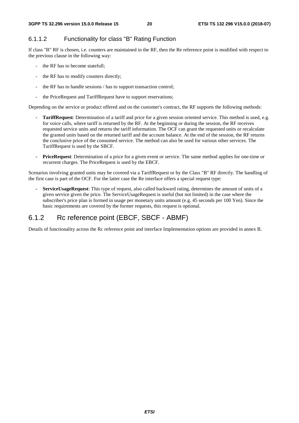### 6.1.1.2 Functionality for class "B" Rating Function

If class "B" RF is chosen, i.e. counters are maintained in the RF, then the Re reference point is modified with respect to the previous clause in the following way:

- the RF has to become statefull;
- the RF has to modify counters directly;
- the RF has to handle sessions / has to support transaction control;
- the PriceRequest and TariffRequest have to support reservations;

Depending on the service or product offered and on the customer's contract, the RF supports the following methods:

- **TariffRequest**: Determination of a tariff and price for a given session oriented service. This method is used, e.g. for voice calls, where tariff is returned by the RF. At the beginning or during the session, the RF receives requested service units and returns the tariff information. The OCF can grant the requested units or recalculate the granted units based on the returned tariff and the account balance. At the end of the session, the RF returns the conclusive price of the consumed service. The method can also be used for various other services. The TariffRequest is used by the SBCF.
- **PriceRequest**: Determination of a price for a given event or service. The same method applies for one-time or recurrent charges. The PriceRequest is used by the EBCF.

Scenarios involving granted units may be covered via a TariffRequest or by the Class "B" RF directly. The handling of the first case is part of the OCF. For the latter case the Re interface offers a special request type:

**- ServiceUsageRequest**: This type of request, also called backward rating, determines the amount of units of a given service given the price. The ServiceUsageRequest is useful (but not limited) in the case where the subscriber's price plan is formed in usage per monetary units amount (e.g. 45 seconds per 100 Yen). Since the basic requirements are covered by the former requests, this request is optional.

### 6.1.2 Rc reference point (EBCF, SBCF - ABMF)

Details of functionality across the Rc reference point and interface Implementation options are provided in annex B.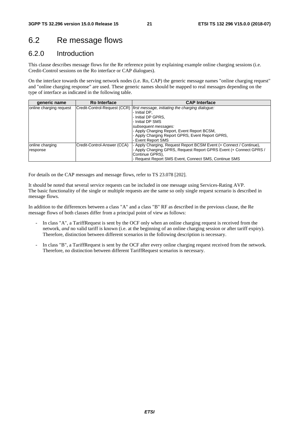## 6.2 Re message flows

### 6.2.0 Introduction

This clause describes message flows for the Re reference point by explaining example online charging sessions (i.e. Credit-Control sessions on the Ro interface or CAP dialogues).

On the interface towards the serving network nodes (i.e. Ro, CAP) the generic message names "online charging request" and "online charging response" are used. These generic names should be mapped to real messages depending on the type of interface as indicated in the following table.

| generic name            | <b>Ro Interface</b>         | <b>CAP Interface</b>                                                            |
|-------------------------|-----------------------------|---------------------------------------------------------------------------------|
| online charging request |                             | Credit-Control-Request (CCR)   first message, initiating the charging dialogue: |
|                         |                             | - Initial DP.                                                                   |
|                         |                             | - Initial DP GPRS.                                                              |
|                         |                             | - Initial DP SMS                                                                |
|                         |                             | subsequent messages:                                                            |
|                         |                             | - Apply Charging Report, Event Report BCSM,                                     |
|                         |                             | - Apply Charging Report GPRS, Event Report GPRS,                                |
|                         |                             | - Event Report SMS                                                              |
| online charging         | Credit-Control-Answer (CCA) | - Apply Charging, Request Report BCSM Event (+ Connect / Continue),             |
| response                |                             | - Apply Charging GPRS, Request Report GPRS Event (+ Connect GPRS /              |
|                         |                             | Continue GPRS),                                                                 |
|                         |                             | - Request Report SMS Event, Connect SMS, Continue SMS                           |

For details on the CAP messages and message flows, refer to TS 23.078 [202].

It should be noted that several service requests can be included in one message using Services-Rating AVP. The basic functionality of the single or multiple requests are the same so only single request scenario is described in message flows.

In addition to the differences between a class "A" and a class "B" RF as described in the previous clause, the Re message flows of both classes differ from a principal point of view as follows:

- In class "A", a TariffRequest is sent by the OCF only when an online charging request is received from the network, *and* no valid tariff is known (i.e. at the beginning of an online charging session or after tariff expiry). Therefore, distinction between different scenarios in the following description is necessary.
- In class "B", a TariffRequest is sent by the OCF after every online charging request received from the network. Therefore, no distinction between different TariffRequest scenarios is necessary.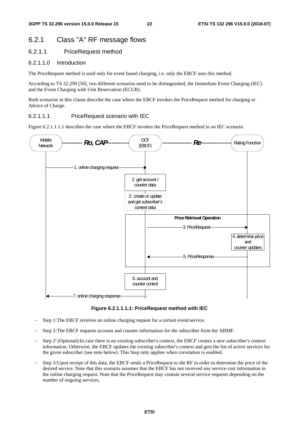### 6.2.1 Class "A" RF message flows

### 6.2.1.1 PriceRequest method

#### 6.2.1.1.0 Introduction

The PriceRequest method is used only for event based charging, i.e. only the EBCF uses this method.

According to TS 32.299 [50], two different scenarios need to be distinguished, the Immediate Event Charging (IEC) and the Event Charging with Unit Reservation (ECUR).

Both scenarios in this clause describe the case where the EBCF invokes the PriceRequest method for charging or Advice of Charge.

#### 6.2.1.1.1 PriceRequest scenario with IEC

Figure 6.2.1.1.1.1 describes the case where the EBCF invokes the PriceRequest method in an IEC scenario.



**Figure 6.2.1.1.1.1: PriceRequest method with IEC** 

- Step 1: The EBCF receives an online charging request for a certain event/service.
- Step 2: The EBCF requests account and counter information for the subscriber from the ABMF.
- Step 2' (Optional):In case there is no existing subscriber's context, the EBCF creates a new subscriber's context information. Otherwise, the EBCF updates the existing subscriber's context and gets the list of active services for the given subscriber (see note below). This Step only applies when correlation is enabled.
- Step 3: Upon receipt of this data, the EBCF sends a PriceRequest to the RF in order to determine the price of the desired service. Note that this scenario assumes that the EBCF has not received any service cost information in the online charging request. Note that the PriceRequest may contain several service requests depending on the number of ongoing services.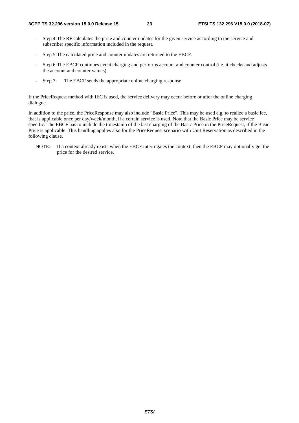- Step 4: The RF calculates the price and counter updates for the given service according to the service and subscriber specific information included in the request.
- Step 5: The calculated price and counter updates are returned to the EBCF.
- Step 6: The EBCF continues event charging and performs account and counter control (i.e. it checks and adjusts the account and counter values).
- Step 7: The EBCF sends the appropriate online charging response.

If the PriceRequest method with IEC is used, the service delivery may occur before or after the online charging dialogue.

In addition to the price, the PriceResponse may also include "Basic Price". This may be used e.g. to realize a basic fee, that is applicable once per day/week/month, if a certain service is used. Note that the Basic Price may be service specific. The EBCF has to include the timestamp of the last charging of the Basic Price in the PriceRequest, if the Basic Price is applicable. This handling applies also for the PriceRequest scenario with Unit Reservation as described in the following clause.

NOTE: If a context already exists when the EBCF interrogates the context, then the EBCF may optionally get the price for the desired service.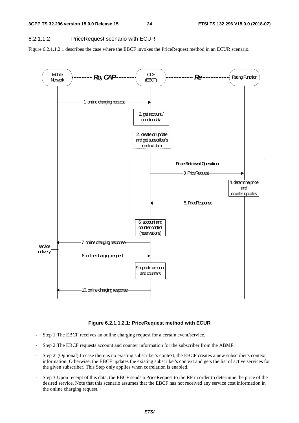### 6.2.1.1.2 PriceRequest scenario with ECUR

Figure 6.2.1.1.2.1 describes the case where the EBCF invokes the PriceRequest method in an ECUR scenario.



### **Figure 6.2.1.1.2.1: PriceRequest method with ECUR**

- Step 1: The EBCF receives an online charging request for a certain event/service.
- Step 2: The EBCF requests account and counter information for the subscriber from the ABMF.
- Step 2' (Optional):In case there is no existing subscriber's context, the EBCF creates a new subscriber's context information. Otherwise, the EBCF updates the existing subscriber's context and gets the list of active services for the given subscriber. This Step only applies when correlation is enabled.
- Step 3: Upon receipt of this data, the EBCF sends a PriceRequest to the RF in order to determine the price of the desired service. Note that this scenario assumes that the EBCF has not received any service cost information in the online charging request.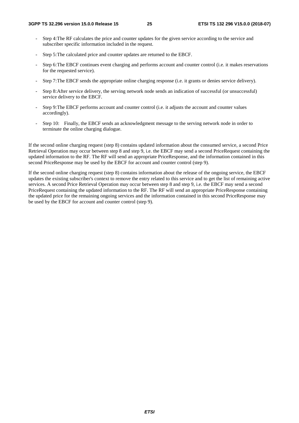- Step 4: The RF calculates the price and counter updates for the given service according to the service and subscriber specific information included in the request.
- Step 5: The calculated price and counter updates are returned to the EBCF.
- Step 6: The EBCF continues event charging and performs account and counter control (i.e. it makes reservations for the requested service).
- Step 7: The EBCF sends the appropriate online charging response (i.e. it grants or denies service delivery).
- Step 8: After service delivery, the serving network node sends an indication of successful (or unsuccessful) service delivery to the EBCF.
- Step 9: The EBCF performs account and counter control (i.e. it adjusts the account and counter values accordingly).
- Step 10: Finally, the EBCF sends an acknowledgment message to the serving network node in order to terminate the online charging dialogue.

If the second online charging request (step 8) contains updated information about the consumed service, a second Price Retrieval Operation may occur between step 8 and step 9, i.e. the EBCF may send a second PriceRequest containing the updated information to the RF. The RF will send an appropriate PriceResponse, and the information contained in this second PriceResponse may be used by the EBCF for account and counter control (step 9).

If the second online charging request (step 8) contains information about the release of the ongoing service, the EBCF updates the existing subscriber's context to remove the entry related to this service and to get the list of remaining active services. A second Price Retrieval Operation may occur between step 8 and step 9, i.e. the EBCF may send a second PriceRequest containing the updated information to the RF. The RF will send an appropriate PriceResponse containing the updated price for the remaining ongoing services and the information contained in this second PriceResponse may be used by the EBCF for account and counter control (step 9).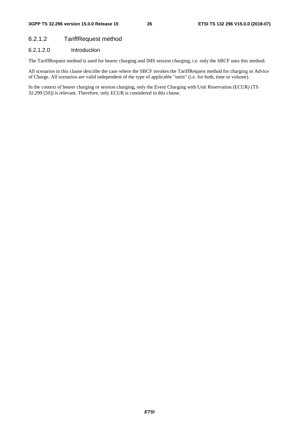### 6.2.1.2 TariffRequest method

### 6.2.1.2.0 Introduction

The TariffRequest method is used for bearer charging and IMS session charging, i.e. only the SBCF uses this method.

All scenarios in this clause describe the case where the SBCF invokes the TariffRequest method for charging or Advice of Charge. All scenarios are valid independent of the type of applicable "units" (i.e. for both, time or volume).

In the context of bearer charging or session charging, only the Event Charging with Unit Reservation (ECUR) (TS 32.299 [50]) is relevant. Therefore, only ECUR is considered in this clause.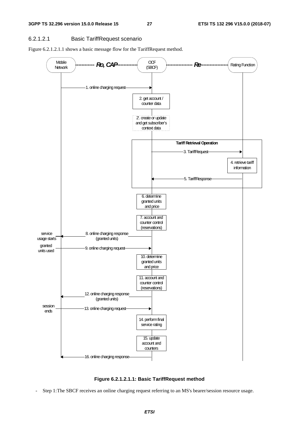### 6.2.1.2.1 Basic TariffRequest scenario

Figure 6.2.1.2.1.1 shows a basic message flow for the TariffRequest method.





Step 1: The SBCF receives an online charging request referring to an MS's bearer/session resource usage.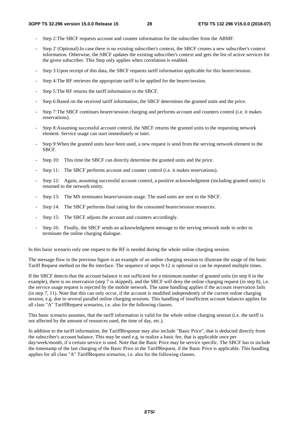- Step 2: The SBCF requests account and counter information for the subscriber from the ABMF.
- Step 2' (Optional):In case there is no existing subscriber's context, the SBCF creates a new subscriber's context information. Otherwise, the SBCF updates the existing subscriber's context and gets the list of active services for the given subscriber. This Step only applies when correlation is enabled.
- Step 3: Upon receipt of this data, the SBCF requests tariff information applicable for this bearer/session.
- Step 4: The RF retrieves the appropriate tariff to be applied for the bearer/session.
- Step 5: The RF returns the tariff information to the SBCF.
- Step 6: Based on the received tariff information, the SBCF determines the granted units and the price.
- Step 7: The SBCF continues bearer/session charging and performs account and counters control (i.e. it makes reservations).
- Step 8: Assuming successful account control, the SBCF returns the granted units to the requesting network element. Service usage can start immediately or later.
- Step 9: When the granted units have been used, a new request is send from the serving network element to the SBCF.
- Step 10: This time the SBCF can directly determine the granted units and the price.
- Step 11: The SBCF performs account and counter control (i.e. it makes reservations).
- Step 12: Again, assuming successful account control, a positive acknowledgment (including granted units) is returned to the network entity.
- Step 13: The MS terminates bearer/session usage. The used units are sent to the SBCF.
- Step 14: The SBCF performs final rating for the consumed bearer/session resources.
- Step 15: The SBCF adjusts the account and counters accordingly.
- Step 16: Finally, the SBCF sends an acknowledgment message to the serving network node in order to terminate the online charging dialogue.

In this basic scenario only one request to the RF is needed during the whole online charging session.

The message flow in the previous figure is an example of an online charging session to illustrate the usage of the basic Tariff Request method on the Re interface. The sequence of steps 9-12 is optional or can be repeated multiple times.

If the SBCF detects that the account balance is not sufficient for a minimum number of granted units (in step 6 in the example), there is no reservation (step 7 is skipped), and the SBCF will deny the online charging request (in step 8), i.e. the service usage request is rejected by the mobile network. The same handling applies if the account reservation fails (in step 7, 11). Note that this can only occur, if the account is modified independently of the current online charging session, e.g. due to several parallel online charging sessions. This handling of insufficient account balances applies for all class "A" TariffRequest scenarios, i.e. also for the following clauses.

This basic scenario assumes, that the tariff information is valid for the whole online charging session (i.e. the tariff is not affected by the amount of resources used, the time of day, etc.).

In addition to the tariff information, the TariffResponse may also include "Basic Price", that is deducted directly from the subscriber's account balance. This may be used e.g. to realize a basic fee, that is applicable once per day/week/month, if a certain service is used. Note that the Basic Price may be service specific. The SBCF has to include the timestamp of the last charging of the Basic Price in the TariffRequest, if the Basic Price is applicable. This handling applies for all class "A" TariffRequest scenarios, i.e. also for the following clauses.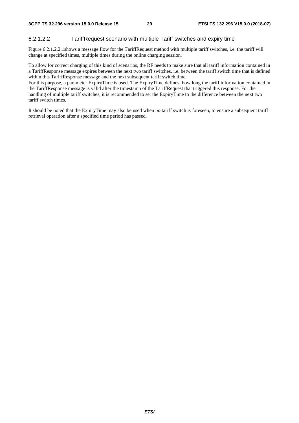#### 6.2.1.2.2 TariffRequest scenario with multiple Tariff switches and expiry time

Figure 6.2.1.2.2.1shows a message flow for the TariffRequest method with multiple tariff switches, i.e. the tariff will change at specified times, multiple times during the online charging session.

To allow for correct charging of this kind of scenarios, the RF needs to make sure that all tariff information contained in a TariffResponse message expires between the next two tariff switches, i.e. between the tariff switch time that is defined within this TariffResponse message and the next subsequent tariff switch time.

For this purpose, a parameter ExpiryTime is used. The ExpiryTime defines, how long the tariff information contained in the TariffResponse message is valid after the timestamp of the TariffRequest that triggered this response. For the handling of multiple tariff switches, it is recommended to set the ExpiryTime to the difference between the next two tariff switch times.

It should be noted that the ExpiryTime may also be used when *no* tariff switch is foreseen, to ensure a subsequent tariff retrieval operation after a specified time period has passed.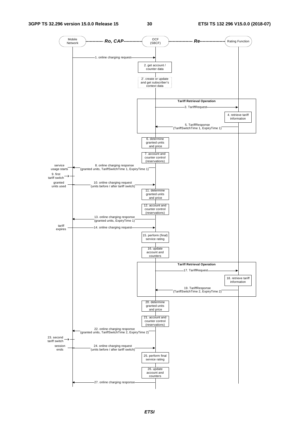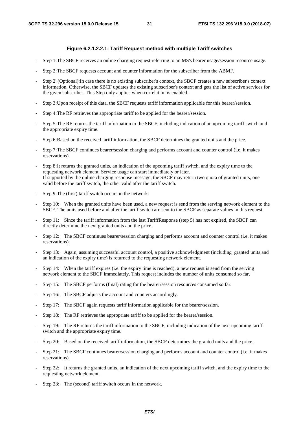#### **Figure 6.2.1.2.2.1: Tariff Request method with multiple Tariff switches**

- Step 1: The SBCF receives an online charging request referring to an MS's bearer usage/session resource usage.
- Step 2: The SBCF requests account and counter information for the subscriber from the ABMF.
- Step 2' (Optional):In case there is no existing subscriber's context, the SBCF creates a new subscriber's context information. Otherwise, the SBCF updates the existing subscriber's context and gets the list of active services for the given subscriber. This Step only applies when correlation is enabled.
- Step 3: Upon receipt of this data, the SBCF requests tariff information applicable for this bearer/session.
- Step 4: The RF retrieves the appropriate tariff to be applied for the bearer/session.
- Step 5: The RF returns the tariff information to the SBCF, including indication of an upcoming tariff switch and the appropriate expiry time.
- Step 6: Based on the received tariff information, the SBCF determines the granted units and the price.
- Step 7: The SBCF continues bearer/session charging and performs account and counter control (i.e. it makes reservations).
- Step 8: It returns the granted units, an indication of the upcoming tariff switch, and the expiry time to the requesting network element. Service usage can start immediately or later. If supported by the online charging response message, the SBCF may return two quota of granted units, one valid before the tariff switch, the other valid after the tariff switch.
- Step 9: The (first) tariff switch occurs in the network.
- Step 10: When the granted units have been used, a new request is send from the serving network element to the SBCF. The units used before and after the tariff switch are sent to the SBCF as separate values in this request.
- Step 11: Since the tariff information from the last TariffResponse (step 5) has not expired, the SBCF can directly determine the next granted units and the price.
- Step 12: The SBCF continues bearer/session charging and performs account and counter control (i.e. it makes reservations).
- Step 13: Again, assuming successful account control, a positive acknowledgment (including granted units and an indication of the expiry time) is returned to the requesting network element.
- Step 14: When the tariff expires (i.e. the expiry time is reached), a new request is send from the serving network element to the SBCF immediately. This request includes the number of units consumed so far.
- Step 15: The SBCF performs (final) rating for the bearer/session resources consumed so far.
- Step 16: The SBCF adjusts the account and counters accordingly.
- Step 17: The SBCF again requests tariff information applicable for the bearer/session.
- Step 18: The RF retrieves the appropriate tariff to be applied for the bearer/session.
- Step 19: The RF returns the tariff information to the SBCF, including indication of the next upcoming tariff switch and the appropriate expiry time.
- Step 20: Based on the received tariff information, the SBCF determines the granted units and the price.
- Step 21: The SBCF continues bearer/session charging and performs account and counter control (i.e. it makes reservations).
- Step 22: It returns the granted units, an indication of the next upcoming tariff switch, and the expiry time to the requesting network element.
- Step 23: The (second) tariff switch occurs in the network.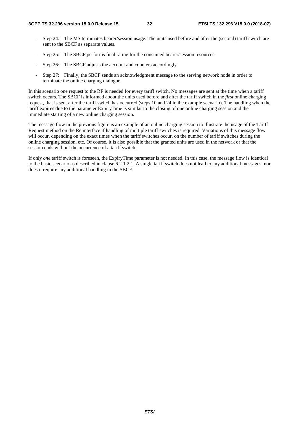- Step 24: The MS terminates bearer/session usage. The units used before and after the (second) tariff switch are sent to the SBCF as separate values.
- Step 25: The SBCF performs final rating for the consumed bearer/session resources.
- Step 26: The SBCF adjusts the account and counters accordingly.
- Step 27: Finally, the SBCF sends an acknowledgment message to the serving network node in order to terminate the online charging dialogue.

In this scenario one request to the RF is needed for every tariff switch. No messages are sent at the time when a tariff switch occurs. The SBCF is informed about the units used before and after the tariff switch in the *first* online charging request, that is sent after the tariff switch has occurred (steps 10 and 24 in the example scenario). The handling when the tariff expires due to the parameter ExpiryTime is similar to the closing of one online charging session and the immediate starting of a new online charging session.

The message flow in the previous figure is an example of an online charging session to illustrate the usage of the Tariff Request method on the Re interface if handling of multiple tariff switches is required. Variations of this message flow will occur, depending on the exact times when the tariff switches occur, on the number of tariff switches during the online charging session, etc. Of course, it is also possible that the granted units are used in the network or that the session ends without the occurrence of a tariff switch.

If only *one* tariff switch is foreseen, the ExpiryTime parameter is not needed. In this case, the message flow is identical to the basic scenario as described in clause 6.2.1.2.1. A single tariff switch does not lead to any additional messages, nor does it require any additional handling in the SBCF.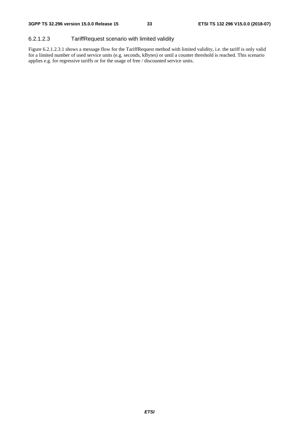#### 6.2.1.2.3 TariffRequest scenario with limited validity

Figure 6.2.1.2.3.1 shows a message flow for the TariffRequest method with limited validity, i.e. the tariff is only valid for a limited number of used service units (e.g. seconds, kBytes) or until a counter threshold is reached. This scenario applies e.g. for regressive tariffs or for the usage of free / discounted service units.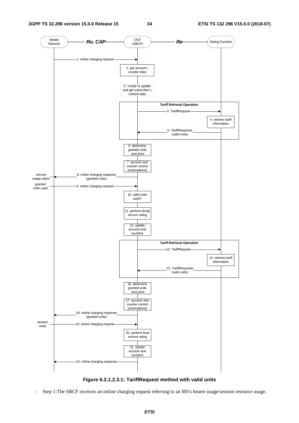

**Figure 6.2.1.2.3.1: TariffRequest method with valid units** 

Step 1: The SBCF receives an online charging request referring to an MS's bearer usage/session resource usage.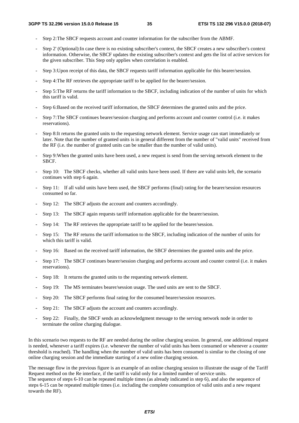- Step 2: The SBCF requests account and counter information for the subscriber from the ABMF.
- Step 2' (Optional):In case there is no existing subscriber's context, the SBCF creates a new subscriber's context information. Otherwise, the SBCF updates the existing subscriber's context and gets the list of active services for the given subscriber. This Step only applies when correlation is enabled.
- Step 3: Upon receipt of this data, the SBCF requests tariff information applicable for this bearer/session.
- Step 4: The RF retrieves the appropriate tariff to be applied for the bearer/session.
- Step 5: The RF returns the tariff information to the SBCF, including indication of the number of units for which this tariff is valid.
- Step 6: Based on the received tariff information, the SBCF determines the granted units and the price.
- Step 7: The SBCF continues bearer/session charging and performs account and counter control (i.e. it makes reservations).
- Step 8: It returns the granted units to the requesting network element. Service usage can start immediately or later. Note that the number of granted units is in general different from the number of "valid units" received from the RF (i.e. the number of granted units can be smaller than the number of valid units).
- Step 9: When the granted units have been used, a new request is send from the serving network element to the SBCF.
- Step 10: The SBCF checks, whether all valid units have been used. If there are valid units left, the scenario continues with step 6 again.
- Step 11: If all valid units have been used, the SBCF performs (final) rating for the bearer/session resources consumed so far.
- Step 12: The SBCF adjusts the account and counters accordingly.
- Step 13: The SBCF again requests tariff information applicable for the bearer/session.
- Step 14: The RF retrieves the appropriate tariff to be applied for the bearer/session.
- Step 15: The RF returns the tariff information to the SBCF, including indication of the number of units for which this tariff is valid.
- Step 16: Based on the received tariff information, the SBCF determines the granted units and the price.
- Step 17: The SBCF continues bearer/session charging and performs account and counter control (i.e. it makes reservations).
- Step 18: It returns the granted units to the requesting network element.
- Step 19: The MS terminates bearer/session usage. The used units are sent to the SBCF.
- Step 20: The SBCF performs final rating for the consumed bearer/session resources.
- Step 21: The SBCF adjusts the account and counters accordingly.
- Step 22: Finally, the SBCF sends an acknowledgment message to the serving network node in order to terminate the online charging dialogue.

In this scenario two requests to the RF are needed during the online charging session. In general, one additional request is needed, whenever a tariff expires (i.e. whenever the number of valid units has been consumed or whenever a counter threshold is reached). The handling when the number of valid units has been consumed is similar to the closing of one online charging session and the immediate starting of a new online charging session.

The message flow in the previous figure is an example of an online charging session to illustrate the usage of the Tariff Request method on the Re interface, if the tariff is valid only for a limited number of service units. The sequence of steps 6-10 can be repeated multiple times (as already indicated in step 6), and also the sequence of steps 6-15 can be repeated multiple times (i.e. including the complete consumption of valid units and a new request towards the RF).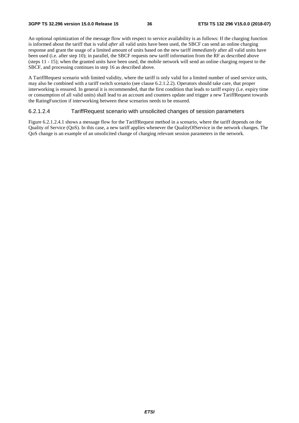An optional optimization of the message flow with respect to service availability is as follows: If the charging function is informed about the tariff that is valid *after* all valid units have been used, the SBCF can send an online charging response and grant the usage of a limited amount of units based on the new tariff *immediately* after all valid units have been used (i.e. after step 10); in parallel, the SBCF requests new tariff information from the RF as described above (steps 11 - 15); when the granted units have been used, the mobile network will send an online charging request to the SBCF, and processing continues in step 16 as described above.

A TariffRequest scenario with limited validity, where the tariff is only valid for a limited number of used service units, may also be combined with a tariff switch scenario (see clause 6.2.1.2.2). Operators should take care, that proper interworking is ensured. In general it is recommended, that the first condition that leads to tariff expiry (i.e. expiry time or consumption of all valid units) shall lead to an account and counters update and trigger a new TariffRequest towards the RatingFunction if interworking between these scenarios needs to be ensured.

#### 6.2.1.2.4 TariffRequest scenario with unsolicited changes of session parameters

Figure 6.2.1.2.4.1 shows a message flow for the TariffRequest method in a scenario, where the tariff depends on the Quality of Service (QoS). In this case, a new tariff applies whenever the QualityOfService in the network changes. The QoS change is an example of an unsolicited change of charging relevant session parameters in the network.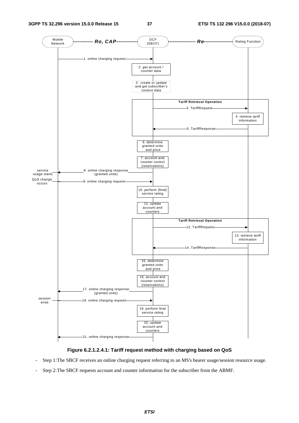

#### **Figure 6.2.1.2.4.1: Tariff request method with charging based on QoS**

- Step 1: The SBCF receives an online charging request referring to an MS's bearer usage/session resource usage.
- Step 2: The SBCF requests account and counter information for the subscriber from the ABMF.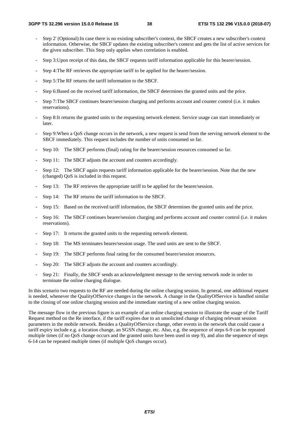- Step 2' (Optional):In case there is no existing subscriber's context, the SBCF creates a new subscriber's context information. Otherwise, the SBCF updates the existing subscriber's context and gets the list of active services for the given subscriber. This Step only applies when correlation is enabled.
- Step 3: Upon receipt of this data, the SBCF requests tariff information applicable for this bearer/session.
- Step 4: The RF retrieves the appropriate tariff to be applied for the bearer/session.
- Step 5: The RF returns the tariff information to the SBCF.
- Step 6: Based on the received tariff information, the SBCF determines the granted units and the price.
- Step 7: The SBCF continues bearer/session charging and performs account and counter control (i.e. it makes reservations).
- Step 8: It returns the granted units to the requesting network element. Service usage can start immediately or later.
- Step 9: When a QoS change occurs in the network, a new request is send from the serving network element to the SBCF immediately. This request includes the number of units consumed so far.
- Step 10: The SBCF performs (final) rating for the bearer/session resources consumed so far.
- Step 11: The SBCF adjusts the account and counters accordingly.
- Step 12: The SBCF again requests tariff information applicable for the bearer/session. Note that the new (changed) QoS is included in this request.
- Step 13: The RF retrieves the appropriate tariff to be applied for the bearer/session.
- Step 14: The RF returns the tariff information to the SBCF.
- Step 15: Based on the received tariff information, the SBCF determines the granted units and the price.
- Step 16: The SBCF continues bearer/session charging and performs account and counter control (i.e. it makes reservations).
- Step 17: It returns the granted units to the requesting network element.
- Step 18: The MS terminates bearer/session usage. The used units are sent to the SBCF.
- Step 19: The SBCF performs final rating for the consumed bearer/session resources.
- Step 20: The SBCF adjusts the account and counters accordingly.
- Step 21: Finally, the SBCF sends an acknowledgment message to the serving network node in order to terminate the online charging dialogue.

In this scenario two requests to the RF are needed during the online charging session. In general, one additional request is needed, whenever the QualityOfService changes in the network. A change in the QualityOfService is handled similar to the closing of one online charging session and the immediate starting of a new online charging session.

The message flow in the previous figure is an example of an online charging session to illustrate the usage of the Tariff Request method on the Re interface, if the tariff expires due to an unsolicited change of charging relevant session parameters in the mobile network. Besides a QualityOfService change, other events in the network that could cause a tariff expiry include e.g. a location change, an SGSN change, etc. Also, e.g. the sequence of steps 6-9 can be repeated multiple times (if no OoS change occurs and the granted units have been used in step 9), and also the sequence of steps 6-14 can be repeated multiple times (if multiple QoS changes occur).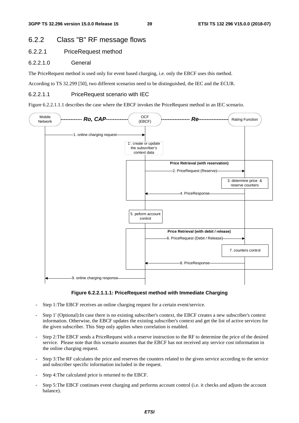# 6.2.2 Class "B" RF message flows

# 6.2.2.1 PriceRequest method

# 6.2.2.1.0 General

The PriceRequest method is used only for event based charging, i.e. only the EBCF uses this method.

According to TS 32.299 [50], two different scenarios need to be distinguished, the IEC and the ECUR.

# 6.2.2.1.1 PriceRequest scenario with IEC

Figure 6.2.2.1.1.1 describes the case where the EBCF invokes the PriceRequest method in an IEC scenario.





- Step 1: The EBCF receives an online charging request for a certain event/service.
- Step 1' (Optional):In case there is no existing subscriber's context, the EBCF creates a new subscriber's context information. Otherwise, the EBCF updates the existing subscriber's context and get the list of active services for the given subscriber. This Step only applies when correlation is enabled.
- Step 2: The EBCF sends a PriceRequest with a reserve instruction to the RF to determine the price of the desired service. Please note that this scenario assumes that the EBCF has not received any service cost information in the online charging request.
- Step 3: The RF calculates the price and reserves the counters related to the given service according to the service and subscriber specific information included in the request.
- Step 4: The calculated price is returned to the EBCF.
- Step 5: The EBCF continues event charging and performs account control (i.e. it checks and adjusts the account balance).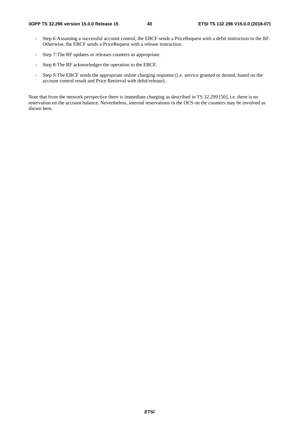- Step 6: Assuming a successful account control, the EBCF sends a PriceRequest with a debit instruction to the RF. Otherwise, the EBCF sends a PriceRequest with a release instruction.
- Step 7: The RF updates or releases counters as appropriate.
- Step 8: The RF acknowledges the operation to the EBCF.
- Step 9: The EBCF sends the appropriate online charging response (i.e. service granted or denied, based on the account control result and Price Retrieval with debit/release).

Note that from the network perspective there is immediate charging as described in TS 32.299 [50], i.e. there is no reservation on the account balance. Nevertheless, internal reservations in the OCS on the counters may be involved as shown here.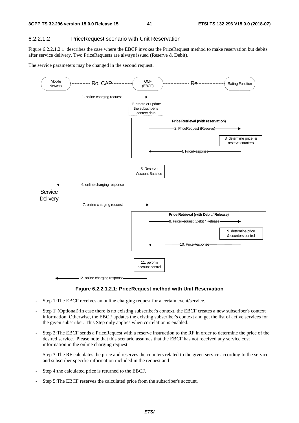## 6.2.2.1.2 PriceRequest scenario with Unit Reservation

Figure 6.2.2.1.2.1 describes the case where the EBCF invokes the PriceRequest method to make reservation but debits after service delivery. Two PriceRequests are always issued (Reserve & Debit).

The service parameters may be changed in the second request.



#### **Figure 6.2.2.1.2.1: PriceRequest method with Unit Reservation**

- Step 1: The EBCF receives an online charging request for a certain event/service.
- Step 1' (Optional):In case there is no existing subscriber's context, the EBCF creates a new subscriber's context information. Otherwise, the EBCF updates the existing subscriber's context and get the list of active services for the given subscriber. This Step only applies when correlation is enabled.
- Step 2: The EBCF sends a PriceRequest with a reserve instruction to the RF in order to determine the price of the desired service. Please note that this scenario assumes that the EBCF has not received any service cost information in the online charging request.
- Step 3: The RF calculates the price and reserves the counters related to the given service according to the service and subscriber specific information included in the request and
- Step 4: the calculated price is returned to the EBCF.
- Step 5: The EBCF reserves the calculated price from the subscriber's account.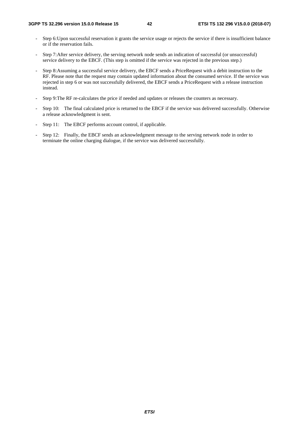- Step 6: Upon successful reservation it grants the service usage or rejects the service if there is insufficient balance or if the reservation fails.
- Step 7: After service delivery, the serving network node sends an indication of successful (or unsuccessful) service delivery to the EBCF. (This step is omitted if the service was rejected in the previous step.)
- Step 8: Assuming a successful service delivery, the EBCF sends a PriceRequest with a debit instruction to the RF. Please note that the request may contain updated information about the consumed service. If the service was rejected in step 6 or was not successfully delivered, the EBCF sends a PriceRequest with a release instruction instead.
- Step 9: The RF re-calculates the price if needed and updates or releases the counters as necessary.
- Step 10: The final calculated price is returned to the EBCF if the service was delivered successfully. Otherwise a release acknowledgment is sent.
- Step 11: The EBCF performs account control, if applicable.
- Step 12: Finally, the EBCF sends an acknowledgment message to the serving network node in order to terminate the online charging dialogue, if the service was delivered successfully.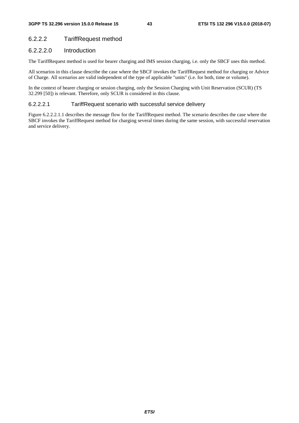# 6.2.2.2 TariffRequest method

# 6.2.2.2.0 Introduction

The TariffRequest method is used for bearer charging and IMS session charging, i.e. only the SBCF uses this method.

All scenarios in this clause describe the case where the SBCF invokes the TariffRequest method for charging or Advice of Charge. All scenarios are valid independent of the type of applicable "units" (i.e. for both, time or volume).

In the context of bearer charging or session charging, only the Session Charging with Unit Reservation (SCUR) (TS 32.299 [50]) is relevant. Therefore, only SCUR is considered in this clause.

## 6.2.2.2.1 TariffRequest scenario with successful service delivery

Figure 6.2.2.2.1.1 describes the message flow for the TariffRequest method. The scenario describes the case where the SBCF invokes the TariffRequest method for charging several times during the same session, with successful reservation and service delivery.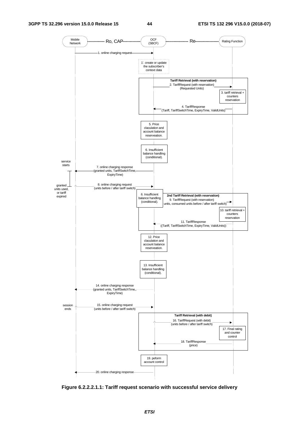

**Figure 6.2.2.2.1.1: Tariff request scenario with successful service delivery**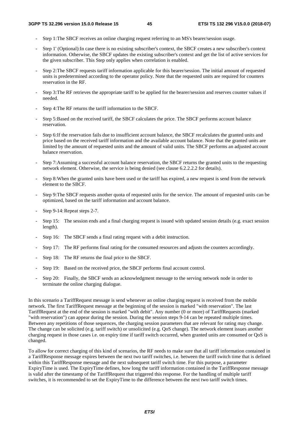- Step 1: The SBCF receives an online charging request referring to an MS's bearer/session usage.
- Step 1' (Optional):In case there is no existing subscriber's context, the SBCF creates a new subscriber's context information. Otherwise, the SBCF updates the existing subscriber's context and get the list of active services for the given subscriber. This Step only applies when correlation is enabled.
- Step 2: The SBCF requests tariff information applicable for this bearer/session. The initial amount of requested units is predetermined according to the operator policy. Note that the requested units are required for counters reservation in the RF.
- Step 3: The RF retrieves the appropriate tariff to be applied for the bearer/session and reserves counter values if needed.
- Step 4: The RF returns the tariff information to the SBCF.
- Step 5: Based on the received tariff, the SBCF calculates the price. The SBCF performs account balance reservation.
- Step 6: If the reservation fails due to insufficient account balance, the SBCF recalculates the granted units and price based on the received tariff information and the available account balance. Note that the granted units are limited by the amount of requested units and the amount of valid units. The SBCF performs an adjusted account balance reservation.
- Step 7: Assuming a successful account balance reservation, the SBCF returns the granted units to the requesting network element. Otherwise, the service is being denied (see clause 6.2.2.2.2 for details).
- Step 8: When the granted units have been used or the tariff has expired, a new request is send from the network element to the SBCF.
- Step 9: The SBCF requests another quota of requested units for the service. The amount of requested units can be optimized, based on the tariff information and account balance.
- Step 9-14: Repeat steps 2-7.
- Step 15: The session ends and a final charging request is issued with updated session details (e.g. exact session length).
- Step 16: The SBCF sends a final rating request with a debit instruction.
- Step 17: The RF performs final rating for the consumed resources and adjusts the counters accordingly.
- Step 18: The RF returns the final price to the SBCF.
- Step 19: Based on the received price, the SBCF performs final account control.
- Step 20: Finally, the SBCF sends an acknowledgment message to the serving network node in order to terminate the online charging dialogue.

In this scenario a TariffRequest message is send whenever an online charging request is received from the mobile network. The first TariffRequest message at the beginning of the session is marked "with reservation". The last TariffRequest at the end of the session is marked "with debit". Any number (0 or more) of TariffRequests (marked "with reservation") can appear during the session. During the session steps 9-14 can be repeated multiple times. Between any repetitions of those sequences, the charging session parameters that are relevant for rating may change. The change can be solicited (e.g. tariff switch) or unsolicited (e.g. QoS change). The network element issues another charging request in those cases i.e. on expiry time if tariff switch occurred, when granted units are consumed or QoS is changed.

To allow for correct charging of this kind of scenarios, the RF needs to make sure that all tariff information contained in a TariffResponse message expires between the next two tariff switches, i.e. between the tariff switch time that is defined within this TariffResponse message and the next subsequent tariff switch time. For this purpose, a parameter ExpiryTime is used. The ExpiryTime defines, how long the tariff information contained in the TariffResponse message is valid after the timestamp of the TariffRequest that triggered this response. For the handling of multiple tariff switches, it is recommended to set the ExpiryTime to the difference between the next two tariff switch times.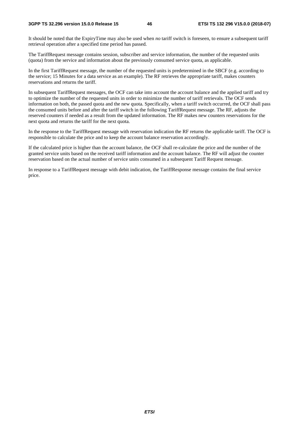#### **3GPP TS 32.296 version 15.0.0 Release 15 46 ETSI TS 132 296 V15.0.0 (2018-07)**

It should be noted that the ExpiryTime may also be used when *no* tariff switch is foreseen, to ensure a subsequent tariff retrieval operation after a specified time period has passed.

The TariffRequest message contains session, subscriber and service information, the number of the requested units (quota) from the service and information about the previously consumed service quota, as applicable.

In the first TariffRequest message, the number of the requested units is predetermined in the SBCF (e.g. according to the service; 15 Minutes for a data service as an example). The RF retrieves the appropriate tariff, makes counters reservations and returns the tariff.

In subsequent TariffRequest messages, the OCF can take into account the account balance and the applied tariff and try to optimize the number of the requested units in order to minimize the number of tariff retrievals. The OCF sends information on both, the passed quota and the new quota. Specifically, when a tariff switch occurred, the OCF shall pass the consumed units before and after the tariff switch in the following TariffRequest message. The RF, adjusts the reserved counters if needed as a result from the updated information. The RF makes new counters reservations for the next quota and returns the tariff for the next quota.

In the response to the TariffRequest message with reservation indication the RF returns the applicable tariff. The OCF is responsible to calculate the price and to keep the account balance reservation accordingly.

If the calculated price is higher than the account balance, the OCF shall re-calculate the price and the number of the granted service units based on the received tariff information and the account balance. The RF will adjust the counter reservation based on the actual number of service units consumed in a subsequent Tariff Request message.

In response to a TariffRequest message with debit indication, the TariffResponse message contains the final service price.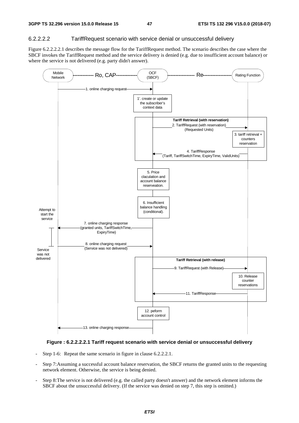## 6.2.2.2.2 TariffRequest scenario with service denial or unsuccessful delivery

Figure 6.2.2.2.2.1 describes the message flow for the TariffRequest method. The scenario describes the case where the SBCF invokes the TariffRequest method and the service delivery is denied (e.g. due to insufficient account balance) or where the service is not delivered (e.g. party didn't answer).



## **Figure : 6.2.2.2.2.1 Tariff request scenario with service denial or unsuccessful delivery**

- Step 1-6: Repeat the same scenario in figure in clause 6.2.2.2.1.
- Step 7: Assuming a successful account balance reservation, the SBCF returns the granted units to the requesting network element. Otherwise, the service is being denied.
- Step 8: The service is not delivered (e.g. the called party doesn't answer) and the network element informs the SBCF about the unsuccessful delivery. (If the service was denied on step 7, this step is omitted.)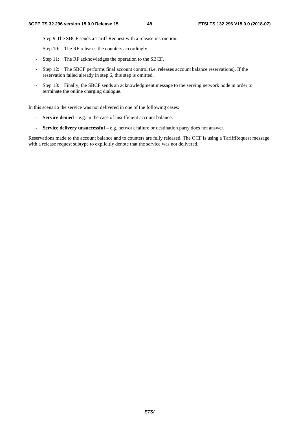- Step 9: The SBCF sends a Tariff Request with a release instruction.
- Step 10: The RF releases the counters accordingly.
- Step 11: The RF acknowledges the operation to the SBCF.
- Step 12: The SBCF performs final account control (i.e. releases account balance reservations). If the reservation failed already in step 6, this step is omitted.
- Step 13: Finally, the SBCF sends an acknowledgment message to the serving network node in order to terminate the online charging dialogue.

In this scenario the service was not delivered in one of the following cases:

- **Service denied** e.g. in the case of insufficient account balance.
- **Service delivery unsuccessful** e.g. network failure or destination party does not answer.

Reservations made to the account balance and to counters are fully released. The OCF is using a TariffRequest message with a release request subtype to explicitly denote that the service was not delivered.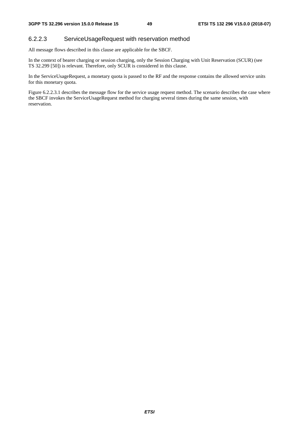## 6.2.2.3 ServiceUsageRequest with reservation method

All message flows described in this clause are applicable for the SBCF.

In the context of bearer charging or session charging, only the Session Charging with Unit Reservation (SCUR) (see TS 32.299 [50]) is relevant. Therefore, only SCUR is considered in this clause.

In the ServiceUsageRequest, a monetary quota is passed to the RF and the response contains the allowed service units for this monetary quota.

Figure 6.2.2.3.1 describes the message flow for the service usage request method. The scenario describes the case where the SBCF invokes the ServiceUsageRequest method for charging several times during the same session, with reservation.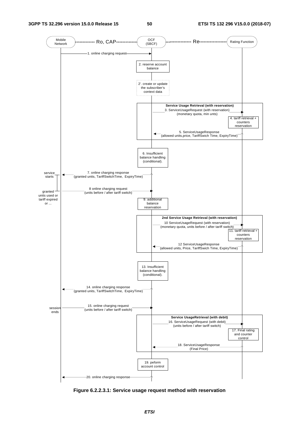

**Figure 6.2.2.3.1: Service usage request method with reservation**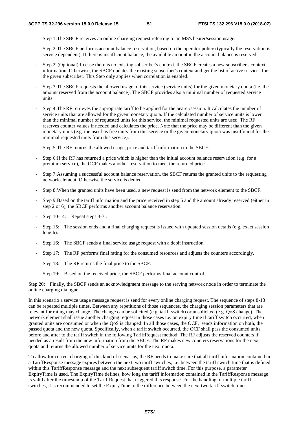- Step 1: The SBCF receives an online charging request referring to an MS's bearer/session usage.
- Step 2: The SBCF performs account balance reservation, based on the operator policy (typically the reservation is service dependent). If there is insufficient balance, the available amount in the account balance is reserved.
- Step 2' (Optional):In case there is no existing subscriber's context, the SBCF creates a new subscriber's context information. Otherwise, the SBCF updates the existing subscriber's context and get the list of active services for the given subscriber. This Step only applies when correlation is enabled.
- Step 3: The SBCF requests the allowed usage of this service (service units) for the given monetary quota (i.e. the amount reserved from the account balance). The SBCF provides also a minimal number of requested service units.
- Step 4: The RF retrieves the appropriate tariff to be applied for the bearer/session. It calculates the number of service units that are allowed for the given monetary quota. If the calculated number of service units is lower than the minimal number of requested units for this service, the minimal requested units are used. The RF reserves counter values if needed and calculates the price. Note that the price may be different than the given monetary units (e.g. the user has free units from this service or the given monetary quota was insufficient for the minimal requested units from this service).
- Step 5: The RF returns the allowed usage, price and tariff information to the SBCF.
- Step 6: If the RF has returned a price which is higher than the initial account balance reservation (e.g. for a premium service), the OCF makes another reservation to meet the returned price.
- Step 7: Assuming a successful account balance reservation, the SBCF returns the granted units to the requesting network element. Otherwise the service is denied.
- Step 8: When the granted units have been used, a new request is send from the network element to the SBCF.
- Step 9: Based on the tariff information and the price received in step 5 and the amount already reserved (either in step 2 or 6), the SBCF performs another account balance reservation.
- Step 10-14: Repeat steps 3-7.
- Step 15: The session ends and a final charging request is issued with updated session details (e.g. exact session length).
- Step 16: The SBCF sends a final service usage request with a debit instruction.
- Step 17: The RF performs final rating for the consumed resources and adjusts the counters accordingly.
- Step 18: The RF returns the final price to the SBCF.
- Step 19: Based on the received price, the SBCF performs final account control.

Step 20: Finally, the SBCF sends an acknowledgment message to the serving network node in order to terminate the online charging dialogue.

In this scenario a service usage message request is send for every online charging request. The sequence of steps 8-13 can be repeated multiple times. Between any repetitions of those sequences, the charging session parameters that are relevant for rating may change. The change can be solicited (e.g. tariff switch) or unsolicited (e.g. QoS change). The network element shall issue another charging request in those cases i.e. on expiry time if tariff switch occurred, when granted units are consumed or when the QoS is changed. In all those cases, the OCF, sends information on both, the passed quota and the new quota. Specifically, when a tariff switch occurred, the OCF shall pass the consumed units before and after to the tariff switch in the following TariffRequest method. The RF adjusts the reserved counters if needed as a result from the new information from the SBCF. The RF makes new counters reservations for the next quota and returns the allowed number of service units for the next quota.

To allow for correct charging of this kind of scenarios, the RF needs to make sure that all tariff information contained in a TariffResponse message expires between the next two tariff switches, i.e. between the tariff switch time that is defined within this TariffResponse message and the next subsequent tariff switch time. For this purpose, a parameter ExpiryTime is used. The ExpiryTime defines, how long the tariff information contained in the TariffResponse message is valid after the timestamp of the TariffRequest that triggered this response. For the handling of multiple tariff switches, it is recommended to set the ExpiryTime to the difference between the next two tariff switch times.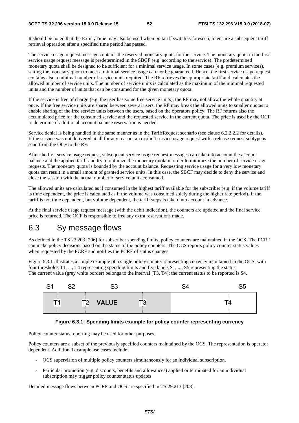#### **3GPP TS 32.296 version 15.0.0 Release 15 52 ETSI TS 132 296 V15.0.0 (2018-07)**

It should be noted that the ExpiryTime may also be used when *no* tariff switch is foreseen, to ensure a subsequent tariff retrieval operation after a specified time period has passed.

The service usage request message contains the reserved monetary quota for the service. The monetary quota in the first service usage request message is predetermined in the SBCF (e.g. according to the service). The predetermined monetary quota shall be designed to be sufficient for a minimal service usage. In some cases (e.g. premium services), setting the monetary quota to meet a minimal service usage can not be guaranteed. Hence, the first service usage request contains also a minimal number of service units required. The RF retrieves the appropriate tariff and calculates the allowed number of service units. The number of service units is calculated as the maximum of the minimal requested units and the number of units that can be consumed for the given monetary quota.

If the service is free of charge (e.g. the user has some free service units), the RF may not allow the whole quantity at once. If the free service units are shared between several users, the RF may break the allowed units to smaller quotas to enable sharing of the free service units between the users, based on the operators policy. The RF returns also the accumulated price for the consumed service and the requested service in the current quota. The price is used by the OCF to determine if additional account balance reservation is needed.

Service denial is being handled in the same manner as in the TariffRequest scenario (see clause 6.2.2.2.2 for details). If the service was not delivered at all for any reason, an explicit service usage request with a release request subtype is send from the OCF to the RF.

After the first service usage request, subsequent service usage request messages can take into account the account balance and the applied tariff and try to optimize the monetary quota in order to minimize the number of service usage requests. The monetary quota is bounded by the account balance. Requesting service usage for a very low monetary quota can result in a small amount of granted service units. In this case, the SBCF may decide to deny the service and close the session with the actual number of service units consumed.

The allowed units are calculated as if consumed in the highest tariff available for the subscriber (e.g. if the volume tariff is time dependent, the price is calculated as if the volume was consumed solely during the higher rate period). If the tariff is not time dependent, but volume dependent, the tariff steps is taken into account in advance.

At the final service usage request message (with the debit indication), the counters are updated and the final service price is returned. The OCF is responsible to free any extra reservations made.

# 6.3 Sy message flows

As defined in the TS 23.203 [206] for subscriber spending limits, policy counters are maintained in the OCS. The PCRF can make policy decisions based on the status of the policy counters. The OCS reports policy counter status values when requested by the PCRF and notifies the PCRF of status changes.

Figure 6.3.1 illustrates a simple example of a single policy counter representing currency maintained in the OCS, with four thresholds T1, ..., T4 representing spending limits and five labels S1, ..., S5 representing the status. The current value (grey white border) belongs to the interval [T3, T4]; the current status to be reported is S4.



#### **Figure 6.3.1: Spending limits example for policy counter representing currency**

Policy counter status reporting may be used for other purposes.

Policy counters are a subset of the previously specified counters maintained by the OCS. The representation is operator dependent. Additional example use cases include:

- OCS supervision of multiple policy counters simultaneously for an individual subscription.
- Particular promotion (e.g. discounts, benefits and allowances) applied or terminated for an individual subscription may trigger policy counter status updates

Detailed message flows between PCRF and OCS are specified in TS 29.213 [208].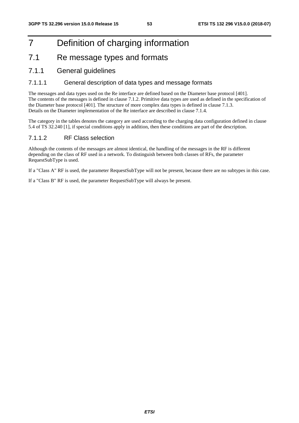# 7 Definition of charging information

# 7.1 Re message types and formats

# 7.1.1 General guidelines

# 7.1.1.1 General description of data types and message formats

The messages and data types used on the Re interface are defined based on the Diameter base protocol [401]. The contents of the messages is defined in clause 7.1.2. Primitive data types are used as defined in the specification of the Diameter base protocol [401]. The structure of more complex data types is defined in clause 7.1.3. Details on the Diameter implementation of the Re interface are described in clause 7.1.4.

The category in the tables denotes the category are used according to the charging data configuration defined in clause 5.4 of TS 32.240 [1], if special conditions apply in addition, then these conditions are part of the description.

# 7.1.1.2 RF Class selection

Although the contents of the messages are almost identical, the handling of the messages in the RF is different depending on the class of RF used in a network. To distinguish between both classes of RFs, the parameter RequestSubType is used.

If a "Class A" RF is used, the parameter RequestSubType will not be present, because there are no subtypes in this case.

If a "Class B" RF is used, the parameter RequestSubType will always be present.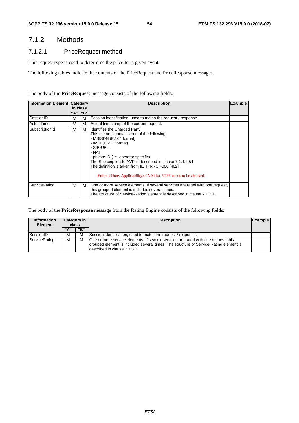# 7.1.2 Methods

# 7.1.2.1 PriceRequest method

This request type is used to determine the price for a given event.

The following tables indicate the contents of the PriceRequest and PriceResponse messages.

#### The body of the **PriceRequest** message consists of the following fields:

| <b>Information Element Category</b> | in class |     |                                                                                                                                                                                                                                                                                                                                                                                          |  |  |  |  |  | <b>Description</b> |  |
|-------------------------------------|----------|-----|------------------------------------------------------------------------------------------------------------------------------------------------------------------------------------------------------------------------------------------------------------------------------------------------------------------------------------------------------------------------------------------|--|--|--|--|--|--------------------|--|
|                                     | "A"      | "B" |                                                                                                                                                                                                                                                                                                                                                                                          |  |  |  |  |  |                    |  |
| SessionID                           | м        | м   | Session identification, used to match the request / response.                                                                                                                                                                                                                                                                                                                            |  |  |  |  |  |                    |  |
| <b>ActualTime</b>                   | М        | м   | Actual timestamp of the current request.                                                                                                                                                                                                                                                                                                                                                 |  |  |  |  |  |                    |  |
| SubscriptionId                      | М        | м   | Identifies the Charged Party.<br>This element contains one of the following;<br>- MSISDN (E.164 format)<br>- IMSI (E.212 format)<br>- SIP-URL<br>- NAI<br>- private ID (i.e. operator specific).<br>The Subscription-Id AVP is described in clause 7.1.4.2.54.<br>The definition is taken from IETF RRC 4006 [402].<br>Editor's Note: Applicability of NAI for 3GPP needs to be checked. |  |  |  |  |  |                    |  |
| ServiceRating                       | м        | м   | One or more service elements. If several services are rated with one request,<br>this grouped element is included several times.<br>The structure of Service-Rating element is described in clause 7.1.3.1.                                                                                                                                                                              |  |  |  |  |  |                    |  |

The body of the **PriceResponse** message from the Rating Engine consists of the following fields:

| <b>Information</b><br><b>Element</b> | Category in<br>class |     | <b>Description</b>                                                                                                                                                                                           | Example |
|--------------------------------------|----------------------|-----|--------------------------------------------------------------------------------------------------------------------------------------------------------------------------------------------------------------|---------|
|                                      | "A"                  | "B" |                                                                                                                                                                                                              |         |
| SessionID                            | М                    | M   | Session identification, used to match the request / response.                                                                                                                                                |         |
| ServiceRating                        | М                    | м   | One or more service elements. If several services are rated with one request, this<br>grouped element is included several times. The structure of Service-Rating element is<br>Idescribed in clause 7.1.3.1. |         |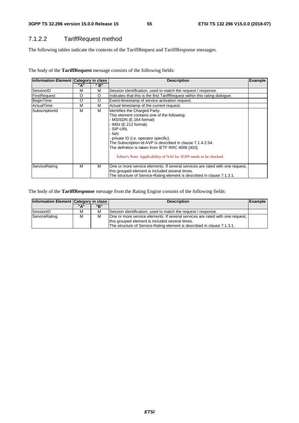# 7.1.2.2 TariffRequest method

The following tables indicate the contents of the TariffRequest and TariffResponse messages.

| Information Element Category in class |     |      | <b>Example</b><br><b>Description</b>                                                                                                                                                                                                                                                                                                                                                   |  |  |
|---------------------------------------|-----|------|----------------------------------------------------------------------------------------------------------------------------------------------------------------------------------------------------------------------------------------------------------------------------------------------------------------------------------------------------------------------------------------|--|--|
|                                       | "A" | " B" |                                                                                                                                                                                                                                                                                                                                                                                        |  |  |
| SessionID                             | м   | M    | Session identification, used to match the request / response.                                                                                                                                                                                                                                                                                                                          |  |  |
| <b>FirstRequest</b>                   | O   | O    | Indicates that this is the first TariffRequest within this rating dialogue.                                                                                                                                                                                                                                                                                                            |  |  |
| BeginTime                             | O   | O    | Event-timestamp of service activation request.                                                                                                                                                                                                                                                                                                                                         |  |  |
| ActualTime                            | M   | M    | Actual timestamp of the current request.                                                                                                                                                                                                                                                                                                                                               |  |  |
| SubscriptionId                        | м   | M    | Identifies the Charged Party.<br>This element contains one of the following;<br>MSISDN (E.164 format)<br>- IMSI (E.212 format)<br>- SIP-URL<br>- NAI<br>- private ID (i.e. operator specific).<br>The Subscription-Id AVP is described in clause 7.1.4.2.54.<br>The definition is taken from IETF RRC 4006 [402].<br>Editor's Note: Applicability of NAI for 3GPP needs to be checked. |  |  |
| ServiceRating                         | м   | м    | One or more service elements. If several services are rated with one request,<br>this grouped element is included several times.<br>The structure of Service-Rating element is described in clause 7.1.3.1.                                                                                                                                                                            |  |  |

The body of the **TariffResponse** message from the Rating Engine consists of the following fields:

| Information Element   Category in class |             |   | <b>Description</b>                                                            | Example |
|-----------------------------------------|-------------|---|-------------------------------------------------------------------------------|---------|
|                                         | "B"<br>" ב" |   |                                                                               |         |
| SessionID                               | М           | м | Session identification, used to match the request / response.                 |         |
| ServiceRating                           | М           | M | One or more service elements. If several services are rated with one request, |         |
|                                         |             |   | this grouped element is included several times.                               |         |
|                                         |             |   | The structure of Service-Rating element is described in clause 7.1.3.1.       |         |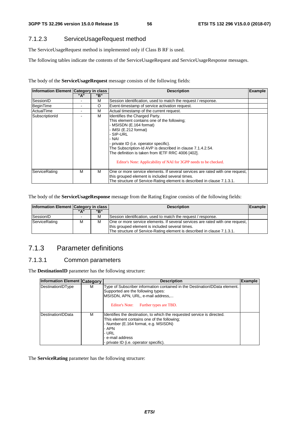# 7.1.2.3 ServiceUsageRequest method

The ServiceUsageRequest method is implemented only if Class B RF is used.

The following tables indicate the contents of the ServiceUsageRequest and ServiceUsageResponse messages.

The body of the **ServiceUsageRequest** message consists of the following fields:

| Information Element Category in class |     |     | <b>Description</b>                                                                                                                                                                                                                                                                                                                                                                       | <b>Example</b> |
|---------------------------------------|-----|-----|------------------------------------------------------------------------------------------------------------------------------------------------------------------------------------------------------------------------------------------------------------------------------------------------------------------------------------------------------------------------------------------|----------------|
|                                       | "A" | "B" |                                                                                                                                                                                                                                                                                                                                                                                          |                |
| SessionID                             |     | М   | Session identification, used to match the request / response.                                                                                                                                                                                                                                                                                                                            |                |
| BeginTime                             |     | O   | Event-timestamp of service activation request.                                                                                                                                                                                                                                                                                                                                           |                |
| ActualTime                            |     | М   | Actual timestamp of the current request.                                                                                                                                                                                                                                                                                                                                                 |                |
| SubscriptionId                        |     | М   | Identifies the Charged Party.<br>This element contains one of the following;<br>- MSISDN (E.164 format)<br>- IMSI (E.212 format)<br>- SIP-URL<br>- NAI<br>- private ID (i.e. operator specific).<br>The Subscription-Id AVP is described in clause 7.1.4.2.54.<br>The definition is taken from IETF RRC 4006 [402].<br>Editor's Note: Applicability of NAI for 3GPP needs to be checked. |                |
| ServiceRating                         | м   | м   | One or more service elements. If several services are rated with one request,<br>this grouped element is included several times.<br>The structure of Service-Rating element is described in clause 7.1.3.1.                                                                                                                                                                              |                |

The body of the **ServiceUsageResponse** message from the Rating Engine consists of the following fields:

| Information Element Category in class |   |   | <b>Description</b>                                                                                                                                                                                          | Example |
|---------------------------------------|---|---|-------------------------------------------------------------------------------------------------------------------------------------------------------------------------------------------------------------|---------|
| "B"<br>" д"                           |   |   |                                                                                                                                                                                                             |         |
| SessionID                             |   | м | Session identification, used to match the request / response.                                                                                                                                               |         |
| ServiceRating                         | м | м | One or more service elements. If several services are rated with one request,<br>this grouped element is included several times.<br>The structure of Service-Rating element is described in clause 7.1.3.1. |         |

# 7.1.3 Parameter definitions

# 7.1.3.1 Common parameters

The **DestinationID** parameter has the following structure:

| <b>Information Element Category</b> |   | <b>Description</b>                                                                                                                                                                                                                             | <b>Example</b> |
|-------------------------------------|---|------------------------------------------------------------------------------------------------------------------------------------------------------------------------------------------------------------------------------------------------|----------------|
| DestinationIDType                   | м | Type of Subscriber information contained in the Destination IDData element.<br>Supported are the following types:<br>MSISDN, APN, URL, e-mail address,<br>Editor's Note:<br>Further types are TBD.                                             |                |
| <b>DestinationIDData</b>            | м | Identifies the destination, to which the requested service is directed.<br>This element contains one of the following:<br>- Number (E.164 format, e.g. MSISDN)<br>- APN<br>- URL<br>- e-mail address<br>- private ID (i.e. operator specific). |                |

The **ServiceRating** parameter has the following structure: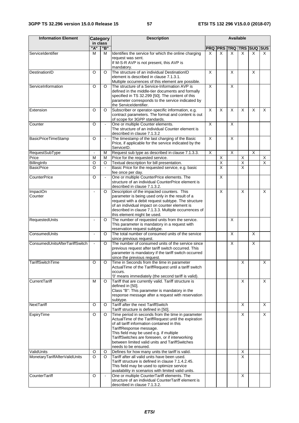| <b>Information Element</b>     | Category           |                | <b>Description</b>                                                                                                                                                                                                                                                                                                                                          |                         | <b>Available</b>        |   |                         |                    |                |  |
|--------------------------------|--------------------|----------------|-------------------------------------------------------------------------------------------------------------------------------------------------------------------------------------------------------------------------------------------------------------------------------------------------------------------------------------------------------------|-------------------------|-------------------------|---|-------------------------|--------------------|----------------|--|
|                                | in class           |                |                                                                                                                                                                                                                                                                                                                                                             |                         |                         |   |                         |                    |                |  |
|                                | "A"                | "B"            |                                                                                                                                                                                                                                                                                                                                                             |                         | <b>PRQ PRS TRQ</b>      |   |                         | <b>TRS SUQ SUS</b> |                |  |
| ServiceIdentifier              | M                  | м              | Identifies the service for which the online charging<br>request was sent.<br>If M-S-R AVP is not present, this AVP is<br>mandatory.                                                                                                                                                                                                                         | X                       | X                       | X | X                       | X                  | X              |  |
| DestinationID                  | $\circ$            | O              | The structure of an individual DestinationID<br>element is described in clause 7.1.3.1.<br>Multiple occurrences of this element are possible.                                                                                                                                                                                                               | X                       |                         | X |                         | X                  |                |  |
| ServiceInformation             | $\overline{\circ}$ | O              | The structure of a Service-Information AVP is<br>defined in the middle-tier documents and formally<br>specified in TS 32.299 [50]. The content of this<br>parameter corresponds to the service indicated by<br>the ServiceIdentifier.                                                                                                                       | $\overline{\mathsf{x}}$ |                         | X |                         |                    |                |  |
| Extension                      | O                  | $\circ$        | Subscriber or operator-specific information, e.g.<br>contract parameters. The format and content is out<br>of scope for 3GPP standards.                                                                                                                                                                                                                     | X                       | X                       | X | X                       | X                  | X              |  |
| Counter                        | O                  |                | One or multiple Counter elements.<br>The structure of an individual Counter element is<br>described in clause 7.1.3.2                                                                                                                                                                                                                                       | $\overline{\mathsf{x}}$ |                         | X |                         |                    |                |  |
| BasicPriceTimeStamp            | $\overline{\circ}$ | $\blacksquare$ | The timestamp of the last charging of the Basic<br>Price, if applicable for the service indicated by the<br>ServiceID.                                                                                                                                                                                                                                      | $\overline{X}$          |                         | X |                         |                    |                |  |
| RequestSubType                 | $\sim$             | М              | Request sub type as described in clause 7.1.3.3.                                                                                                                                                                                                                                                                                                            | X                       |                         | X |                         | X                  |                |  |
| Price                          | M                  | М              | Price for the requested service.                                                                                                                                                                                                                                                                                                                            |                         | X                       |   | X                       |                    | X              |  |
| BillingInfo                    | $\circ$            | O              | Textual description for bill presentation.                                                                                                                                                                                                                                                                                                                  |                         | $\overline{\mathsf{X}}$ |   | X                       |                    | $\overline{X}$ |  |
| <b>BasicPrice</b>              | $\circ$            | $\blacksquare$ | Basic Price for the requested service, e.g. basic<br>fee once per day.                                                                                                                                                                                                                                                                                      |                         | $\overline{\mathsf{x}}$ |   | $\overline{\mathsf{x}}$ |                    |                |  |
| <b>CounterPrice</b>            | $\overline{\circ}$ | $\blacksquare$ | One or multiple CounterPrice elements. The<br>structure of an individual CounterPrice element is<br>described in clause 7.1.3.2.                                                                                                                                                                                                                            |                         | $\overline{\mathsf{x}}$ |   |                         |                    |                |  |
| <b>ImpactOn</b><br>Counter     | $\blacksquare$     | $\circ$        | Description of the impacted counters. This<br>parameter is being used only in the result of a<br>request with a debit request subtype. The structure<br>of an individual impact on counter element is<br>described in clause 7.1.3.3. Multiple occurrences of<br>this element might be used.                                                                |                         | X                       |   | X                       |                    | X              |  |
| RequestedUnits                 | $\sim$             | O              | The number of requested units from the service.<br>This parameter is mandatory in a request with<br>reservation request subtype.                                                                                                                                                                                                                            |                         |                         | X |                         |                    |                |  |
| ConsumedUnits                  | $\blacksquare$     | $\circ$        | The total number of consumed units of the service<br>since previous request.                                                                                                                                                                                                                                                                                |                         |                         | X |                         | X                  |                |  |
| ConsumedUnitsAfterTariffSwitch | $\blacksquare$     | $\circ$        | The number of consumed units of the service since<br>previous request after tariff switch occurred. This<br>parameter is mandatory if the tariff switch occurred<br>since the previous request.                                                                                                                                                             |                         |                         | X |                         | X                  |                |  |
| TariffSwitchTime               | O                  | O              | Time in Seconds from the time in parameter<br>ActualTime of the TariffRequest until a tariff switch<br>occurs.<br>'0' means immediately (the second tariff is valid).                                                                                                                                                                                       |                         |                         |   | Χ                       |                    | X              |  |
| CurrentTariff                  | M                  | $\circ$        | Tariff that are currently valid. Tariff structure is<br>defined in [50].<br>Class "B": This parameter is mandatory in the<br>response message after a request with reservation<br>subtype.                                                                                                                                                                  |                         |                         |   | X                       |                    | X              |  |
| NextTariff                     | O                  | O              | Tariff after the next TariffSwitch<br>Tariff structure is defined in [50].                                                                                                                                                                                                                                                                                  |                         |                         |   | X                       |                    | X              |  |
| ExpiryTime                     | O                  | $\circ$        | Time period in seconds from the time in parameter<br>ActualTime of the TariffRequest until the expiration<br>of all tariff information contained in this<br>TariffResponse message.<br>This field may be used e.g. if multiple<br>TariffSwitches are foreseen, or if interworking<br>between limited valid units and TariffSwitches<br>needs to be ensured. |                         |                         |   | X                       |                    | X              |  |
| ValidUnits                     | O                  | O              | Defines for how many units the tariff is valid.                                                                                                                                                                                                                                                                                                             |                         |                         |   | X                       |                    |                |  |
| MonetaryTariffAfterValidUnits  | $\circ$            | $\circ$        | Tariff after all valid units have been used.<br>Tariff structure is defined in clause 7.1.4.2.45.<br>This field may be used to optimize service<br>availability in scenarios with limited valid units.                                                                                                                                                      |                         |                         |   | X                       |                    |                |  |
| CounterTariff                  | O                  | $\blacksquare$ | One or multiple CounterTariff elements. The<br>structure of an individual CounterTariff element is<br>described in clause 7.1.3.2.                                                                                                                                                                                                                          |                         |                         |   | X                       |                    |                |  |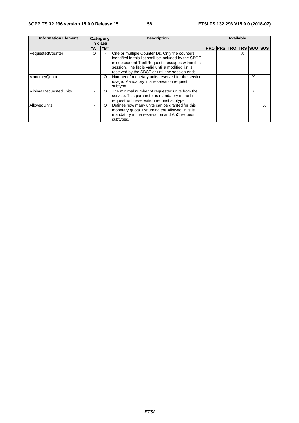| <b>Information Element</b> | <b>Category</b> |         | <b>Description</b>                                                                                                                                                                                                                                                   |                    | Available |  |   |                    |   |
|----------------------------|-----------------|---------|----------------------------------------------------------------------------------------------------------------------------------------------------------------------------------------------------------------------------------------------------------------------|--------------------|-----------|--|---|--------------------|---|
|                            | in class        |         |                                                                                                                                                                                                                                                                      |                    |           |  |   |                    |   |
|                            | "A"             | "B"     |                                                                                                                                                                                                                                                                      | <b>PRQ PRS TRQ</b> |           |  |   | <b>TRS SUQ SUS</b> |   |
| <b>RequestedCounter</b>    | O               |         | One or multiple CounterIDs. Only the counters<br>identified in this list shall be included by the SBCF<br>in subsequent TariffRequest messages within this<br>session. The list is valid until a modified list is<br>received by the SBCF or until the session ends. |                    |           |  | x |                    |   |
| MonetaryQuota              |                 | O       | Number of monetary units reserved for the service<br>usage. Mandatory in a reservation request<br>subtype.                                                                                                                                                           |                    |           |  |   | X                  |   |
| MinimalRequestedUnits      | ۰               | O       | The minimal number of requested units from the<br>service. This parameter is mandatory in the first<br>request with reservation request subtype.                                                                                                                     |                    |           |  |   | x                  |   |
| AllowedUnits               |                 | $\circ$ | Defines how many units can be granted for this<br>monetary quota. Returning the AllowedUnits is<br>mandatory in the reservation and AoC request<br>subtypes.                                                                                                         |                    |           |  |   |                    | X |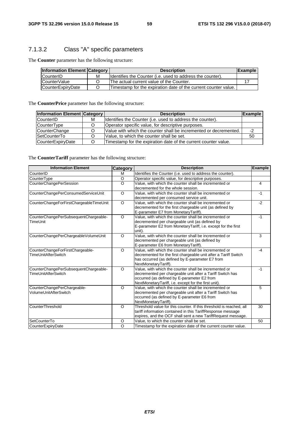# 7.1.3.2 Class "A" specific parameters

The **Counter** parameter has the following structure:

| <b>Information Element Category</b> |   | <b>Description</b>                                              | <b>IExample</b> |
|-------------------------------------|---|-----------------------------------------------------------------|-----------------|
| CounterID                           | М | Identifies the Counter (i.e. used to address the counter).      |                 |
| CounterValue                        |   | The actual current value of the Counter.                        |                 |
| <b>CounterExpirvDate</b>            |   | Timestamp for the expiration date of the current counter value. |                 |

The **CounterPrice** parameter has the following structure:

| <b>Information Element Category</b> |   | <b>Description</b>                                                | <b>Example</b> |
|-------------------------------------|---|-------------------------------------------------------------------|----------------|
| CounterID                           | М | Identifies the Counter (i.e. used to address the counter).        |                |
| CounterType                         |   | Operator specific value, for descriptive purposes.                |                |
| CounterChange                       |   | Value with which the counter shall be incremented or decremented. | -2             |
| <b>SetCounterTo</b>                 |   | Value, to which the counter shall be set.                         | 50             |
| CounterExpiryDate                   |   | Timestamp for the expiration date of the current counter value.   |                |

#### The **CounterTariff** parameter has the following structure:

| <b>Information Element</b>              | <b>Category</b> | <b>Description</b>                                                  | <b>Example</b> |
|-----------------------------------------|-----------------|---------------------------------------------------------------------|----------------|
| CounterID                               | M               | Identifies the Counter (i.e. used to address the counter).          |                |
| CounterType                             | $\circ$         | Operator specific value, for descriptive purposes.                  |                |
| <b>CounterChangePerSession</b>          | $\Omega$        | Value, with which the counter shall be incremented or               | 4              |
|                                         |                 | decremented for the whole session.                                  |                |
| CounterChangePerConsumedServiceUnit     | $\circ$         | Value, with which the counter shall be incremented or               | $-1$           |
|                                         |                 | decremented per consumed service unit.                              |                |
| CounterChangeForFirstChargeableTimeUnit | $\circ$         | Value, with which the counter shall be incremented or               | $-2$           |
|                                         |                 | decremented for the first chargeable unit (as defined by            |                |
|                                         |                 | E-parameter E7 from MonetaryTariff).                                |                |
| CounterChangePerSubsequentChargeable-   | $\circ$         | Value, with which the counter shall be incremented or               | $-1$           |
| TimeUnit                                |                 | decremented per chargeable unit (as defined by                      |                |
|                                         |                 | E-parameter E2 from MonetaryTariff, i.e. except for the first       |                |
|                                         |                 | unit).                                                              |                |
| CounterChangePerChargeableVolumeUnit    | $\circ$         | Value, with which the counter shall be incremented or               | 3              |
|                                         |                 | decremented per chargeable unit (as defined by                      |                |
|                                         |                 | E-parameter E6 from MonetaryTariff).                                |                |
| CounterChangeForFirstChargeable-        | $\circ$         | Value, with which the counter shall be incremented or               | $-4$           |
| <b>TimeUnitAfterSwitch</b>              |                 | decremented for the first chargeable unit after a Tariff Switch     |                |
|                                         |                 | has occurred (as defined by E-parameter E7 from                     |                |
|                                         |                 | NextMonetaryTariff).                                                |                |
| CounterChangePerSubsequentChargeable-   | $\circ$         | Value, with which the counter shall be incremented or               | $-1$           |
| <b>TimeUnitAfterSwitch</b>              |                 | decremented per chargeable unit after a Tariff Switch has           |                |
|                                         |                 | occurred (as defined by E-parameter E2 from                         |                |
|                                         |                 | NextMonetaryTariff, i.e. except for the first unit).                |                |
| CounterChangePerChargeable-             | $\circ$         | Value, with which the counter shall be incremented or               | 5              |
| VolumeUnitAfterSwitch                   |                 | decremented per chargeable unit after a Tariff Switch has           |                |
|                                         |                 | occurred (as defined by E-parameter E6 from                         |                |
|                                         |                 | NextMonetaryTariff).                                                |                |
| CounterThreshold                        | $\circ$         | Threshold value for this counter. If this threshold is reached, all | 30             |
|                                         |                 | tariff information contained in this TariffResponse message         |                |
|                                         |                 | expires, and the OCF shall sent a new TariffRequest message.        |                |
| <b>SetCounterTo</b>                     | O               | Value, to which the counter shall be set.                           | 50             |
| CounterExpiryDate                       | $\circ$         | Timestamp for the expiration date of the current counter value.     |                |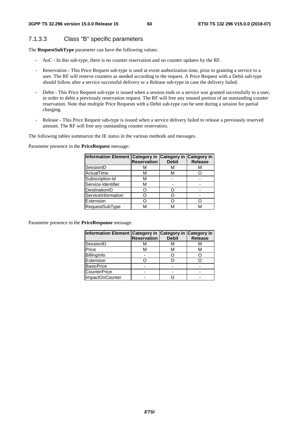# 7.1.3.3 Class "B" specific parameters

The **RequestSubType** parameter can have the following values:

- AoC In this sub-type, there is no counter reservation and no counter updates by the RF.
- Reservation This Price Request sub-type is used at event authorization time, prior to granting a service to a user. The RF will reserve counters as needed according to the request. A Price Request with a Debit sub-type should follow after a service successful delivery or a Release sub-type in case the delivery failed.
- Debit This Price Request sub-type is issued when a session ends or a service was granted successfully to a user, in order to debit a previously reservation request. The RF will free any unused portion of an outstanding counter reservation. Note that multiple Price Requests with a Debit sub-type can be sent during a session for partial charging.
- Release This Price Request sub-type is issued when a service delivery failed to release a previously reserved amount. The RF will free any outstanding counter reservation.

The following tables summarize the IE status in the various methods and messages.

Parameter presence in the **PriceRequest** message:

| Information Element Category in Category in | <b>Reservation</b> | <b>Debit</b> | <b>Category in</b><br><b>Release</b> |
|---------------------------------------------|--------------------|--------------|--------------------------------------|
| SessionID                                   | м                  | м            | м                                    |
| ActualTime                                  | м                  | м            |                                      |
| Subscription-Id                             | М                  |              |                                      |
| Service-Identifier                          | м                  |              |                                      |
| DestinationID                               |                    |              |                                      |
| ServiceInformation                          |                    |              |                                      |
| Extension                                   |                    |              |                                      |
| <b>RequestSubType</b>                       |                    | M            |                                      |

Parameter presence in the **PriceResponse** message:

|                   | Information Element Category in Category in<br><b>Debit</b><br><b>Reservation</b> |   | <b>Category in</b><br><b>Release</b> |
|-------------------|-----------------------------------------------------------------------------------|---|--------------------------------------|
| SessionID         | M                                                                                 | м |                                      |
| Price             | м                                                                                 | м | м                                    |
| BillingInfo       |                                                                                   |   |                                      |
| Extension         |                                                                                   |   |                                      |
| <b>BasicPrice</b> |                                                                                   |   |                                      |
| CounterPrice      |                                                                                   |   |                                      |
| ImpactOnCounter   |                                                                                   |   |                                      |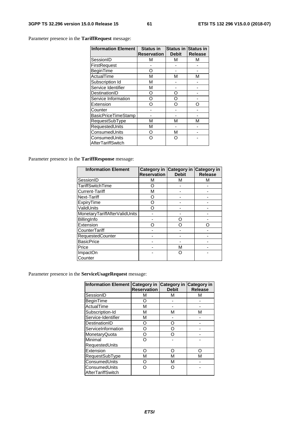Parameter presence in the **TariffRequest** message:

| <b>Information Element</b> | <b>Status in</b><br><b>Reservation</b> | <b>Status in Status in</b><br><b>Debit</b> | <b>Release</b> |
|----------------------------|----------------------------------------|--------------------------------------------|----------------|
|                            |                                        |                                            |                |
| SessionID                  | м                                      | М                                          | М              |
| FirstRequest               |                                        |                                            |                |
| BeginTime                  | റ                                      |                                            |                |
| ActualTime                 | М                                      | м                                          | м              |
| Subscription Id            | М                                      |                                            |                |
| Service Identifier         | М                                      |                                            |                |
| DestinationID              | O                                      | ∩                                          |                |
| Service Information        | റ                                      | ∩                                          |                |
| Extension                  | റ                                      | n                                          |                |
| Counter                    |                                        |                                            |                |
| BasicPriceTimeStamp        |                                        |                                            |                |
| RequestSubType             | М                                      | М                                          | м              |
| RequestedUnits             | М                                      |                                            |                |
| ConsumedUnits              | O                                      | М                                          |                |
| ConsumedUnits              | ∩                                      |                                            |                |
| <b>IAfterTariffSwitch</b>  |                                        |                                            |                |

Parameter presence in the **TariffResponse** message:

| <b>Information Element</b>    | <b>Reservation</b> | Category in Category in Category in<br><b>Debit</b> | <b>Release</b> |
|-------------------------------|--------------------|-----------------------------------------------------|----------------|
| SessionID                     | M                  | M                                                   | М              |
| TariffSwitchTime              | Ω                  |                                                     |                |
| Current-Tariff                | М                  |                                                     |                |
| Next-Tariff                   | O                  |                                                     |                |
| ExpiryTime                    | ∩                  |                                                     |                |
| ValidUnits                    | ∩                  |                                                     |                |
| MonetaryTariffAfterValidUnits |                    |                                                     |                |
| BillingInfo                   |                    | ∩                                                   |                |
| Extension                     | ∩                  | ∩                                                   |                |
| CounterTariff                 |                    |                                                     |                |
| RequestedCounter              |                    |                                                     |                |
| <b>BasicPrice</b>             |                    |                                                     |                |
| Price                         |                    | М                                                   |                |
| ImpactOn                      |                    | Ω                                                   |                |
| Counter                       |                    |                                                     |                |

Parameter presence in the **ServiceUsageRequest** message:

| <b>Information Element</b> | Category in<br><b>Reservation</b> | Category in Category in<br><b>Debit</b> | <b>Release</b> |
|----------------------------|-----------------------------------|-----------------------------------------|----------------|
| SessionID                  | М                                 | м                                       | м              |
| BeginTime                  | O                                 |                                         |                |
| ActualTime                 | м                                 |                                         |                |
| Subscription-Id            | м                                 | М                                       | М              |
| Service-Identifier         | м                                 |                                         |                |
| DestinationID              | ∩                                 | ∩                                       |                |
| ServiceInformation         | ∩                                 | ∩                                       |                |
| MonetaryQuota              | റ                                 |                                         |                |
| Minimal                    | ∩                                 |                                         |                |
| RequestedUnits             |                                   |                                         |                |
| Extension                  | ∩                                 | ∩                                       | ∩              |
| RequestSubType             | М                                 | М                                       | м              |
| ConsumedUnits              | റ                                 | М                                       |                |
| ConsumedUnits              | ∩                                 | ∩                                       |                |
| <b>AfterTariffSwitch</b>   |                                   |                                         |                |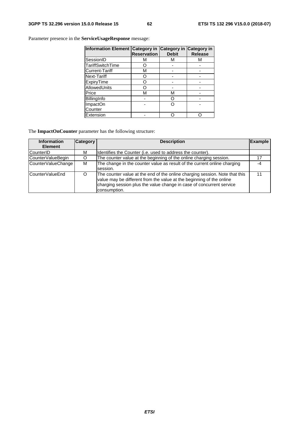**Information Element Category in Reservation Category in Debit Category in Release**  SessionID M M M M<br>TariffSwitchTime O - -TariffSwitchTime | O | - | -Current-Tariff | M | - | -Next-Tariff | O | - | -ExpiryTime O - - AllowedUnits | O | - | -Price | M | M | -<u>Price</u><br>BillingInfo - O -<br>ImpactOn - O -ImpactOn **Counter** - | O | -Extension - O O

Parameter presence in the **ServiceUsageResponse** message:

The **ImpactOnCounter** parameter has the following structure:

| <b>Information</b><br><b>Element</b> | <b>Category</b> | <b>Description</b>                                                                                                                                                                                                                          | <b>Example</b> |
|--------------------------------------|-----------------|---------------------------------------------------------------------------------------------------------------------------------------------------------------------------------------------------------------------------------------------|----------------|
| CounterID                            | м               | Identifies the Counter (i.e. used to address the counter).                                                                                                                                                                                  |                |
| CounterValueBegin                    |                 | The counter value at the beginning of the online charging session.                                                                                                                                                                          | 17             |
| CounterValueChange                   | M               | The change in the counter value as result of the current online charging<br>session.                                                                                                                                                        | -4             |
| CounterValueEnd                      |                 | The counter value at the end of the online charging session. Note that this<br>value may be different from the value at the beginning of the online<br>charging session plus the value change in case of concurrent service<br>consumption. |                |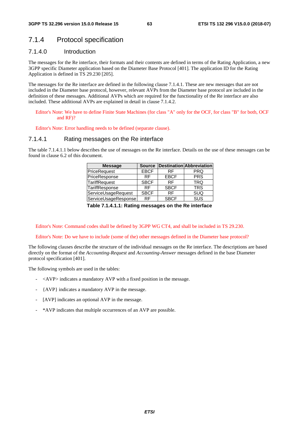# 7.1.4 Protocol specification

# 7.1.4.0 Introduction

The messages for the Re interface, their formats and their contents are defined in terms of the Rating Application, a new 3GPP specific Diameter application based on the Diameter Base Protocol [401]. The application ID for the Rating Application is defined in TS 29.230 [205].

The messages for the Re interface are defined in the following clause 7.1.4.1. These are new messages that are not included in the Diameter base protocol, however, relevant AVPs from the Diameter base protocol are included in the definition of these messages. Additional AVPs which are required for the functionality of the Re interface are also included. These additional AVPs are explained in detail in clause 7.1.4.2.

Editor's Note: We have to define Finite State Machines (for class "A" only for the OCF, for class "B" for both, OCF and RF)?

Editor's Note: Error handling needs to be defined (separate clause).

#### 7.1.4.1 Rating messages on the Re interface

The table 7.1.4.1.1 below describes the use of messages on the Re interface. Details on the use of these messages can be found in clause 6.2 of this document.

| <b>Message</b>       | <b>Source</b> |             | <b>Destination Abbreviation</b> |
|----------------------|---------------|-------------|---------------------------------|
| PriceRequest         | <b>EBCF</b>   | RF          | <b>PRQ</b>                      |
| PriceResponse        | RF            | <b>EBCF</b> | <b>PRS</b>                      |
| TariffRequest        | <b>SBCF</b>   | <b>RF</b>   | TRQ                             |
| TariffResponse       | <b>RF</b>     | <b>SBCF</b> | <b>TRS</b>                      |
| ServiceUsageRequest  | <b>SBCF</b>   | <b>RF</b>   | <b>SUQ</b>                      |
| ServiceUsageResponse | RF            | <b>SBCF</b> | SUS                             |

**Table 7.1.4.1.1: Rating messages on the Re interface** 

Editor's Note: Command codes shall be defined by 3GPP WG CT4, and shall be included in TS 29.230.

Editor's Note: Do we have to include (some of the) other messages defined in the Diameter base protocol?

The following clauses describe the structure of the individual messages on the Re interface. The descriptions are based directly on the format of the *Accounting-Request* and *Accounting-Answer* messages defined in the base Diameter protocol specification [401].

The following symbols are used in the tables:

- $\langle$ AVP $>$  indicates a mandatory AVP with a fixed position in the message.
- {AVP} indicates a mandatory AVP in the message.
- [AVP] indicates an optional AVP in the message.
- \*AVP indicates that multiple occurrences of an AVP are possible.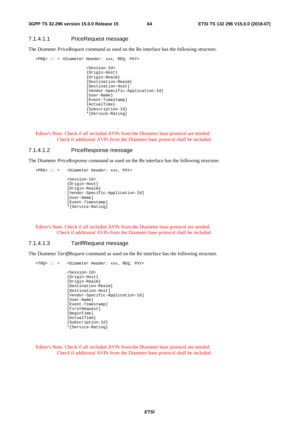#### 7.1.4.1.1 PriceRequest message

The Diameter *PriceRequest* command as used on the Re interface has the following structure.

<PRQ> :: = <Diameter Header: xxx, REQ, PXY>

```
 <Session-Id> 
{Origin-Host} 
{Origin-Realm} 
{Destination-Realm} 
[Destination-Host] 
[Vendor-Specific-Application-Id] 
[User-Name] 
[Event-Timestamp] 
{ActualTime} 
{Subscription-Id} 
*{Service-Rating}
```
Editor's Note: Check if all included AVPs from the Diameter base protocol are needed. Check if additional AVPs from the Diameter base protocol shall be included.

#### 7.1.4.1.2 PriceResponse message

<PRS> :: = <Diameter Header: xxx, PXY>

The Diameter *PriceResponse* command as used on the Re interface has the following structure.

 <Session-Id> {Origin-Host} {Origin-Realm} [Vendor-Specific-Application-Id] [User-Name] [Event-Timestamp] \*{Service-Rating}

Editor's Note: Check if all included AVPs from the Diameter base protocol are needed. Check if additional AVPs from the Diameter base protocol shall be included.

#### 7.1.4.1.3 TariffRequest message

The Diameter *TariffRequest* command as used on the Re interface has the following structure.

```
<TRQ> :: = <Diameter Header: xxx, REQ, PXY> 
              <Session-Id> 
               {Origin-Host} 
               {Origin-Realm} 
               {Destination-Realm} 
               [Destination-Host] 
              [Vendor-Specific-Application-Id] 
              [User-Name] 
               [Event-Timestamp] 
              [FirstRequest] 
               [BeginTime] 
               {ActualTime} 
               {Subscription-Id} 
               *{Service-Rating}
```
Editor's Note: Check if all included AVPs from the Diameter base protocol are needed. Check if additional AVPs from the Diameter base protocol shall be included.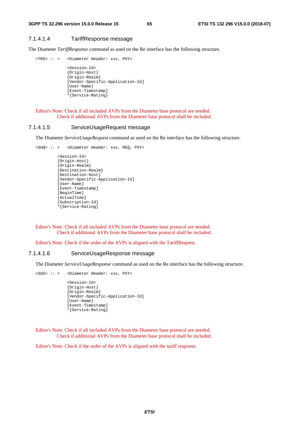#### 7.1.4.1.4 TariffResponse message

The Diameter *TariffResponse* command as used on the Re interface has the following structure.

```
<TRS> :: = <Diameter Header: xxx, PXY>
```

```
 <Session-Id> 
{Origin-Host} 
{Origin-Realm} 
[Vendor-Specific-Application-Id] 
[User-Name] 
[Event-Timestamp] 
*{Service-Rating}
```
Editor's Note: Check if all included AVPs from the Diameter base protocol are needed. Check if additional AVPs from the Diameter base protocol shall be included.

#### 7.1.4.1.5 ServiceUsageRequest message

The Diameter *ServiceUsageRequest* command as used on the Re interface has the following structure.

```
<SUQ> :: = <Diameter Header: xxx, REQ, PXY> 
          <Session-Id> 
          {Origin-Host} 
          {Origin-Realm} 
          {Destination-Realm} 
          [Destination-Host] 
          [Vendor-Specific-Application-Id] 
          [User-Name] 
          [Event-Timestamp] 
          [BeginTime] 
          {ActualTime} 
          {Subscription-Id} 
          *{Service-Rating}
```
Editor's Note: Check if all included AVPs from the Diameter base protocol are needed. Check if additional AVPs from the Diameter base protocol shall be included.

Editor's Note: Check if the order of the AVPs is aligned with the TariffRequest.

#### 7.1.4.1.6 ServiceUsageResponse message

The Diameter *ServiceUsageResponse* command as used on the Re interface has the following structure.

```
<SUS> :: = <Diameter Header: xxx, PXY> 
              <Session-Id> 
              {Origin-Host} 
              {Origin-Realm} 
              [Vendor-Specific-Application-Id] 
              [User-Name] 
              [Event-Timestamp] 
              *{Service-Rating}
```
Editor's Note: Check if all included AVPs from the Diameter base protocol are needed. Check if additional AVPs from the Diameter base protocol shall be included.

Editor's Note: Check if the order of the AVPs is aligned with the tariff response.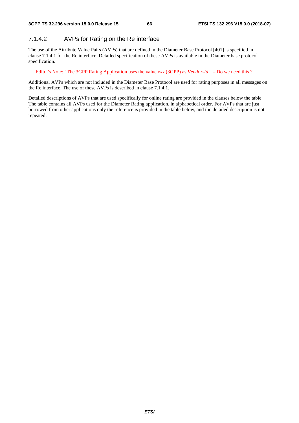# 7.1.4.2 AVPs for Rating on the Re interface

The use of the Attribute Value Pairs (AVPs) that are defined in the Diameter Base Protocol [401] is specified in clause 7.1.4.1 for the Re interface. Detailed specification of these AVPs is available in the Diameter base protocol specification.

Editor's Note: "The 3GPP Rating Application uses the value *xxx* (3GPP) as *Vendor-Id*." – Do we need this ?

Additional AVPs which are not included in the Diameter Base Protocol are used for rating purposes in all messages on the Re interface. The use of these AVPs is described in clause 7.1.4.1.

Detailed descriptions of AVPs that are used specifically for online rating are provided in the clauses below the table. The table contains all AVPs used for the Diameter Rating application, in alphabetical order. For AVPs that are just borrowed from other applications only the reference is provided in the table below, and the detailed description is not repeated.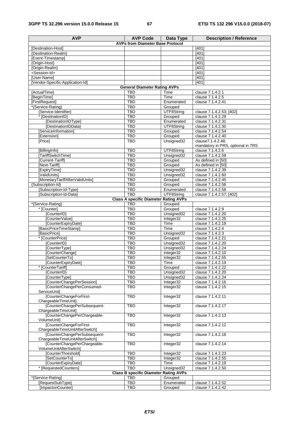| <b>AVP</b>                                                     | <b>AVP Code</b>                                            | Data Type                | <b>Description / Reference</b>                        |  |  |  |
|----------------------------------------------------------------|------------------------------------------------------------|--------------------------|-------------------------------------------------------|--|--|--|
| <b>AVPs from Diameter Base Protocol</b>                        |                                                            |                          |                                                       |  |  |  |
| Destination-Hostl                                              |                                                            |                          | [401]                                                 |  |  |  |
| {Destination-Realm}                                            |                                                            |                          | [401]<br>[401]                                        |  |  |  |
| [Event-Timestamp]<br>Origin-Host}                              |                                                            |                          | [401]                                                 |  |  |  |
| {Origin-Realm}                                                 |                                                            |                          | [401]                                                 |  |  |  |
| <session-id></session-id>                                      |                                                            |                          | [401]                                                 |  |  |  |
| [User-Name]                                                    |                                                            |                          | [401]                                                 |  |  |  |
| [Vendor-Specific-Application-Id]                               |                                                            |                          | [401]                                                 |  |  |  |
|                                                                | <b>General Diameter Rating AVPs</b>                        |                          |                                                       |  |  |  |
| {ActualTime}                                                   | <b>TBD</b>                                                 | Time                     | clause 7.1.4.2.1                                      |  |  |  |
| [BeginTime]                                                    | <b>TBD</b><br><b>TBD</b>                                   | Time<br>Enumerated       | clause 7.1.4.2.5<br>clause 7.1.4.2.41                 |  |  |  |
| [FirstRequest]<br>*{Service-Rating}                            | <b>TBD</b>                                                 | Grouped                  |                                                       |  |  |  |
| {Service-Identifier}                                           | <b>TBD</b>                                                 | UTF8String               | clause 7.1.4.2.53; [402]                              |  |  |  |
| * [DestinationID]                                              | <b>TBD</b>                                                 | Grouped                  | clause 7.1.4.2.29                                     |  |  |  |
| {DestinationIDType}                                            | <b>TBD</b>                                                 | Enumerated               | clause 7.1.4.2.31                                     |  |  |  |
| {DestinationIDData}                                            | <b>TBD</b>                                                 | UTF8String               | clause 7.1.4.2.30                                     |  |  |  |
| [ServiceInformation]                                           | <b>TBD</b>                                                 | Grouped                  | clause 7.1.4.2.54                                     |  |  |  |
| [Extension]                                                    | <b>TBD</b>                                                 | Grouped                  | clause 7.1.4.2.40                                     |  |  |  |
| [Price]                                                        | <b>TBD</b>                                                 | Unsigned32               | clause7.1.4.2.48:                                     |  |  |  |
| [BillingInfo]                                                  | <b>TBD</b>                                                 | UTF8String               | mandatory in PRS, optional in TRS<br>clause 7.1.4.2.6 |  |  |  |
| [TariffSwitchTime]                                             | <b>TBD</b>                                                 | Unsigned32               | clause 7.1.4.2.59                                     |  |  |  |
| {Current-Tariff}                                               | <b>TBD</b>                                                 | Grouped                  | As defined in [50]                                    |  |  |  |
| [Next-Tariff]                                                  | <b>TBD</b>                                                 | Grouped                  | As defined in [50]                                    |  |  |  |
| [ExpiryTime]                                                   | <b>TBD</b>                                                 | Unsigned32               | clause 7.1.4.2.39                                     |  |  |  |
| [ValidUnits]                                                   | <b>TBD</b>                                                 | Unsigned32               | clause 7.1.4.2.60                                     |  |  |  |
| [MonetaryTariffAfterValidUnits]                                | <b>TBD</b>                                                 | Grouped                  | clause 7.1.4.2.45                                     |  |  |  |
| {Subscription-Id}                                              | <b>TBD</b>                                                 | Grouped                  | clause 7.1.4.2.56                                     |  |  |  |
| {Subscription-Id-Type}<br>{Subscription-Id-Data}               | <b>TBD</b><br><b>TBD</b>                                   | Enumerated<br>UTF8String | clause 7.1.4.2.58<br>clause 7.1.4.2.57; [402]         |  |  |  |
|                                                                | <b>Class A specific Diameter Rating AVPs</b>               |                          |                                                       |  |  |  |
| *{Service-Rating}                                              | <b>TBD</b>                                                 | Grouped                  |                                                       |  |  |  |
| * [Counter]                                                    | <b>TBD</b>                                                 | Grouped                  | clause 7.1.4.2.9                                      |  |  |  |
| {CounterID}                                                    | <b>TBD</b>                                                 | Unsigned32               | clause 7.1.4.2.20                                     |  |  |  |
| [CounterValue]                                                 | <b>TBD</b>                                                 | Integer32                | clause 7.1.4.2.25                                     |  |  |  |
| [CounterExpiryDate]                                            | <b>TBD</b>                                                 | Time                     | clause 7.1.4.2.19                                     |  |  |  |
| [BasicPriceTimeStamp]                                          | <b>TBD</b>                                                 | Time                     | clause 7.1.4.2.4                                      |  |  |  |
| [BasicPrice]<br>* [CounterPrice]                               | <b>TBD</b><br><b>TBD</b>                                   | Unsigned32<br>Grouped    | clause 7.1.4.2.3<br>clause 7.1.4.2.21                 |  |  |  |
| {CounterID}                                                    | <b>TBD</b>                                                 | Unsigned32               | clause 7.1.4.2.20                                     |  |  |  |
| [CounterType]                                                  | <b>TBD</b>                                                 | Unsigned32               | clause 7.1.4.2.24                                     |  |  |  |
| [CounterChange]                                                | <b>TBD</b>                                                 | Integer32                | clause 7.1.4.2.10                                     |  |  |  |
| [SetCounterTo]                                                 | <b>TBD</b>                                                 | Integer32                | clause 7.1.4.2.55                                     |  |  |  |
| [CounterExpiryDate]                                            | TBD                                                        | Time                     | clause 7.1.4.2.19                                     |  |  |  |
| * [CounterTariff]                                              | <b>TBD</b>                                                 | Grouped                  | clause 7.1.4.2.22                                     |  |  |  |
| {CounterID}                                                    | <b>TBD</b>                                                 | Unsigned32               | clause 7.1.4.2.20                                     |  |  |  |
| [CounterType]<br>[CounterChangePerSession]                     | <b>TBD</b><br><b>TBD</b>                                   | Unsigned32<br>Integer32  | clause 7.1.4.2.24<br>clause 7.1.4.2.16                |  |  |  |
| [CounterChangePerConsumed-                                     | <b>TBD</b>                                                 | Integer32                | clause 7.1.4.2.15                                     |  |  |  |
| ServiceUnit]                                                   |                                                            |                          |                                                       |  |  |  |
| [CounterChangeForFirst-                                        | <b>TBD</b>                                                 | Integer32                | clause 7.1.4.2.11                                     |  |  |  |
| ChargeableTimeUnit]<br>[CounterChangePerSubsequent-            | <b>TBD</b>                                                 | Integer32                | clause 7.1.4.2.17                                     |  |  |  |
| ChargeableTimeUnit]                                            |                                                            |                          |                                                       |  |  |  |
| [CounterChangePerChargeable-<br>VolumeUnit]                    | <b>TBD</b>                                                 | Integer32                | clause 7.1.4.2.13                                     |  |  |  |
| [CounterChangeForFirst-<br>ChargeableTimeUnitAfterSwitch]      | <b>TBD</b>                                                 | Integer32                | clause 7.1.4.2.12                                     |  |  |  |
| [CounterChangePerSubsequent-<br>ChargeableTimeUnitAfterSwitch] | <b>TBD</b>                                                 | Integer32                | clause 7.1.4.2.18                                     |  |  |  |
| [CounterChangePerChargeable-<br>VolumeUnitAfterSwitch]         | <b>TBD</b>                                                 | Integer32                | clause 7.1.4.2.14                                     |  |  |  |
| [CounterThreshold]                                             | <b>TBD</b>                                                 | Integer32                | clause 7.1.4.2.23                                     |  |  |  |
| [SetCounterTo]                                                 | <b>TBD</b>                                                 | Integer32                | clause 7.1.4.2.55                                     |  |  |  |
| [CounterExpiryDate]                                            | <b>TBD</b>                                                 | Time                     | clause 7.1.4.2.19                                     |  |  |  |
| * [RequestedCounters]                                          | <b>TBD</b><br><b>Class B specific Diameter Rating AVPs</b> | Unsigned32               | clause 7.1.4.2.50                                     |  |  |  |
| *{Service-Rating}                                              | <b>TBD</b>                                                 | Grouped                  |                                                       |  |  |  |
| [RequestSubType]                                               | <b>TBD</b>                                                 | Enumerated               | clause 7.1.4.2.52                                     |  |  |  |
| [ImpactonCounter]                                              | <b>TBD</b>                                                 | Grouped                  | clause 7.1.4.2.42                                     |  |  |  |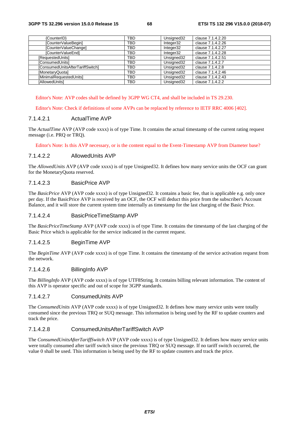| {CounterID}                             | <b>TBD</b> | Unsigned32 | clause 7.1.4.2.20 |
|-----------------------------------------|------------|------------|-------------------|
| [CounterValueBegin]                     | TBD        | Integer32  | clause 7.1.4.2.26 |
| [CounterValueChange]                    | TBD        | Integer32  | clause 7.1.4.2.27 |
| [CounterValueEnd]                       | <b>TBD</b> | Integer32  | clause 7.1.4.2.28 |
| [RequestedUnits]                        | TBD        | Unsigned32 | clause 7.1.4.2.51 |
| [ConsumedUnits]                         | <b>TBD</b> | Unsigned32 | clause 7.1.4.2.7  |
| <b>IConsumedUnitsAfterTariffSwitch1</b> | <b>TBD</b> | Unsigned32 | clause 7.1.4.2.8  |
| [MonetaryQuota]                         | <b>TBD</b> | Unsigned32 | clause 7.1.4.2.46 |
| [MinimalRequestedUnits]                 | TBD        | Unsigned32 | clause 7.1.4.2.43 |
| [AllowedUnits]                          | <b>TBD</b> | Unsigned32 | clause 7.1.4.2.2  |

Editor's Note: AVP codes shall be defined by 3GPP WG CT4, and shall be included in TS 29.230.

Editor's Note: Check if definitions of some AVPs can be replaced by reference to IETF RRC 4006 [402].

#### 7.1.4.2.1 ActualTime AVP

The *ActualTime* AVP (AVP code xxxx) is of type Time. It contains the actual timestamp of the current rating request message (i.e. PRQ or TRQ).

Editor's Note: Is this AVP necessary, or is the content equal to the Event-Timestamp AVP from Diameter base?

#### 7.1.4.2.2 AllowedUnits AVP

The *AllowedUnits* AVP (AVP code xxxx) is of type Unsigned32. It defines how many service units the OCF can grant for the MonetaryQuota reserved.

#### 7.1.4.2.3 BasicPrice AVP

The *BasicPrice* AVP (AVP code xxxx) is of type Unsigned32. It contains a basic fee, that is applicable e.g. only once per day. If the BasicPrice AVP is received by an OCF, the OCF will deduct this price from the subscriber's Account Balance, and it will store the current system time internally as timestamp for the last charging of the Basic Price.

#### 7.1.4.2.4 BasicPriceTimeStamp AVP

The *BasicPriceTimeStamp* AVP (AVP code xxxx) is of type Time. It contains the timestamp of the last charging of the Basic Price which is applicable for the service indicated in the current request.

#### 7.1.4.2.5 BeginTime AVP

The *BeginTime* AVP (AVP code xxxx) is of type Time. It contains the timestamp of the service activation request from the network.

#### 7.1.4.2.6 BillingInfo AVP

The *BillingInfo* AVP (AVP code xxxx) is of type UTF8String. It contains billing relevant information. The content of this AVP is operator specific and out of scope for 3GPP standards.

#### 7.1.4.2.7 ConsumedUnits AVP

The *ConsumedUnits* AVP (AVP code xxxx) is of type Unsigned32. It defines how many service units were totally consumed since the previous TRQ or SUQ message. This information is being used by the RF to update counters and track the price.

#### 7.1.4.2.8 ConsumedUnitsAfterTariffSwitch AVP

The *ConsumedUnitsAfterTariffSwitch* AVP (AVP code xxxx) is of type Unsigned32. It defines how many service units were totally consumed after tariff switch since the previous TRQ or SUQ message. If no tariff switch occurred, the value 0 shall be used. This information is being used by the RF to update counters and track the price.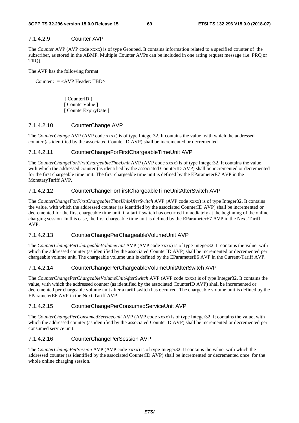## 7.1.4.2.9 Counter AVP

The *Counter* AVP (AVP code xxxx) is of type Grouped. It contains information related to a specified counter of the subscriber, as stored in the ABMF. Multiple Counter AVPs can be included in one rating request message (i.e. PRQ or TRQ).

The AVP has the following format:

Counter :: = <AVP Header: TBD>

 { CounterID } [ CounterValue ] [ CounterExpiryDate ]

#### 7.1.4.2.10 CounterChange AVP

The *CounterChange* AVP (AVP code xxxx) is of type Integer32. It contains the value, with which the addressed counter (as identified by the associated CounterID AVP) shall be incremented or decremented.

#### 7.1.4.2.11 CounterChangeForFirstChargeableTimeUnit AVP

The *CounterChangeForFirstChargeableTimeUnit* AVP (AVP code xxxx) is of type Integer32. It contains the value, with which the addressed counter (as identified by the associated CounterID AVP) shall be incremented or decremented for the first chargeable time unit. The first chargeable time unit is defined by the EParameterE7 AVP in the MonetaryTariff AVP.

## 7.1.4.2.12 CounterChangeForFirstChargeableTimeUnitAfterSwitch AVP

The *CounterChangeForFirstChargeableTimeUnitAfterSwitch* AVP (AVP code xxxx) is of type Integer32. It contains the value, with which the addressed counter (as identified by the associated CounterID AVP) shall be incremented or decremented for the first chargeable time unit, if a tariff switch has occurred immediately at the beginning of the online charging session. In this case, the first chargeable time unit is defined by the EParameterE7 AVP in the Next-Tariff AVP.

## 7.1.4.2.13 CounterChangePerChargeableVolumeUnit AVP

The *CounterChangePerChargeableVolumeUnit* AVP (AVP code xxxx) is of type Integer32. It contains the value, with which the addressed counter (as identified by the associated CounterID AVP) shall be incremented or decremented per chargeable volume unit. The chargeable volume unit is defined by the EParameterE6 AVP in the Current-Tariff AVP.

## 7.1.4.2.14 CounterChangePerChargeableVolumeUnitAfterSwitch AVP

The *CounterChangePerChargeableVolumeUnitAfterSwitch* AVP (AVP code xxxx) is of type Integer32. It contains the value, with which the addressed counter (as identified by the associated CounterID AVP) shall be incremented or decremented per chargeable volume unit after a tariff switch has occurred. The chargeable volume unit is defined by the EParameterE6 AVP in the Next-Tariff AVP.

#### 7.1.4.2.15 CounterChangePerConsumedServiceUnit AVP

The *CounterChangePerConsumedServiceUnit* AVP (AVP code xxxx) is of type Integer32. It contains the value, with which the addressed counter (as identified by the associated CounterID AVP) shall be incremented or decremented per consumed service unit.

#### 7.1.4.2.16 CounterChangePerSession AVP

The *CounterChangePerSession* AVP (AVP code xxxx) is of type Integer32. It contains the value, with which the addressed counter (as identified by the associated CounterID AVP) shall be incremented or decremented once for the whole online charging session.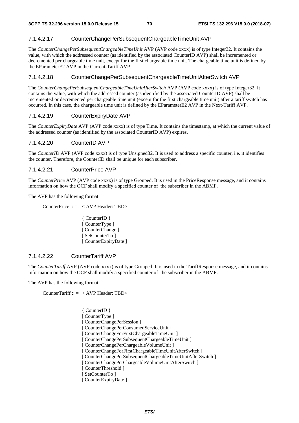#### 7.1.4.2.17 CounterChangePerSubsequentChargeableTimeUnit AVP

The *CounterChangePerSubsequentChargeableTimeUnit* AVP (AVP code xxxx) is of type Integer32. It contains the value, with which the addressed counter (as identified by the associated CounterID AVP) shall be incremented or decremented per chargeable time unit, except for the first chargeable time unit. The chargeable time unit is defined by the EParameterE2 AVP in the Current-Tariff AVP.

#### 7.1.4.2.18 CounterChangePerSubsequentChargeableTimeUnitAfterSwitch AVP

The *CounterChangePerSubsequentChargeableTimeUnitAfterSwitch* AVP (AVP code xxxx) is of type Integer32. It contains the value, with which the addressed counter (as identified by the associated CounterID AVP) shall be incremented or decremented per chargeable time unit (except for the first chargeable time unit) after a tariff switch has occurred. In this case, the chargeable time unit is defined by the EParameterE2 AVP in the Next-Tariff AVP.

#### 7.1.4.2.19 CounterExpiryDate AVP

The *CounterExpiryDate* AVP (AVP code xxxx) is of type Time. It contains the timestamp, at which the current value of the addressed counter (as identified by the associated CounterID AVP) expires.

#### 7.1.4.2.20 CounterID AVP

The *CounterID* AVP (AVP code xxxx) is of type Unsigned32. It is used to address a specific counter, i.e. it identifies the counter. Therefore, the CounterID shall be unique for each subscriber.

#### 7.1.4.2.21 CounterPrice AVP

The *CounterPrice* AVP (AVP code xxxx) is of type Grouped. It is used in the PriceResponse message, and it contains information on how the OCF shall modify a specified counter of the subscriber in the ABMF.

The AVP has the following format:

CounterPrice :: = < AVP Header: TBD>

 { CounterID } [ CounterType ] [ CounterChange ] [ SetCounterTo ] [ CounterExpiryDate ]

## 7.1.4.2.22 CounterTariff AVP

The *CounterTariff* AVP (AVP code xxxx) is of type Grouped. It is used in the TariffResponse message, and it contains information on how the OCF shall modify a specified counter of the subscriber in the ABMF.

The AVP has the following format:

CounterTariff :: = < AVP Header: TBD>

 { CounterID } [ CounterType ] [ CounterChangePerSession ] [ CounterChangePerConsumedServiceUnit ] [ CounterChangeForFirstChargeableTimeUnit ] [ CounterChangePerSubsequentChargeableTimeUnit ] [ CounterChangePerChargeableVolumeUnit ] [ CounterChangeForFirstChargeableTimeUnitAfterSwitch ] [ CounterChangePerSubsequentChargeableTimeUnitAfterSwitch ] [ CounterChangePerChargeableVolumeUnitAfterSwitch ] [ CounterThreshold ] [ SetCounterTo ] [ CounterExpiryDate ]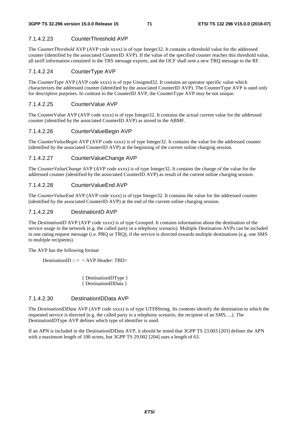#### 7.1.4.2.23 CounterThreshold AVP

The *CounterThreshold* AVP (AVP code xxxx) is of type Integer32. It contains a threshold value for the addressed counter (identified by the associated CounterID AVP). If the value of the specified counter reaches this threshold value, all tariff information contained in the TRS message expires, and the OCF shall sent a new TRQ message to the RF.

#### 7.1.4.2.24 CounterType AVP

The *CounterType* AVP (AVP code xxxx) is of type Unsigned32. It contains an operator specific value which characterizes the addressed counter (identified by the associated CounterID AVP). The CounterType AVP is used only for descriptive purposes. In contrast to the CounterID AVP, the CounterType AVP may be not unique.

#### 7.1.4.2.25 CounterValue AVP

The CounterValue AVP (AVP code xxxx) is of type Integer32. It contains the actual current value for the addressed counter (identified by the associated CounterID AVP) as stored in the ABMF.

#### 7.1.4.2.26 CounterValueBegin AVP

The *CounterValueBegin* AVP (AVP code xxxx) is of type Integer32. It contains the value for the addressed counter (identified by the associated CounterID AVP) at the beginning of the current online charging session.

#### 7.1.4.2.27 CounterValueChange AVP

The *CounterValueChange* AVP (AVP code xxxx) is of type Integer32. It contains the change of the value for the addressed counter (identified by the associated CounterID AVP) as result of the current online charging session.

#### 7.1.4.2.28 CounterValueEnd AVP

The *CounterValueEnd* AVP (AVP code xxxx) is of type Integer32. It contains the value for the addressed counter (identified by the associated CounterID AVP) at the end of the current online charging session.

#### 7.1.4.2.29 DestinationID AVP

The *DestinationID* AVP (AVP code xxxx) is of type Grouped. It contains information about the destination of the service usage in the network (e.g. the called party in a telephony scenario). Multiple Destination AVPs can be included in one rating request message (i.e. PRQ or TRQ), if the service is directed towards multiple destinations (e.g. one SMS to multiple recipients).

The AVP has the following format:

DestinationID :: = < AVP Header: TBD>

 { DestinationIDType } { DestinationIDData }

#### 7.1.4.2.30 DestinationIDData AVP

The *DestinationIDData* AVP (AVP code xxxx) is of type UTF8String. Its contents identify the destination to which the requested service is directed (e.g. the called party in a telephony scenario, the recipient of an SMS, ...). The DestinationIDType AVP defines which type of identifier is used.

If an APN is included in the DestinationIDData AVP, it should be noted that 3GPP TS 23.003 [203] defines the APN with a maximum length of 100 octets, but 3GPP TS 29.002 [204] uses a length of 63.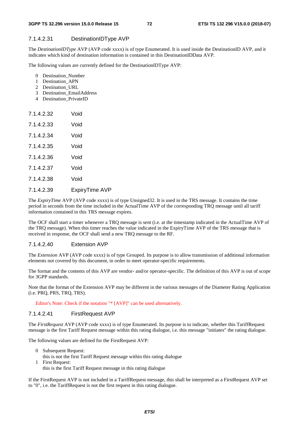### 7.1.4.2.31 DestinationIDType AVP

The *DestinationIDType* AVP (AVP code xxxx) is of type Enumerated. It is used inside the DestinationID AVP, and it indicates which kind of destination information is contained in this DestinationIDData AVP.

The following values are currently defined for the DestinationIDType AVP:

- 0 Destination\_Number
- 1 Destination\_APN
- 2 Destination\_URL
- 3 Destination\_EmailAddress
- 4 Destination\_PrivateID

| 7.1.4.2.32  | Void |
|-------------|------|
| 7.1.4.2.33  | Void |
| 7.1.4.2.34  | Void |
| 7.1.4.2.35  | Void |
| 7.1.4.2.36  | Void |
| 7.1.4.2.37  | Void |
| 7 1 4 2 3 8 | Void |
|             |      |

### 7.1.4.2.39 ExpiryTime AVP

The *ExpiryTime* AVP (AVP code xxxx) is of type Unsigned32. It is used in the TRS message. It contains the time period in seconds from the time included in the ActualTime AVP of the corresponding TRQ message until all tariff information contained in this TRS message expires.

The OCF shall start a timer whenever a TRQ message is sent (i.e. at the timestamp indicated in the ActualTime AVP of the TRQ message). When this timer reaches the value indicated in the ExpiryTime AVP of the TRS message that is received in response, the OCF shall send a new TRQ message to the RF.

### 7.1.4.2.40 Extension AVP

The *Extension* AVP (AVP code xxxx) is of type Grouped. Its purpose is to allow transmission of additional information elements not covered by this document, in order to meet operator-specific requirements.

The format and the contents of this AVP are vendor- and/or operator-specific. The definition of this AVP is out of scope for 3GPP standards.

Note that the format of the Extension AVP may be different in the various messages of the Diameter Rating Application (i.e. PRQ, PRS, TRQ, TRS).

Editor's Note: Check if the notation "\* [AVP]" can be used alternatively.

#### 7.1.4.2.41 FirstRequest AVP

The *FirstRequest* AVP (AVP code xxxx) is of type Enumerated. Its purpose is to indicate, whether this TariffRequest message is the first Tariff Request message within this rating dialogue, i.e. this message "initiates" the rating dialogue.

The following values are defined for the FirstRequest AVP:

- 0 Subsequent Request:
- this is not the first Tariff Request message within this rating dialogue
- 1 First Request: this is the first Tariff Request message in this rating dialogue

If the FirstRequest AVP is not included in a TariffRequest message, this shall be interpreted as a FirstRequest AVP set to "0", i.e. the TariffRequest is not the first request in this rating dialogue.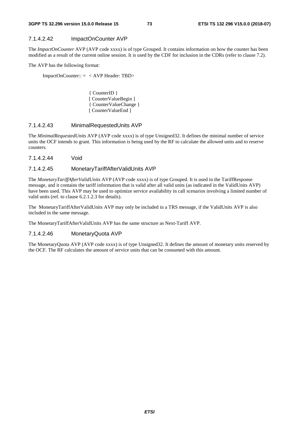### 7.1.4.2.42 ImpactOnCounter AVP

The *ImpactOnCounter* AVP (AVP code xxxx) is of type Grouped. It contains information on how the counter has been modified as a result of the current online session. It is used by the CDF for inclusion in the CDRs (refer to clause 7.2).

The AVP has the following format:

ImpactOnCounter:: = < AVP Header: TBD>

 { CounterID } [ CounterValueBegin ] { CounterValueChange } [ CounterValueEnd ]

### 7.1.4.2.43 MinimalRequestedUnits AVP

The *MinimalRequestedUnits* AVP (AVP code xxxx) is of type Unsigned32. It defines the minimal number of service units the OCF intends to grant. This information is being used by the RF to calculate the allowed units and to reserve counters.

7.1.4.2.44 Void

### 7.1.4.2.45 MonetaryTariffAfterValidUnits AVP

The *MonetaryTariffAfterValidUnits* AVP (AVP code xxxx) is of type Grouped. It is used in the TariffResponse message, and it contains the tariff information that is valid after all valid units (as indicated in the ValidUnits AVP) have been used. This AVP may be used to optimize service availability in call scenarios involving a limited number of valid units (ref. to clause 6.2.1.2.3 for details).

The MonetaryTariffAfterValidUnits AVP may only be included in a TRS message, if the ValidUnits AVP is also included in the same message.

The MonetaryTariffAfterValidUnits AVP has the same structure as Next-Tariff AVP.

### 7.1.4.2.46 MonetaryQuota AVP

The MonetaryQuota AVP (AVP code xxxx) is of type Unsigned32. It defines the amount of monetary units reserved by the OCF. The RF calculates the amount of service units that can be consumed with this amount.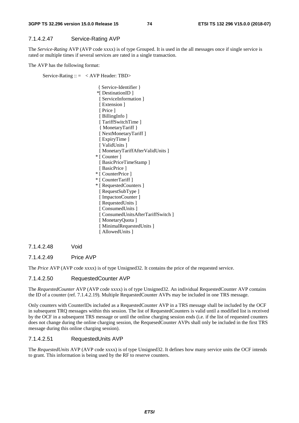### 7.1.4.2.47 Service-Rating AVP

The *Service-Rating* AVP (AVP code xxxx) is of type Grouped. It is used in the all messages once if single service is rated or multiple times if several services are rated in a single transaction.

The AVP has the following format:

Service-Rating  $\therefore$  = < AVP Header: TBD>

 { Service-Identifier } \*[ DestinationID ] [ ServiceInformation ] [ Extension ] [ Price ] [ BillingInfo ] [ TariffSwitchTime ] { MonetaryTariff } [ NextMonetaryTariff ] [ ExpiryTime ] [ ValidUnits ] [ MonetaryTariffAfterValidUnits ] \* [ Counter ] [ BasicPriceTimeStamp ] [ BasicPrice ] \* [ CounterPrice ] \* [ CounterTariff ] \* [ RequestedCounters ] [ RequestSubType ] [ ImpactonCounter ] [ RequestedUnits ] [ ConsumedUnits ] [ ConsumedUnitsAfterTariffSwitch ] [ MonetaryQuota ] [ MinimalRequestedUnits ] [ AllowedUnits ]

7.1.4.2.48 Void

### 7.1.4.2.49 Price AVP

The *Price* AVP (AVP code xxxx) is of type Unsigned32. It contains the price of the requested service.

### 7.1.4.2.50 RequestedCounter AVP

The *RequestedCounter* AVP (AVP code xxxx) is of type Unsigned32. An individual RequestedCounter AVP contains the ID of a counter (ref. 7.1.4.2.19). Multiple RequestedCounter AVPs may be included in one TRS message.

Only counters with CounterIDs included as a RequestedCounter AVP in a TRS message shall be included by the OCF in subsequent TRQ messages within this session. The list of RequestedCounters is valid until a modified list is received by the OCF in a subsequent TRS message or until the online charging session ends (i.e. if the list of requested counters does not change during the online charging session, the RequesedCounter AVPs shall only be included in the first TRS message during this online charging session).

### 7.1.4.2.51 RequestedUnits AVP

The *RequestedUnits* AVP (AVP code xxxx) is of type Unsigned32. It defines how many service units the OCF intends to grant. This information is being used by the RF to reserve counters.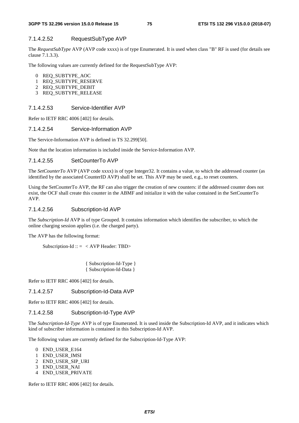### 7.1.4.2.52 RequestSubType AVP

The *RequestSubType* AVP (AVP code xxxx) is of type Enumerated. It is used when class "B" RF is used (for details see clause 7.1.3.3).

The following values are currently defined for the RequestSubType AVP:

- 0 REQ\_SUBTYPE\_AOC
- 1 REQ\_SUBTYPE\_RESERVE
- 2 REQ\_SUBTYPE\_DEBIT
- 3 REQ\_SUBTYPE\_RELEASE

### 7.1.4.2.53 Service-Identifier AVP

Refer to IETF RRC 4006 [402] for details.

### 7.1.4.2.54 Service-Information AVP

The Service-Information AVP is defined in TS 32.299[50].

Note that the location information is included inside the Service-Information AVP.

#### 7.1.4.2.55 SetCounterTo AVP

The *SetCounterTo* AVP (AVP code xxxx) is of type Integer32. It contains a value, to which the addressed counter (as identified by the associated CounterID AVP) shall be set. This AVP may be used, e.g., to reset counters.

Using the SetCounterTo AVP, the RF can also trigger the creation of new counters: if the addressed counter does not exist, the OCF shall create this counter in the ABMF and initialize it with the value contained in the SetCounterTo AVP.

#### 7.1.4.2.56 Subscription-Id AVP

The *Subscription-Id* AVP is of type Grouped. It contains information which identifies the subscriber, to which the online charging session applies (i.e. the charged party).

The AVP has the following format:

Subscription-Id ::  $=$  < AVP Header: TBD>

 { Subscription-Id-Type } { Subscription-Id-Data }

Refer to IETF RRC 4006 [402] for details.

### 7.1.4.2.57 Subscription-Id-Data AVP

Refer to IETF RRC 4006 [402] for details.

#### 7.1.4.2.58 Subscription-Id-Type AVP

The *Subscription-Id-Type* AVP is of type Enumerated. It is used inside the Subscription-Id AVP, and it indicates which kind of subscriber information is contained in this Subscription-Id AVP.

The following values are currently defined for the Subscription-Id-Type AVP:

- 0 END\_USER\_E164
- 1 END\_USER\_IMSI
- 2 END\_USER\_SIP\_URI
- 3 END\_USER\_NAI
- 4 END\_USER\_PRIVATE

Refer to IETF RRC 4006 [402] for details.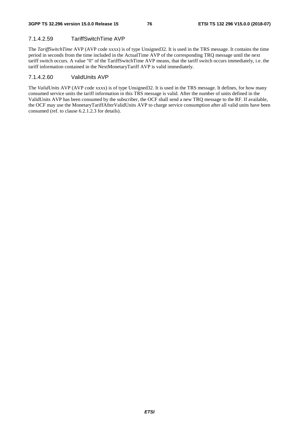### 7.1.4.2.59 TariffSwitchTime AVP

The *TariffSwitchTime* AVP (AVP code xxxx) is of type Unsigned32. It is used in the TRS message. It contains the time period in seconds from the time included in the ActualTime AVP of the corresponding TRQ message until the next tariff switch occurs. A value "0" of the TariffSwitchTime AVP means, that the tariff switch occurs immediately, i.e. the tariff information contained in the NextMonetaryTariff AVP is valid immediately.

### 7.1.4.2.60 ValidUnits AVP

The *ValidUnits* AVP (AVP code xxxx) is of type Unsigned32. It is used in the TRS message. It defines, for how many consumed service units the tariff information in this TRS message is valid. After the number of units defined in the ValidUnits AVP has been consumed by the subscriber, the OCF shall send a new TRQ message to the RF. If available, the OCF may use the MonetaryTariffAfterValidUnits AVP to charge service consumption after all valid units have been consumed (ref. to clause 6.2.1.2.3 for details).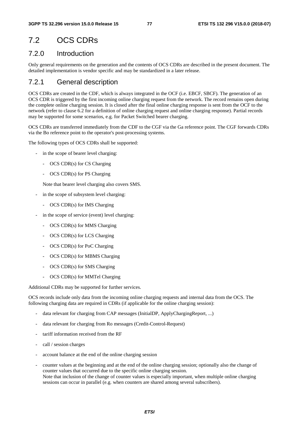## 7.2 OCS CDRs

### 7.2.0 Introduction

Only general requirements on the generation and the contents of OCS CDRs are described in the present document. The detailed implementation is vendor specific and may be standardized in a later release.

### 7.2.1 General description

OCS CDRs are created in the CDF, which is always integrated in the OCF (i.e. EBCF, SBCF). The generation of an OCS CDR is triggered by the first incoming online charging request from the network. The record remains open during the complete online charging session. It is closed after the final online charging response is sent from the OCF to the network (refer to clause 6.2 for a definition of online charging request and online charging response). Partial records may be supported for some scenarios, e.g. for Packet Switched bearer charging.

OCS CDRs are transferred immediately from the CDF to the CGF via the Ga reference point. The CGF forwards CDRs via the Bo reference point to the operator's post-processing systems.

The following types of OCS CDRs shall be supported:

- in the scope of bearer level charging:
	- OCS CDR(s) for CS Charging
	- OCS CDR(s) for PS Charging

Note that bearer level charging also covers SMS.

- in the scope of subsystem level charging:
	- OCS CDR(s) for IMS Charging
- in the scope of service (event) level charging:
	- OCS CDR(s) for MMS Charging
	- OCS CDR(s) for LCS Charging
	- OCS CDR(s) for PoC Charging
	- OCS CDR(s) for MBMS Charging
	- OCS CDR(s) for SMS Charging
	- OCS CDR(s) for MMTel Charging

Additional CDRs may be supported for further services.

OCS records include only data from the incoming online charging requests and internal data from the OCS. The following charging data are required in CDRs (if applicable for the online charging session):

- data relevant for charging from CAP messages (InitialDP, ApplyChargingReport, ...)
- data relevant for charging from Ro messages (Credit-Control-Request)
- tariff information received from the RF
- call / session charges
- account balance at the end of the online charging session
- counter values at the beginning and at the end of the online charging session; optionally also the change of counter values that occurred due to the specific online charging session. Note that inclusion of the change of counter values is especially important, when multiple online charging sessions can occur in parallel (e.g. when counters are shared among several subscribers).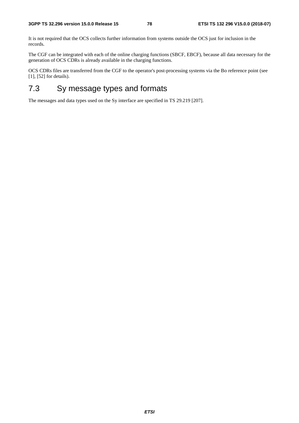It is not required that the OCS collects further information from systems outside the OCS just for inclusion in the records.

The CGF can be integrated with each of the online charging functions (SBCF, EBCF), because all data necessary for the generation of OCS CDRs is already available in the charging functions.

OCS CDRs files are transferred from the CGF to the operator's post-processing systems via the Bo reference point (see [1], [52] for details).

## 7.3 Sy message types and formats

The messages and data types used on the Sy interface are specified in TS 29.219 [207].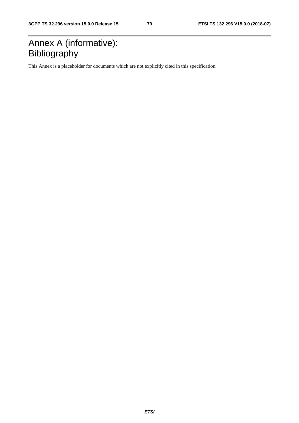## Annex A (informative): Bibliography

This Annex is a placeholder for documents which are not explicitly cited in this specification.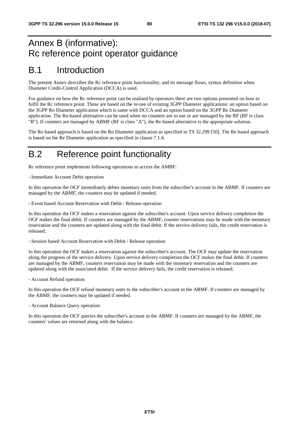## Annex B (informative): Rc reference point operator guidance

## B.1 Introduction

The present Annex describes the Rc reference point functionality, and its message flows, syntax definition when Diameter Credit-Control Application (DCCA) is used.

For guidance on how the Rc reference point can be realised by operators there are two options presented on how to fulfil the Rc reference point. These are based on the re-use of existing 3GPP Diameter applications: an option based on the 3GPP Ro Diameter application which is same with DCCA and an option based on the 3GPP Re Diameter application. The Ro-based alternative can be used when no counters are in use or are managed by the RF (RF is class "B"). If counters are managed by ABMF (RF is class "A"), the Re-based alternative is the appropriate solution.

The Ro based approach is based on the Ro Diameter application as specified in TS 32.299 [50]. The Re based approach is based on the Re Diameter application as specified in clause 7.1.4.

## B.2 Reference point functionality

Rc reference point implements following operations to access the AMBF:

- Immediate Account Debit operation

In this operation the OCF immediately debits monetary units from the subscriber's account in the ABMF. If counters are managed by the ABMF, the counters may be updated if needed.

- Event based Account Reservation with Debit / Release operation

In this operation the OCF makes a reservation against the subscriber's account. Upon service delivery completion the OCF makes the final debit. If counters are managed by the ABMF, counter reservations may be made with the monetary reservation and the counters are updated along with the final debit. If the service delivery fails, the credit reservation is released.

- Session based Account Reservation with Debit / Release operation

In this operation the OCF makes a reservation against the subscriber's account. The OCF may update the reservation along the progress of the service delivery. Upon service delivery completion the OCF makes the final debit. If counters are managed by the ABMF, counters reservation may be made with the monetary reservation and the counters are updated along with the associated debit. If the service delivery fails, the credit reservation is released.

- Account Refund operation

In this operation the OCF refund monetary units to the subscriber's account in the ABMF. If counters are managed by the ABMF, the counters may be updated if needed.

- Account Balance Query operation

In this operation the OCF queries the subscriber's account in the ABMF. If counters are managed by the ABMF, the counters' values are returned along with the balance.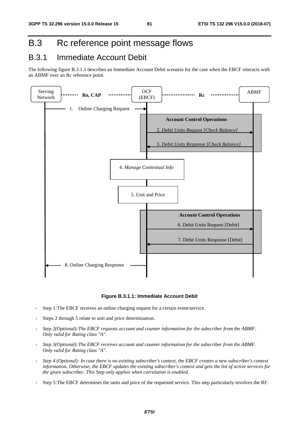## B.3 Rc reference point message flows

## B.3.1 Immediate Account Debit

The following figure B.3.1.1 describes an Immediate Account Debit scenario for the case when the EBCF interacts with an ABMF over an Rc reference point.



### **Figure B.3.1.1: Immediate Account Debit**

- Step 1: The EBCF receives an online charging request for a certain event/service.
- Steps 2 through 5 relate to unit and price determination.
- *Step 2(Optional): The EBCF requests account and counter information for the subscriber from the ABMF. Only valid for Rating class "A".*
- *Step 3(Optional): The EBCF receives account and counter information for the subscriber from the ABMF. Only valid for Rating class "A".*
- *Step 4 (Optional): In case there is no existing subscriber's context, the EBCF creates a new subscriber's context information. Otherwise, the EBCF updates the existing subscriber's context and gets the list of active services for the given subscriber. This Step only applies when correlation is enabled.*
- Step 5: The EBCF determines the units and price of the requested service. This step particularly involves the RF.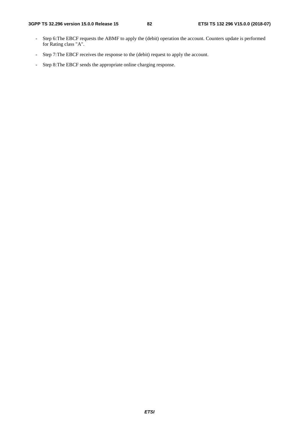- Step 6: The EBCF requests the ABMF to apply the (debit) operation the account. Counters update is performed for Rating class "A".
- Step 7: The EBCF receives the response to the (debit) request to apply the account.
- Step 8: The EBCF sends the appropriate online charging response.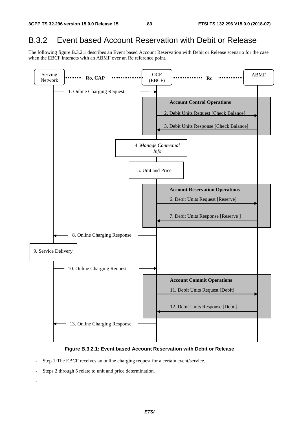### B.3.2 Event based Account Reservation with Debit or Release

The following figure B.3.2.1 describes an Event based Account Reservation with Debit or Release scenario for the case when the EBCF interacts with an ABMF over an Rc reference point.



### **Figure B.3.2.1: Event based Account Reservation with Debit or Release**

- Step 1: The EBCF receives an online charging request for a certain event/service.
- Steps 2 through 5 relate to unit and price determination.
- -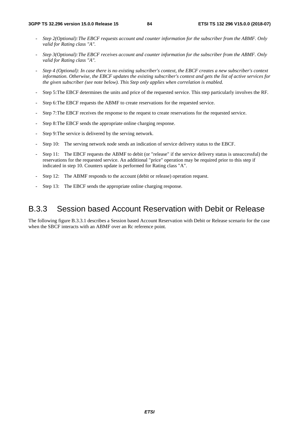- *Step 2(Optional): The EBCF requests account and counter information for the subscriber from the ABMF. Only valid for Rating class "A".*
- *Step 3(Optional): The EBCF receives account and counter information for the subscriber from the ABMF. Only valid for Rating class "A".*
- *Step 4 (Optional): In case there is no existing subscriber's context, the EBCF creates a new subscriber's context information. Otherwise, the EBCF updates the existing subscriber's context and gets the list of active services for the given subscriber (see note below). This Step only applies when correlation is enabled.*
- Step 5: The EBCF determines the units and price of the requested service. This step particularly involves the RF.
- Step 6: The EBCF requests the ABMF to create reservations for the requested service.
- Step 7: The EBCF receives the response to the request to create reservations for the requested service.
- Step 8: The EBCF sends the appropriate online charging response.
- Step 9: The service is delivered by the serving network.
- Step 10: The serving network node sends an indication of service delivery status to the EBCF.
- Step 11: The EBCF requests the ABMF to debit (or "release" if the service delivery status is unsuccessful) the reservations for the requested service. An additional "price" operation may be required prior to this step if indicated in step 10. Counters update is performed for Rating class "A".
- Step 12: The ABMF responds to the account (debit or release) operation request.
- Step 13: The EBCF sends the appropriate online charging response.

### B.3.3 Session based Account Reservation with Debit or Release

The following figure B.3.3.1 describes a Session based Account Reservation with Debit or Release scenario for the case when the SBCF interacts with an ABMF over an Rc reference point.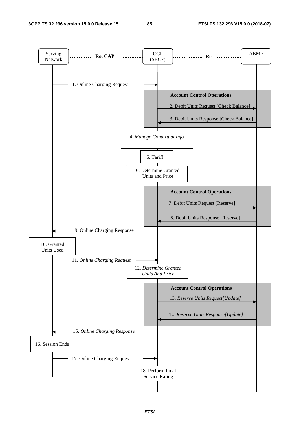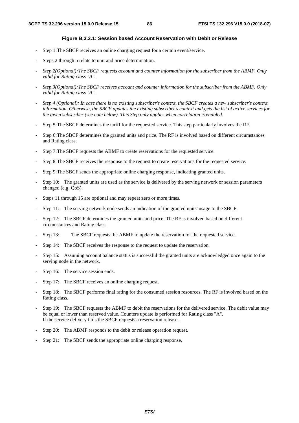### **Figure B.3.3.1: Session based Account Reservation with Debit or Release**

- Step 1: The SBCF receives an online charging request for a certain event/service.
- Steps 2 through 5 relate to unit and price determination.
- *Step 2(Optional): The SBCF requests account and counter information for the subscriber from the ABMF. Only valid for Rating class "A".*
- *Step 3(Optional): The SBCF receives account and counter information for the subscriber from the ABMF. Only valid for Rating class "A".*
- *Step 4 (Optional): In case there is no existing subscriber's context, the SBCF creates a new subscriber's context information. Otherwise, the SBCF updates the existing subscriber's context and gets the list of active services for the given subscriber (see note below). This Step only applies when correlation is enabled.*
- Step 5: The SBCF determines the tariff for the requested service. This step particularly involves the RF.
- Step 6: The SBCF determines the granted units and price. The RF is involved based on different circumstances and Rating class.
- Step 7: The SBCF requests the ABMF to create reservations for the requested service.
- Step 8: The SBCF receives the response to the request to create reservations for the requested service.
- Step 9: The SBCF sends the appropriate online charging response, indicating granted units.
- Step 10: The granted units are used as the service is delivered by the serving network or session parameters changed (e.g. QoS).
- Steps 11 through 15 are optional and may repeat zero or more times.
- Step 11: The serving network node sends an indication of the granted units' usage to the SBCF.
- Step 12: The SBCF determines the granted units and price. The RF is involved based on different circumstances and Rating class.
- Step 13: The SBCF requests the ABMF to update the reservation for the requested service.
- Step 14: The SBCF receives the response to the request to update the reservation.
- Step 15: Assuming account balance status is successful the granted units are acknowledged once again to the serving node in the network.
- Step 16: The service session ends.
- Step 17: The SBCF receives an online charging request.
- Step 18: The SBCF performs final rating for the consumed session resources. The RF is involved based on the Rating class.
- Step 19: The SBCF requests the ABMF to debit the reservations for the delivered service. The debit value may be equal or lower than reserved value. Counters update is performed for Rating class "A". If the service delivery fails the SBCF requests a reservation release.
- Step 20: The ABMF responds to the debit or release operation request.
- Step 21: The SBCF sends the appropriate online charging response.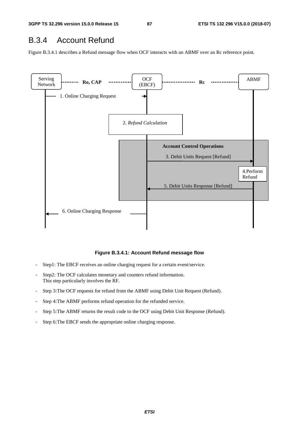## B.3.4 Account Refund

Figure B.3.4.1 describes a Refund message flow when OCF interacts with an ABMF over an Rc reference point.



### **Figure B.3.4.1: Account Refund message flow**

- Step1: The EBCF receives an online charging request for a certain event/service.
- Step2: The OCF calculates monetary and counters refund information. This step particularly involves the RF.
- Step 3: The OCF requests for refund from the ABMF using Debit Unit Request (Refund).
- Step 4: The ABMF performs refund operation for the refunded service.
- Step 5: The ABMF returns the result code to the OCF using Debit Unit Response (Refund).
- Step 6: The EBCF sends the appropriate online charging response.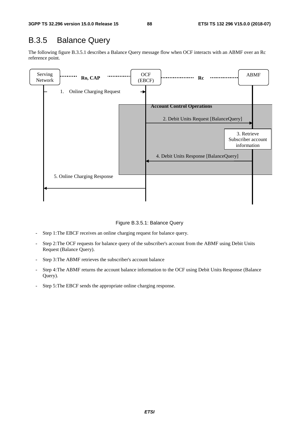## B.3.5 Balance Query

The following figure B.3.5.1 describes a Balance Query message flow when OCF interacts with an ABMF over an Rc reference point.



Figure B.3.5.1: Balance Query

- Step 1: The EBCF receives an online charging request for balance query.
- Step 2: The OCF requests for balance query of the subscriber's account from the ABMF using Debit Units Request (Balance Query).
- Step 3: The ABMF retrieves the subscriber's account balance
- Step 4: The ABMF returns the account balance information to the OCF using Debit Units Response (Balance Query).
- Step 5: The EBCF sends the appropriate online charging response.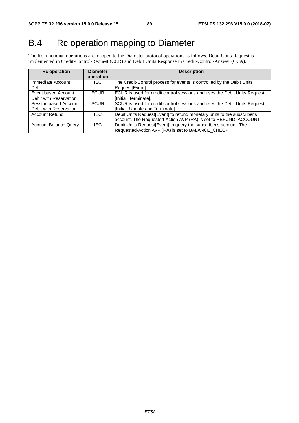# B.4 Rc operation mapping to Diameter

The Rc functional operations are mapped to the Diameter protocol operations as follows. Debit Units Request is implemented in Credit-Control-Request (CCR) and Debit Units Response in Credit-Control-Answer (CCA).

| <b>Rc</b> operation                             | <b>Diameter</b><br>operation | <b>Description</b>                                                                                                                          |
|-------------------------------------------------|------------------------------|---------------------------------------------------------------------------------------------------------------------------------------------|
| Immediate Account<br>Debit                      | IEC.                         | The Credit-Control process for events is controlled by the Debit Units<br>Request <sub>[Event]</sub> .                                      |
| Event based Account<br>Debit with Reservation   | <b>ECUR</b>                  | ECUR is used for credit control sessions and uses the Debit Units Request<br>[Initial, Terminate].                                          |
| Session based Account<br>Debit with Reservation | <b>SCUR</b>                  | SCUR is used for credit control sessions and uses the Debit Units Request<br>[Initial, Update and Terminate].                               |
| <b>Account Refund</b>                           | IEC.                         | Debit Units Request[Event] to refund monetary units to the subscriber's<br>account. The Requested-Action AVP (RA) is set to REFUND_ACCOUNT. |
| <b>Account Balance Query</b>                    | IEC.                         | Debit Units Request [Event] to query the subscriber's account. The<br>Requested-Action AVP (RA) is set to BALANCE_CHECK.                    |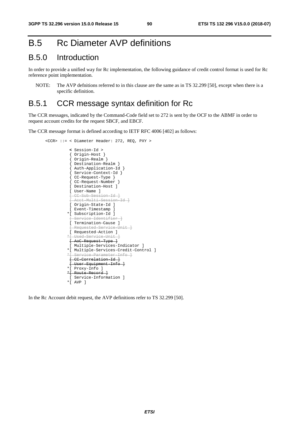## B.5 Rc Diameter AVP definitions

### B.5.0 Introduction

In order to provide a unified way for Rc implementation, the following guidance of credit control format is used for Rc reference point implementation.

NOTE: The AVP defnitions referred to in this clause are the same as in TS 32.299 [50], except when there is a specific definition.

### B.5.1 CCR message syntax definition for Rc

The CCR messages, indicated by the Command-Code field set to 272 is sent by the OCF to the ABMF in order to request account credits for the request SBCF, and EBCF.

The CCR message format is defined according to IETF RFC 4006 [402] as follows:

```
 <CCR> ::= < Diameter Header: 272, REQ, PXY > 
                 < Session-Id > 
                  { Origin-Host } 
                  { Origin-Realm } 
                  { Destination-Realm } 
                  { Auth-Application-Id } 
{ Service-Context-Id } 
{ CC-Request-Type } 
                 { CC-Request-Number } 
                 [ Destination-Host ] 
                 [ User-Name ] 
                    [ CC-Sub-Session-Id ] 
                 [ Acct-Multi-Session-Id ] 
                [ Origin-State-Id ]
                 [ Event-Timestamp ] 
                *[ Subscription-Id ] 
                    ervice Identifier ]
                 [ Termination-Cause ] 
                 [ Requested-Service-Unit ] 
                 [ Requested-Action ] 
                *[ Used-Service-Unit ] 
                 [ AoC-Request-Type ] 
                 [ Multiple-Services-Indicator ] 
                *[ Multiple-Services-Credit-Control ] 
               *{ Service Parameter Info
                 [ CC-Correlation-Id ] 
                 [ User-Equipment-Info ] 
                *[ Proxy-Info ] 
                *[ Route-Record ] 
                 [ Service-Information ] 
                *[ AVP ]
```
In the Rc Account debit request, the AVP definitions refer to TS 32.299 [50].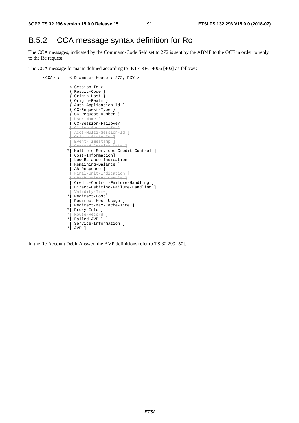## B.5.2 CCA message syntax definition for Rc

The CCA messages, indicated by the Command-Code field set to 272 is sent by the ABMF to the OCF in order to reply to the Rc request.

The CCA message format is defined according to IETF RFC 4006 [402] as follows:

```
 <CCA> ::= < Diameter Header: 272, PXY > 
                < Session-Id > 
                { Result-Code } 
{ Origin-Host } 
{ Origin-Realm } 
{ Auth-Application-Id } 
{ CC-Request-Type } 
{ CC-Request-Number } 
[ User-Name ] 
               [ CC-Session-Failover ]
                [ CC-Sub-Session-Id ] 
                [ Acct-Multi-Session-Id ] 
                [ Origin-State-Id ] 
                [ Event-Timestamp ] 
                [ Granted-Service-Unit ] 
               *[ Multiple-Services-Credit-Control ] 
                [ Cost-Information] 
               [ Low-Balance-Indication ]
               [ Remaining-Balance ] 
                [ AB-Response ] 
                [ Final-Unit-Indication ] 
                [ Check-Balance-Result ] 
                [ Credit-Control-Failure-Handling ] 
               [ Direct-Debiting-Failure-Handling ] 
                 .<br>Validity-Time<sup>1</sup>
               *[ Redirect-Host] 
               [ Redirect-Host-Usage ] 
                [ Redirect-Max-Cache-Time ] 
               *[ Proxy-Info ] 
                 Route-Record
               *[ Failed-AVP ] 
               [ Service-Information ] 
               *[ AVP ]
```
In the Rc Account Debit Answer, the AVP definitions refer to TS 32.299 [50].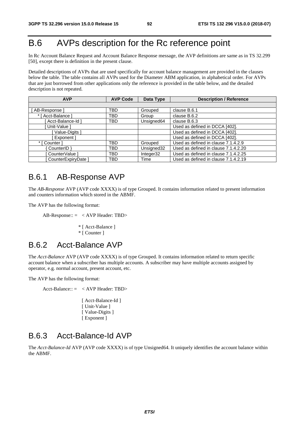## B.6 AVPs description for the Rc reference point

In Rc Account Balance Request and Account Balance Response message, the AVP definitions are same as in TS 32.299 [50], except there is definition in the present clause.

Detailed descriptions of AVPs that are used specifically for account balance management are provided in the clauses below the table. The table contains all AVPs used for the Diameter ABM application, in alphabetical order. For AVPs that are just borrowed from other applications only the reference is provided in the table below, and the detailed description is not repeated.

| <b>AVP</b>         | <b>AVP Code</b> | <b>Description / Reference</b><br>Data Type |                                      |
|--------------------|-----------------|---------------------------------------------|--------------------------------------|
|                    |                 |                                             |                                      |
| AB-Response        | TBD             | Grouped                                     | clause B.6.1                         |
| * [ Acct-Balance ] | TBD             | Group                                       | clause B.6.2                         |
| Acct-Balance-Id ]  | TBD             | Unsigned64                                  | clause B.6.3                         |
| Unit-Value 1       |                 |                                             | Used as defined in DCCA [402].       |
| Value-Digits 1     |                 |                                             | Used as defined in DCCA [402].       |
| Exponent           |                 |                                             | Used as defined in DCCA [402].       |
| [ Counter ]        | TBD             | Grouped                                     | Used as defined in clause 7.1.4.2.9  |
| CounterID }        | TBD             | Unsigned32                                  | Used as defined in clause 7.1.4.2.20 |
| CounterValue 1     | TBD             | Integer32                                   | Used as defined in clause 7.1.4.2.25 |
| CounterExpiryDate  | TBD             | Time                                        | Used as defined in clause 7.1.4.2.19 |

### B.6.1 AB-Response AVP

The *AB-Response* AVP (AVP code XXXX) is of type Grouped. It contains information related to present information and counters information which stored in the ABMF.

The AVP has the following format:

AB-Response:: = < AVP Header: TBD>

\* [ Acct-Balance ] \* [ Counter ]

### B.6.2 Acct-Balance AVP

The *Acct-Balance* AVP (AVP code XXXX) is of type Grouped. It contains information related to return specific account balance when a subscriber has multiple accounts. A subscriber may have multiple accounts assigned by operator, e.g. normal account, present account, etc.

The AVP has the following format:

Acct-Balance:: = < AVP Header: TBD> [ Acct-Balance-Id ]

[ Unit-Value ] [ Value-Digits ]

[ Exponent ]

### B.6.3 Acct-Balance-Id AVP

The *Acct-Balance-Id* AVP (AVP code XXXX) is of type Unsigned64. It uniquely identifies the account balance within the ABMF.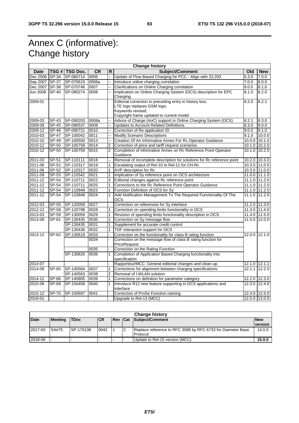## Annex C (informative): Change history

| <b>Change history</b> |              |                |           |                |                                                                                                                                                         |        |               |
|-----------------------|--------------|----------------|-----------|----------------|---------------------------------------------------------------------------------------------------------------------------------------------------------|--------|---------------|
| <b>Date</b>           |              | TSG # TSG Doc. | <b>CR</b> | R              | Subject/Comment                                                                                                                                         | Old    | <b>New</b>    |
| Dec 2006 SP-34        |              | SP-060714      | 0006      | à.             | Update of Flow Based Charging for PCC - Align with 23.203                                                                                               | 6.3.0  | 7.0.0         |
| Sep 2007 SP-37        |              | SP-070619      | 0006a     |                | Introduce online charging correlation<br>7.0.0                                                                                                          |        | 8.0.0         |
| Dec 2007 SP-38        |              | SP-070746      | 0007      |                | Clarifications on Online Charging correlation<br>8.0.0                                                                                                  |        | 8.1.0         |
| Jun 2008              | SP-40        | SP-080274      | 0008      |                | Implication on Online Charging System (OCS) description for EPC<br>Charging                                                                             | 8.1.0  | 8.2.0         |
| 2009-01               |              |                |           |                | Editorial correction to preceding entry in history box;<br>LTE logo replaces GSM logo;<br>Keywords revised;<br>Copyright frame updated to current model |        | 8.2.1         |
| 2009-03               | SP-43        | SP-090203      | 0008a     |                | Advice of Charge (AoC) support in Online Charging System (OCS)                                                                                          | 8.2.1  | 8.3.0         |
| 2009-09               | SP-45        | SP-090537      | 0009      |                | <b>Updates to Account Related Definitions</b>                                                                                                           | 8.3.0  | 9.0.0         |
| 2009-12               | SP-46        | SP-090721      | 0010      |                | Correction of Re application ID                                                                                                                         | 9.0.0  | 9.1.0         |
| 2010-03               | SP-47        | SP-100042      | 0011      |                | <b>Modify Scenario Descriptions</b>                                                                                                                     | 9.1.0  | 10.0.0        |
| 2010-10               | SP-49        | SP-100500      | 0013      |                | Creation Of An Informative Annex For Rc Operator Guidance                                                                                               |        | 10.0.0 10.1.0 |
| 2010-12               | SP-50        | SP-100758      | 0014      | 2              | Correction of price and tariff request scenarios                                                                                                        |        | 10.1.0 10.2.0 |
| 2010-12               | SP-50        | SP-100759      | 0015      | $\overline{2}$ | Completion of informative Annex on Rc Reference Point Operator<br>Guidance                                                                              |        | 10.1.0 10.2.0 |
| 2011-03               | $SP-51$      | SP-110111      | 0018      |                | Removal of incomplete description for solutions for Rc reference point                                                                                  |        | 10.2.0 10.3.0 |
| 2011-06               | SP-52        | SP-110317      | 0019      |                | Escalating output of Rel-10 to Rel-11 for CH-Rc                                                                                                         |        | 10.3.0 11.0.0 |
| 2011-06               | SP-52        | SP-110317      | 0020      | 1              | AVP description for Rc                                                                                                                                  |        | 10.3.0 11.0.0 |
| 2011-09               | $SP-53$      | SP-110542      | 0021      | 1              | Implication of Sy reference point on OCS architecture                                                                                                   |        | 11.0.0 11.1.0 |
| 2011-12               | SP-54        | SP-110711      | 0022      | 3              | Editorial changes against Rc reference point                                                                                                            |        | 11.1.0 11.2.0 |
| 2011-12               | SP-54        | SP-110711      | 0025      | 1              | Corrections to the Rc Reference Point Operator Guidance                                                                                                 |        | 11.1.0 11.2.0 |
| 2011-12               | SP-54        | SP-110849      | 0023      |                | Function Definition of OCS for Sy                                                                                                                       |        | 11.1.0 11.2.0 |
| 2011-12               | SP-54        | SP-110849      | 0024      | 1              | Add Notification Management To The Required Functionality Of The<br>ocs                                                                                 |        | 11.1.0 11.2.0 |
| 2012-03               | $S P - 55$   | SP-120058      | 0027      |                | Correction on references for Sy interface                                                                                                               |        | 11.2.0 11.3.0 |
| 2012-12               | SP-58        | SP-120798      | 0028      |                | Correction on spending limits functionality in OCS                                                                                                      |        | 11.3.0 11.4.0 |
| 2013-03               | $SP-59$      | SP-130059      | 0029      | 1              | Revision of spending limits functionality description in OCS                                                                                            |        | 11.4.0 11.5.0 |
| 2013-09               | SP-61        | SP-130435      | 0030      | 1              | Correction on Sy message flow                                                                                                                           | 11.5.0 | 12.0.0        |
|                       |              | SP-130435      | 0031      | 1              | Supplement for accurate credit control                                                                                                                  |        |               |
|                       |              | SP-130436      | 0032      |                | TDF interaction support for OCS                                                                                                                         |        |               |
| 2013-12               | SP-62        | SP-130619      | 0033      |                | Correction on the functionality for class B rating function                                                                                             |        | 12.0.0 12.1.0 |
|                       |              |                | 0034      |                | Correction on the message flow of class B rating function for<br>PriceRequest                                                                           |        |               |
|                       |              |                | 0035      |                | Correction on the Rating Function                                                                                                                       |        |               |
|                       |              | SP-130620      | 0036      | 1              | Completion of Application Based Charging functionality into<br>specification                                                                            |        |               |
| 2014-07               |              |                |           |                | Rapporteur/MCC: General editorial changes and clean-up.                                                                                                 |        | 12.1.0 12.1.1 |
| 2014-09               | SP-65        | SP-140564      | 0037      | 1              | Corrections for alignment between charging specifications                                                                                               |        | 12.1.1 12.2.0 |
|                       |              | SP-140563      | 0038      | $\overline{2}$ | Removal of I-WLAN solution                                                                                                                              |        |               |
| $2014 - 12$           | SP-66        | SP-140805      | 0039      | 1              | Corrections on definition for parameter category                                                                                                        |        | 12.2.0 12.3.0 |
| 2015-09               | SP-69        | SP-150458      | 0040      | 1              | Introduce R12 new feature supporting in OCS applications and<br>interface                                                                               |        | 12.3.0 12.4.0 |
| 2015-12               | <b>SP-70</b> | SP-150697      | 0041      |                | Correction of ProSe Function naming                                                                                                                     |        | 12.4.0 12.5.0 |
| 2016-01               |              |                |           |                | Upgrade to Rel-13 (MCC)                                                                                                                                 |        | 12.5.0 13.0.0 |

| <b>Change history</b> |                |             |            |                |   |                                                             |            |
|-----------------------|----------------|-------------|------------|----------------|---|-------------------------------------------------------------|------------|
| <b>Date</b>           | <b>Meeting</b> | <b>TDoc</b> | <b>ICR</b> | <b>Rev Cat</b> |   | Subject/Comment                                             | <b>New</b> |
|                       |                |             |            |                |   |                                                             | version    |
| 2017-03               | SA#75          | ISP-170138  | 0042       |                | С | Replace reference to RFC 3588 by RFC 6733 for Diameter Base | 14.0.0     |
|                       |                |             |            |                |   | <b>Protocol</b>                                             |            |
| 2018-06               |                |             |            |                |   | Update to Rel-15 version (MCC)                              | 15.0.0     |